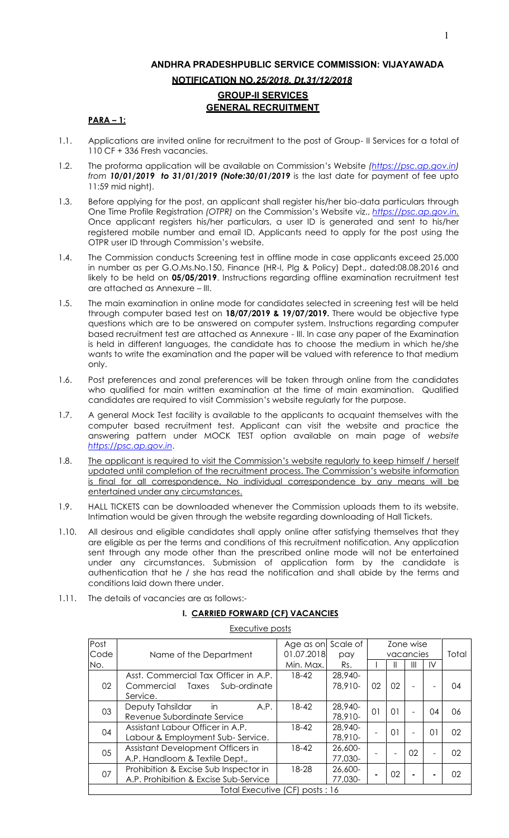# **ANDHRA PRADESHPUBLIC SERVICE COMMISSION: VIJAYAWADA NOTIFICATION NO***.25/2018, Dt.31/12/2018*  **GROUP-II SERVICES GENERAL RECRUITMENT**

# **PARA – 1:**

- 1.1. Applications are invited online for recruitment to the post of Group- II Services for a total of 110 CF + 336 Fresh vacancies.
- 1.2. The proforma application will be available on Commission's Website *[\(https://psc.ap.gov.in\)](https://psc.ap.gov.in/) from 10/01/2019 to 31/01/2019 (Note:30/01/2019* is the last date for payment of fee upto 11:59 mid night).
- 1.3. Before applying for the post, an applicant shall register his/her bio-data particulars through One Time Profile Registration *(OTPR)* on the Commission's Website viz., *[https://psc.ap.gov.in.](http://www.psc.ap.gov.in/)* Once applicant registers his/her particulars, a user ID is generated and sent to his/her registered mobile number and email ID. Applicants need to apply for the post using the OTPR user ID through Commission's website.
- 1.4. The Commission conducts Screening test in offline mode in case applicants exceed 25,000 in number as per G.O.Ms.No.150, Finance (HR-I, Plg & Policy) Dept., dated:08.08.2016 and likely to be held on **05/05/2019**. Instructions regarding offline examination recruitment test are attached as Annexure – III.
- 1.5. The main examination in online mode for candidates selected in screening test will be held through computer based test on **18/07/2019 & 19/07/2019.** There would be objective type questions which are to be answered on computer system. Instructions regarding computer based recruitment test are attached as Annexure - III. In case any paper of the Examination is held in different languages, the candidate has to choose the medium in which he/she wants to write the examination and the paper will be valued with reference to that medium only.
- 1.6. Post preferences and zonal preferences will be taken through online from the candidates who qualified for main written examination at the time of main examination. Qualified candidates are required to visit Commission's website regularly for the purpose.
- 1.7. A general Mock Test facility is available to the applicants to acquaint themselves with the computer based recruitment test. Applicant can visit the website and practice the answering pattern under MOCK TEST option available on main page of *website [https://psc.ap.gov.in](http://www.psc.ap.gov.in/)*.
- 1.8. The applicant is required to visit the Commission's website regularly to keep himself / herself updated until completion of the recruitment process. The Commission's website information is final for all correspondence. No individual correspondence by any means will be entertained under any circumstances.
- 1.9. HALL TICKETS can be downloaded whenever the Commission uploads them to its website. Intimation would be given through the website regarding downloading of Hall Tickets.
- 1.10. All desirous and eligible candidates shall apply online after satisfying themselves that they are eligible as per the terms and conditions of this recruitment notification. Any application sent through any mode other than the prescribed online mode will not be entertained under any circumstances. Submission of application form by the candidate is authentication that he / she has read the notification and shall abide by the terms and conditions laid down there under.
- 1.11. The details of vacancies are as follows:-

# **I. CARRIED FORWARD (CF) VACANCIES**

#### Executive posts

| Post |                                       | Age as on  | Scale of | Zone wise                |    |       |    |    |
|------|---------------------------------------|------------|----------|--------------------------|----|-------|----|----|
| Code | Name of the Department                | 01.07.2018 | pay      | vacancies                |    | Total |    |    |
| No.  |                                       | Min. Max.  | Rs.      |                          |    | Ш     | IV |    |
|      | Asst. Commercial Tax Officer in A.P.  | 18-42      | 28,940-  |                          |    |       |    |    |
| 02   | Commercial<br>Taxes<br>Sub-ordinate   |            | 78,910-  | 02                       | 02 |       |    | 04 |
|      | Service.                              |            |          |                          |    |       |    |    |
| 03   | Deputy Tahsildar<br>A.P.<br>in        | 18-42      | 28,940-  | $\Omega$                 | 01 |       | 04 | 06 |
|      | Revenue Subordinate Service           |            | 78,910-  |                          |    | ۰     |    |    |
| 04   | Assistant Labour Officer in A.P.      | $18 - 42$  | 28,940-  |                          | 01 |       | 01 | 02 |
|      | Labour & Employment Sub-Service.      |            | 78,910-  | $\overline{\phantom{a}}$ |    | ۰     |    |    |
| 05   | Assistant Development Officers in     | 18-42      | 26,600-  |                          |    | 02    |    | 02 |
|      | A.P. Handloom & Textile Dept.,        |            | 77,030-  |                          |    |       | ۰  |    |
| 07   | Prohibition & Excise Sub Inspector in | 18-28      | 26,600-  |                          |    |       |    | 02 |
|      | A.P. Prohibition & Excise Sub-Service |            | 77,030-  |                          | 02 | ۰     | ٠  |    |
|      | Total Executive (CF) posts: 16        |            |          |                          |    |       |    |    |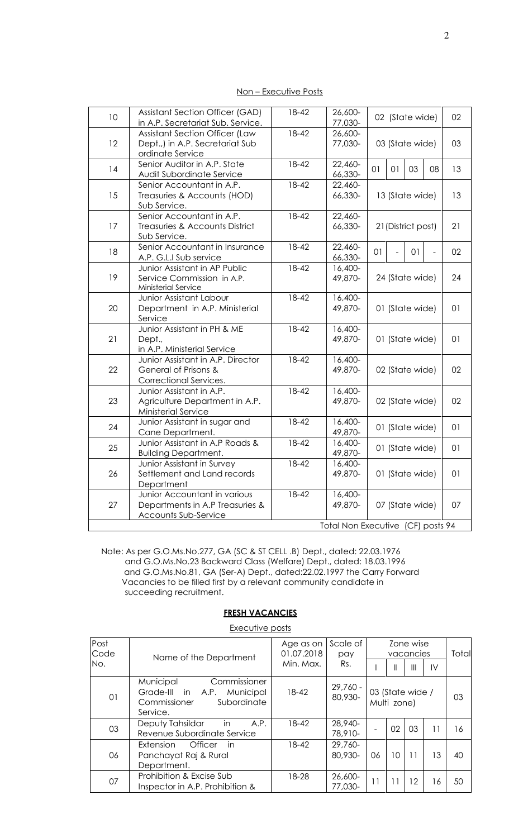| Non – Executive Posts |  |
|-----------------------|--|
|                       |  |

| 10 | <b>Assistant Section Officer (GAD)</b><br>18-42<br>26,600-<br>02 (State wide)<br>in A.P. Secretariat Sub. Service.<br>77,030-         |                                                   |                                   |                 |                 |                 |                | 02             |
|----|---------------------------------------------------------------------------------------------------------------------------------------|---------------------------------------------------|-----------------------------------|-----------------|-----------------|-----------------|----------------|----------------|
| 12 | <b>Assistant Section Officer (Law</b><br>Dept.,) in A.P. Secretariat Sub<br>ordinate Service                                          | 18-42                                             | 26,600-<br>77,030-                | 03 (State wide) |                 |                 |                | 03             |
| 14 | Senior Auditor in A.P. State<br>Audit Subordinate Service                                                                             | $18 - 42$                                         | 22,460-<br>66,330-                | O <sub>1</sub>  | 01              | 03              | 08             | 13             |
| 15 | Senior Accountant in A.P.<br>Treasuries & Accounts (HOD)<br>Sub Service.                                                              | 18-42                                             | 22,460-<br>66,330-                | 13 (State wide) |                 |                 | 13             |                |
| 17 | Senior Accountant in A.P.<br>Treasuries & Accounts District<br>Sub Service.                                                           | 18-42<br>22,460-<br>66,330-<br>21 (District post) |                                   |                 |                 |                 | 21             |                |
| 18 | Senior Accountant in Insurance<br>A.P. G.L.I Sub service                                                                              | 18-42                                             | 22,460-<br>66,330-                | 01              | $\overline{a}$  | 01              | $\blacksquare$ | 02             |
| 19 | 18-42<br>Junior Assistant in AP Public<br>16,400-<br>49,870-<br>Service Commission in A.P.<br>Ministerial Service                     |                                                   |                                   |                 |                 | 24 (State wide) |                |                |
| 20 | <b>Junior Assistant Labour</b><br>Department in A.P. Ministerial<br>Service                                                           | 18-42                                             | 16,400-<br>49,870-                | 01 (State wide) |                 |                 |                | 01             |
| 21 | Junior Assistant in PH & ME<br>Dept.,<br>in A.P. Ministerial Service                                                                  | 16,400-<br>49,870-                                | 01 (State wide)                   |                 |                 | 01              |                |                |
| 22 | 18-42<br>16,400-<br>Junior Assistant in A.P. Director<br>General of Prisons &<br>49,870-<br>02 (State wide)<br>Correctional Services. |                                                   |                                   |                 |                 |                 |                | 02             |
| 23 | Junior Assistant in A.P.<br>Agriculture Department in A.P.<br>Ministerial Service                                                     | 16,400-<br>49,870-                                |                                   |                 | 02 (State wide) |                 | 02             |                |
| 24 | Junior Assistant in sugar and<br>Cane Department.                                                                                     | $18 - 42$                                         | 16,400-<br>49,870-                |                 |                 | 01 (State wide) |                | O <sub>1</sub> |
| 25 | Junior Assistant in A.P Roads &<br><b>Building Department.</b>                                                                        | 18-42                                             | 16,400-<br>49,870-                |                 |                 | 01 (State wide) |                | 01             |
| 26 | Junior Assistant in Survey<br>Settlement and Land records<br>Department                                                               | 18-42                                             | 16,400-<br>49,870-                |                 |                 | 01 (State wide) |                | 01             |
| 27 | Junior Accountant in various<br>Departments in A.P Treasuries &<br>Accounts Sub-Service                                               | 18-42                                             | 16,400-<br>49,870-                |                 |                 | 07 (State wide) |                | 07             |
|    |                                                                                                                                       |                                                   | Total Non Executive (CF) posts 94 |                 |                 |                 |                |                |

Note: As per G.O.Ms.No.277, GA (SC & ST CELL .B) Dept., dated: 22.03.1976 and G.O.Ms.No.23 Backward Class (Welfare) Dept., dated: 18.03.1996 and G.O.Ms.No.81, GA (Ser-A) Dept., dated:22.02.1997 the Carry Forward Vacancies to be filled first by a relevant community candidate in succeeding recruitment.

# **FRESH VACANCIES**

Executive posts

| Post<br>Code | Name of the Department                                                                                    |           | Scale of<br>pay       | Zone wise<br>vacancies          |    |    |    | Total |
|--------------|-----------------------------------------------------------------------------------------------------------|-----------|-----------------------|---------------------------------|----|----|----|-------|
| No.          |                                                                                                           |           | Rs.                   |                                 | Ш  | Ш  | IV |       |
| 01           | Municipal<br>Commissioner<br>Grade-III in<br>A.P.<br>Municipal<br>Subordinate<br>Commissioner<br>Service. | $18 - 42$ | $29,760 -$<br>80,930- | 03 (State wide /<br>Multi zone) |    |    | 03 |       |
| 03           | Deputy Tahsildar<br>in<br>A.P.<br>Revenue Subordinate Service                                             | 18-42     | 28,940-<br>78,910-    |                                 | 02 | 03 | 11 | 16    |
| 06           | Officer<br>Extension<br>in<br>Panchayat Raj & Rural<br>Department.                                        | 18-42     | 29,760-<br>80,930-    | 06                              | 10 | 11 | 13 | 40    |
| 07           | Prohibition & Excise Sub<br>Inspector in A.P. Prohibition &                                               | 18-28     | 26,600-<br>77,030-    | 11                              | 11 | 12 | 16 | 50    |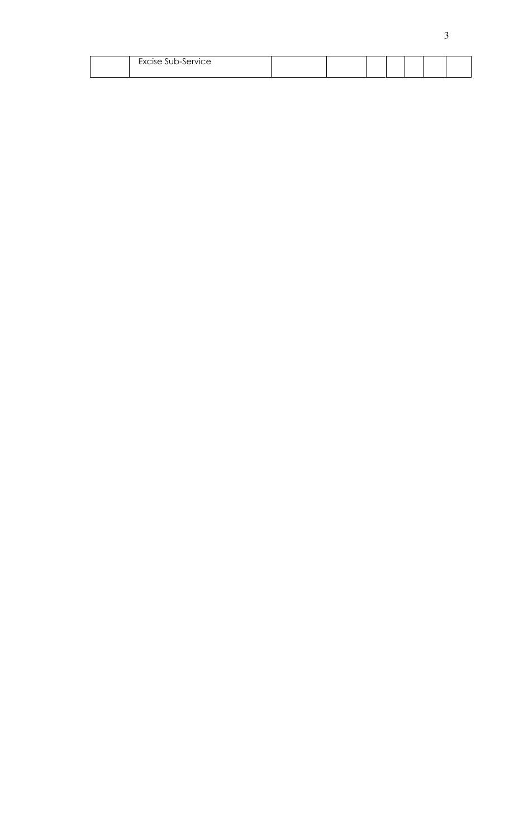| $\sim$ $\sim$<br>Excise Sub-Service |  |  |  |  |
|-------------------------------------|--|--|--|--|
|                                     |  |  |  |  |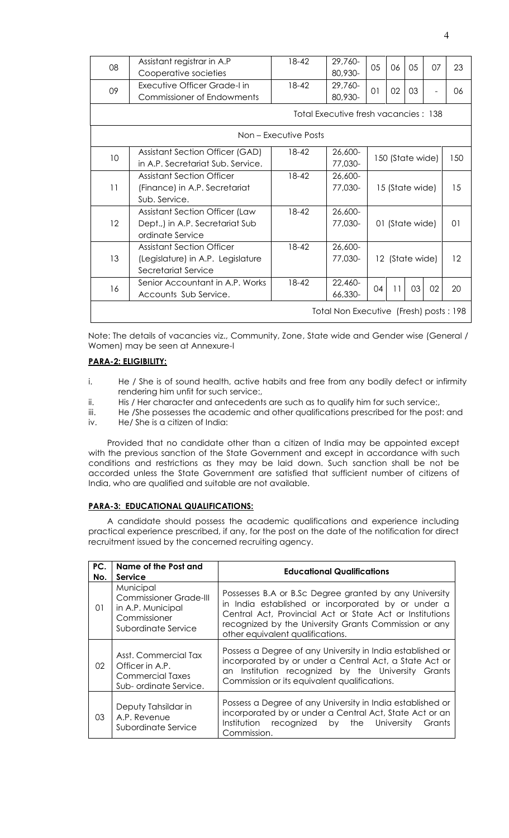| 18-42<br>29,760-<br>Assistant registrar in A.P<br>05<br>08<br>06<br>05<br>07               | 23  |  |  |  |  |  |  |
|--------------------------------------------------------------------------------------------|-----|--|--|--|--|--|--|
|                                                                                            |     |  |  |  |  |  |  |
| 80,930-<br>Cooperative societies                                                           |     |  |  |  |  |  |  |
| 18-42<br>29,760-<br>Executive Officer Grade-I in<br>09<br>01<br>02<br>03<br>$\overline{a}$ | 06  |  |  |  |  |  |  |
| 80,930-<br>Commissioner of Endowments                                                      |     |  |  |  |  |  |  |
| Total Executive fresh vacancies: 138                                                       |     |  |  |  |  |  |  |
| Non – Executive Posts                                                                      |     |  |  |  |  |  |  |
| 18-42<br>26,600-<br>Assistant Section Officer (GAD)<br>10<br>150 (State wide)              | 150 |  |  |  |  |  |  |
| 77,030-<br>in A.P. Secretariat Sub. Service.                                               |     |  |  |  |  |  |  |
| 18-42<br><b>Assistant Section Officer</b><br>26,600-                                       |     |  |  |  |  |  |  |
| 11<br>77,030-<br>(Finance) in A.P. Secretariat<br>15 (State wide)                          | 15  |  |  |  |  |  |  |
| Sub. Service.                                                                              |     |  |  |  |  |  |  |
| 18-42<br>Assistant Section Officer (Law<br>26,600-                                         |     |  |  |  |  |  |  |
| 12<br>Dept.,) in A.P. Secretariat Sub<br>77,030-<br>01 (State wide)                        | 01  |  |  |  |  |  |  |
| ordinate Service                                                                           |     |  |  |  |  |  |  |
| 18-42<br><b>Assistant Section Officer</b><br>26,600-                                       |     |  |  |  |  |  |  |
| 13<br>77,030-<br>(Legislature) in A.P. Legislature<br>12 (State wide)                      | 12  |  |  |  |  |  |  |
| Secretariat Service                                                                        |     |  |  |  |  |  |  |
| $18 - 42$<br>Senior Accountant in A.P. Works<br>22,460-<br>03<br>11<br>02<br>16<br>04      | 20  |  |  |  |  |  |  |
| 66,330-<br>Accounts Sub Service.                                                           |     |  |  |  |  |  |  |
| Total Non Executive (Fresh) posts: 198                                                     |     |  |  |  |  |  |  |

Note: The details of vacancies viz., Community, Zone, State wide and Gender wise (General / Women) may be seen at Annexure-I

#### **PARA-2: ELIGIBILITY:**

- i. He / She is of sound health, active habits and free from any bodily defect or infirmity rendering him unfit for such service:,
- ii. His / Her character and antecedents are such as to qualify him for such service:,
- iii. He /She possesses the academic and other qualifications prescribed for the post: and
- iv. He/ She is a citizen of India:

 Provided that no candidate other than a citizen of India may be appointed except with the previous sanction of the State Government and except in accordance with such conditions and restrictions as they may be laid down. Such sanction shall be not be accorded unless the State Government are satisfied that sufficient number of citizens of India, who are qualified and suitable are not available.

# **PARA-3: EDUCATIONAL QUALIFICATIONS:**

 A candidate should possess the academic qualifications and experience including practical experience prescribed, if any, for the post on the date of the notification for direct recruitment issued by the concerned recruiting agency.

| PC.<br>No. | Name of the Post and<br><b>Service</b>                                                                 | <b>Educational Qualifications</b>                                                                                                                                                                                                                                     |  |  |  |  |
|------------|--------------------------------------------------------------------------------------------------------|-----------------------------------------------------------------------------------------------------------------------------------------------------------------------------------------------------------------------------------------------------------------------|--|--|--|--|
| 01         | Municipal<br><b>Commissioner Grade-III</b><br>in A.P. Municipal<br>Commissioner<br>Subordinate Service | Possesses B.A or B.Sc Degree granted by any University<br>in India established or incorporated by or under a<br>Central Act, Provincial Act or State Act or Institutions<br>recognized by the University Grants Commission or any<br>other equivalent qualifications. |  |  |  |  |
| 02         | Asst. Commercial Tax<br>Officer in A.P.<br>Commercial Taxes<br>Sub-ordinate Service.                   | Possess a Degree of any University in India established or<br>incorporated by or under a Central Act, a State Act or<br>an Institution recognized by the University Grants<br>Commission or its equivalent qualifications.                                            |  |  |  |  |
| 03         | Deputy Tahsildar in<br>A.P. Revenue<br>Subordinate Service                                             | Possess a Degree of any University in India established or<br>incorporated by or under a Central Act, State Act or an<br>Institution<br>recognized by the University<br>Grants<br>Commission.                                                                         |  |  |  |  |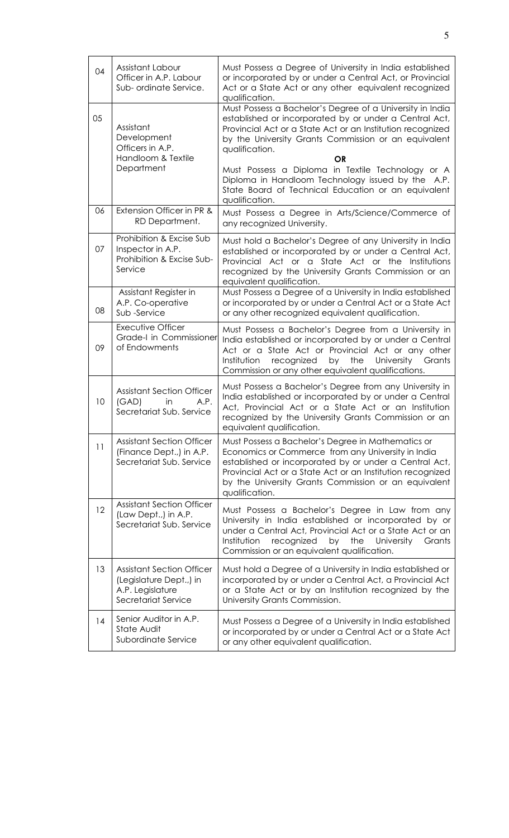| 04 | Assistant Labour<br>Officer in A.P. Labour<br>Sub- ordinate Service.                                   | Must Possess a Degree of University in India established<br>or incorporated by or under a Central Act, or Provincial<br>Act or a State Act or any other equivalent recognized<br>qualification.                                                                                                                                                                             |
|----|--------------------------------------------------------------------------------------------------------|-----------------------------------------------------------------------------------------------------------------------------------------------------------------------------------------------------------------------------------------------------------------------------------------------------------------------------------------------------------------------------|
| 05 | Assistant<br>Development<br>Officers in A.P.<br>Handloom & Textile<br>Department                       | Must Possess a Bachelor's Degree of a University in India<br>established or incorporated by or under a Central Act,<br>Provincial Act or a State Act or an Institution recognized<br>by the University Grants Commission or an equivalent<br>qualification.<br>OR<br>Must Possess a Diploma in Textile Technology or A<br>Diploma in Handloom Technology issued by the A.P. |
|    |                                                                                                        | State Board of Technical Education or an equivalent<br>qualification.                                                                                                                                                                                                                                                                                                       |
| 06 | Extension Officer in PR &<br>RD Department.                                                            | Must Possess a Degree in Arts/Science/Commerce of<br>any recognized University.                                                                                                                                                                                                                                                                                             |
| 07 | Prohibition & Excise Sub<br>Inspector in A.P.<br>Prohibition & Excise Sub-<br>Service                  | Must hold a Bachelor's Degree of any University in India<br>established or incorporated by or under a Central Act,<br>Provincial Act or a State Act or the Institutions<br>recognized by the University Grants Commission or an<br>equivalent qualification.                                                                                                                |
| 08 | Assistant Register in<br>A.P. Co-operative<br>Sub-Service                                              | Must Possess a Degree of a University in India established<br>or incorporated by or under a Central Act or a State Act<br>or any other recognized equivalent qualification.                                                                                                                                                                                                 |
| 09 | <b>Executive Officer</b><br>Grade-I in Commissioner<br>of Endowments                                   | Must Possess a Bachelor's Degree from a University in<br>India established or incorporated by or under a Central<br>Act or a State Act or Provincial Act or any other<br>recognized<br>University<br>Institution<br>by<br>the<br>Grants<br>Commission or any other equivalent qualifications.                                                                               |
| 10 | <b>Assistant Section Officer</b><br>(GAD)<br>in<br>A.P.<br>Secretariat Sub. Service                    | Must Possess a Bachelor's Degree from any University in<br>India established or incorporated by or under a Central<br>Act, Provincial Act or a State Act or an Institution<br>recognized by the University Grants Commission or an<br>equivalent qualification.                                                                                                             |
| 11 | <b>Assistant Section Officer</b><br>(Finance Dept.,) in A.P.<br>Secretariat Sub. Service               | Must Possess a Bachelor's Degree in Mathematics or<br>Economics or Commerce from any University in India<br>established or incorporated by or under a Central Act,<br>Provincial Act or a State Act or an Institution recognized<br>by the University Grants Commission or an equivalent<br>qualification.                                                                  |
| 12 | <b>Assistant Section Officer</b><br>(Law Dept.,) in A.P.<br>Secretariat Sub. Service                   | Must Possess a Bachelor's Degree in Law from any<br>University in India established or incorporated by or<br>under a Central Act, Provincial Act or a State Act or an<br>Institution<br>recognized<br>by<br>the<br>University<br>Grants<br>Commission or an equivalent qualification.                                                                                       |
| 13 | <b>Assistant Section Officer</b><br>(Legislature Dept.,) in<br>A.P. Legislature<br>Secretariat Service | Must hold a Degree of a University in India established or<br>incorporated by or under a Central Act, a Provincial Act<br>or a State Act or by an Institution recognized by the<br>University Grants Commission.                                                                                                                                                            |
| 14 | Senior Auditor in A.P.<br>State Audit<br>Subordinate Service                                           | Must Possess a Degree of a University in India established<br>or incorporated by or under a Central Act or a State Act<br>or any other equivalent qualification.                                                                                                                                                                                                            |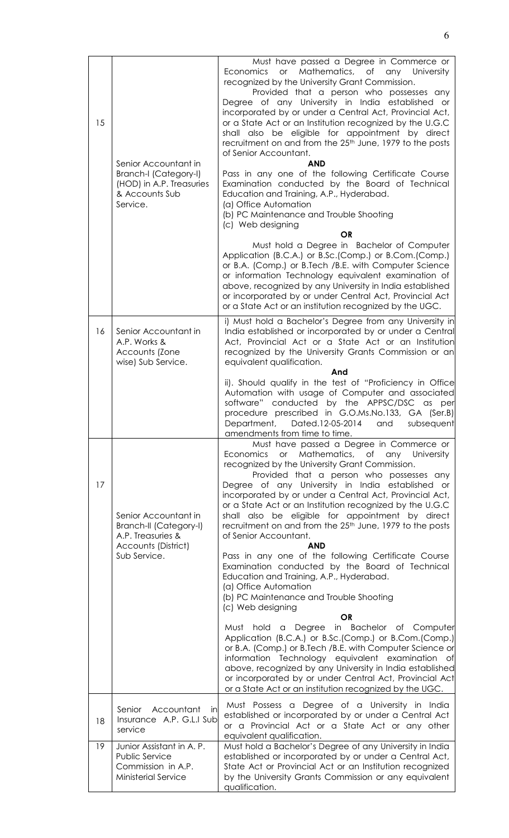| 15 | Senior Accountant in<br>Branch-I (Category-I)<br>(HOD) in A.P. Treasuries<br>& Accounts Sub<br>Service. | Must have passed a Degree in Commerce or<br>or Mathematics, of any University<br>Economics<br>recognized by the University Grant Commission.<br>Provided that a person who possesses any<br>Degree of any University in India established or<br>incorporated by or under a Central Act, Provincial Act,<br>or a State Act or an Institution recognized by the U.G.C<br>shall also be eligible for appointment by direct<br>recruitment on and from the 25 <sup>th</sup> June, 1979 to the posts<br>of Senior Accountant.<br><b>AND</b><br>Pass in any one of the following Certificate Course<br>Examination conducted by the Board of Technical<br>Education and Training, A.P., Hyderabad.<br>(a) Office Automation<br>(b) PC Maintenance and Trouble Shooting<br>(c) Web designing<br><b>OR</b> |
|----|---------------------------------------------------------------------------------------------------------|----------------------------------------------------------------------------------------------------------------------------------------------------------------------------------------------------------------------------------------------------------------------------------------------------------------------------------------------------------------------------------------------------------------------------------------------------------------------------------------------------------------------------------------------------------------------------------------------------------------------------------------------------------------------------------------------------------------------------------------------------------------------------------------------------|
|    |                                                                                                         | Must hold a Degree in Bachelor of Computer<br>Application (B.C.A.) or B.Sc.(Comp.) or B.Com.(Comp.)<br>or B.A. (Comp.) or B.Tech /B.E. with Computer Science<br>or information Technology equivalent examination of<br>above, recognized by any University in India established<br>or incorporated by or under Central Act, Provincial Act<br>or a State Act or an institution recognized by the UGC.                                                                                                                                                                                                                                                                                                                                                                                              |
| 16 | Senior Accountant in<br>A.P. Works &<br>Accounts (Zone<br>wise) Sub Service.                            | i) Must hold a Bachelor's Degree from any University in<br>India established or incorporated by or under a Central<br>Act, Provincial Act or a State Act or an Institution<br>recognized by the University Grants Commission or an<br>equivalent qualification.                                                                                                                                                                                                                                                                                                                                                                                                                                                                                                                                    |
|    |                                                                                                         | And<br>ii). Should qualify in the test of "Proficiency in Office<br>Automation with usage of Computer and associated<br>software" conducted by the APPSC/DSC as per<br>procedure prescribed in G.O.Ms.No.133, GA (Ser.B)<br>Department, Dated.12-05-2014 and subsequent<br>amendments from time to time.                                                                                                                                                                                                                                                                                                                                                                                                                                                                                           |
| 17 | Senior Accountant in<br><b>Branch-II (Category-I)</b><br>A.P. Treasuries &<br>Accounts (District)       | Must have passed a Degree in Commerce or<br>or Mathematics, of any University<br>Economics<br>recognized by the University Grant Commission.<br>Provided that a person who possesses any<br>Degree of any University in India established or<br>incorporated by or under a Central Act, Provincial Act,<br>or a State Act or an Institution recognized by the U.G.C<br>shall also be eligible for appointment by direct<br>recruitment on and from the 25 <sup>th</sup> June, 1979 to the posts<br>of Senior Accountant.<br><b>AND</b>                                                                                                                                                                                                                                                             |
|    | Sub Service.                                                                                            | Pass in any one of the following Certificate Course<br>Examination conducted by the Board of Technical<br>Education and Training, A.P., Hyderabad.<br>(a) Office Automation<br>(b) PC Maintenance and Trouble Shooting<br>(c) Web designing                                                                                                                                                                                                                                                                                                                                                                                                                                                                                                                                                        |
|    |                                                                                                         | <b>OR</b><br>Must hold a Degree in Bachelor of Computer<br>Application (B.C.A.) or B.Sc.(Comp.) or B.Com.(Comp.)<br>or B.A. (Comp.) or B.Tech /B.E. with Computer Science or<br>information Technology equivalent examination of<br>above, recognized by any University in India established<br>or incorporated by or under Central Act, Provincial Act<br>or a State Act or an institution recognized by the UGC.                                                                                                                                                                                                                                                                                                                                                                                 |
| 18 | Accountant<br>Senior<br>in.<br>Insurance A.P. G.L.I Sub<br>service                                      | Must Possess a Degree of a University in India<br>established or incorporated by or under a Central Act<br>or a Provincial Act or a State Act or any other<br>equivalent qualification.                                                                                                                                                                                                                                                                                                                                                                                                                                                                                                                                                                                                            |
| 19 | Junior Assistant in A. P.<br>Public Service<br>Commission in A.P.<br><b>Ministerial Service</b>         | Must hold a Bachelor's Degree of any University in India<br>established or incorporated by or under a Central Act,<br>State Act or Provincial Act or an Institution recognized<br>by the University Grants Commission or any equivalent<br>qualification.                                                                                                                                                                                                                                                                                                                                                                                                                                                                                                                                          |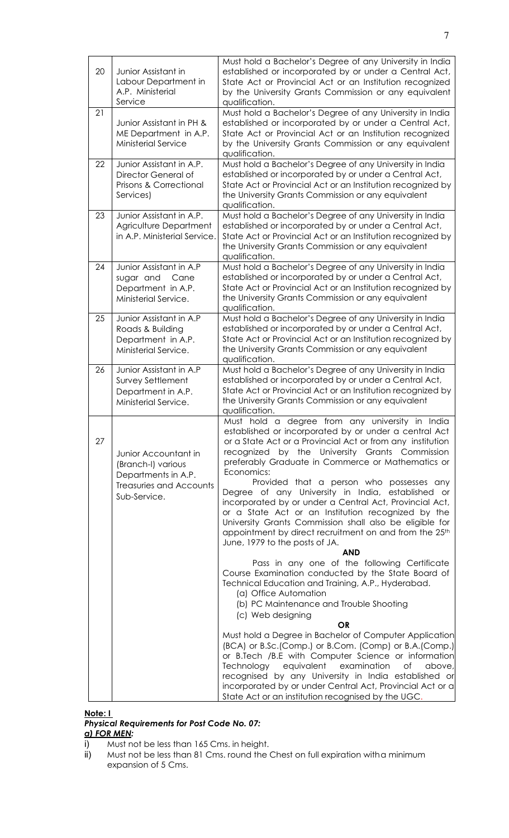| 20 | Junior Assistant in<br>Labour Department in<br>A.P. Ministerial<br>Service                                          | Must hold a Bachelor's Degree of any University in India<br>established or incorporated by or under a Central Act,<br>State Act or Provincial Act or an Institution recognized<br>by the University Grants Commission or any equivalent<br>qualification.                                                                                                                                                                                                                                                                                                                                                                                                                                                                                                                                     |
|----|---------------------------------------------------------------------------------------------------------------------|-----------------------------------------------------------------------------------------------------------------------------------------------------------------------------------------------------------------------------------------------------------------------------------------------------------------------------------------------------------------------------------------------------------------------------------------------------------------------------------------------------------------------------------------------------------------------------------------------------------------------------------------------------------------------------------------------------------------------------------------------------------------------------------------------|
| 21 | Junior Assistant in PH &<br>ME Department in A.P.<br>Ministerial Service                                            | Must hold a Bachelor's Degree of any University in India<br>established or incorporated by or under a Central Act,<br>State Act or Provincial Act or an Institution recognized<br>by the University Grants Commission or any equivalent<br>qualification.                                                                                                                                                                                                                                                                                                                                                                                                                                                                                                                                     |
| 22 | Junior Assistant in A.P.<br>Director General of<br>Prisons & Correctional<br>Services)                              | Must hold a Bachelor's Degree of any University in India<br>established or incorporated by or under a Central Act,<br>State Act or Provincial Act or an Institution recognized by<br>the University Grants Commission or any equivalent<br>qualification.                                                                                                                                                                                                                                                                                                                                                                                                                                                                                                                                     |
| 23 | Junior Assistant in A.P.<br>Agriculture Department<br>in A.P. Ministerial Service                                   | Must hold a Bachelor's Degree of any University in India<br>established or incorporated by or under a Central Act,<br>State Act or Provincial Act or an Institution recognized by<br>the University Grants Commission or any equivalent<br>qualification.                                                                                                                                                                                                                                                                                                                                                                                                                                                                                                                                     |
| 24 | Junior Assistant in A.P<br>sugar and<br>Cane<br>Department in A.P.<br>Ministerial Service.                          | Must hold a Bachelor's Degree of any University in India<br>established or incorporated by or under a Central Act,<br>State Act or Provincial Act or an Institution recognized by<br>the University Grants Commission or any equivalent<br>qualification.                                                                                                                                                                                                                                                                                                                                                                                                                                                                                                                                     |
| 25 | Junior Assistant in A.P<br>Roads & Building<br>Department in A.P.<br>Ministerial Service.                           | Must hold a Bachelor's Degree of any University in India<br>established or incorporated by or under a Central Act,<br>State Act or Provincial Act or an Institution recognized by<br>the University Grants Commission or any equivalent<br>qualification.                                                                                                                                                                                                                                                                                                                                                                                                                                                                                                                                     |
| 26 | Junior Assistant in A.P<br>Survey Settlement<br>Department in A.P.<br>Ministerial Service.                          | Must hold a Bachelor's Degree of any University in India<br>established or incorporated by or under a Central Act,<br>State Act or Provincial Act or an Institution recognized by<br>the University Grants Commission or any equivalent<br>qualification.                                                                                                                                                                                                                                                                                                                                                                                                                                                                                                                                     |
| 27 | Junior Accountant in<br>(Branch-I) various<br>Departments in A.P.<br><b>Treasuries and Accounts</b><br>Sub-Service. | Must hold a degree from any university in India<br>established or incorporated by or under a central Act<br>or a State Act or a Provincial Act or from any institution<br>recognized by the University Grants Commission<br>preferably Graduate in Commerce or Mathematics or<br>Economics:<br>Provided that a person who possesses any<br>Degree of any University in India, established or<br>incorporated by or under a Central Act, Provincial Act,<br>or a State Act or an Institution recognized by the<br>University Grants Commission shall also be eligible for<br>appointment by direct recruitment on and from the 25 <sup>th</sup><br>June, 1979 to the posts of JA.<br>AND<br>Pass in any one of the following Certificate<br>Course Examination conducted by the State Board of |
|    |                                                                                                                     | Technical Education and Training, A.P., Hyderabad.<br>(a) Office Automation<br>(b) PC Maintenance and Trouble Shooting<br>(c) Web designing<br>OR<br>Must hold a Degree in Bachelor of Computer Application                                                                                                                                                                                                                                                                                                                                                                                                                                                                                                                                                                                   |
|    |                                                                                                                     | (BCA) or B.Sc.(Comp.) or B.Com. (Comp) or B.A.(Comp.)<br>or B.Tech /B.E with Computer Science or information<br>equivalent<br>examination<br>Technology<br>of<br>above,<br>recognised by any University in India established or<br>incorporated by or under Central Act, Provincial Act or a<br>State Act or an institution recognised by the UGC.                                                                                                                                                                                                                                                                                                                                                                                                                                            |

#### **Note: I**

*Physical Requirements for Post Code No. 07:*  **a) FOR MEN:**<br>**i)** Must no

- 
- i) Must not be less than 165 Cms. in height.<br>ii) Must not be less than 81 Cms. round the ( ii) Must not be less than 81 Cms. round the Chest on full expiration with a minimum expansion of 5 Cms.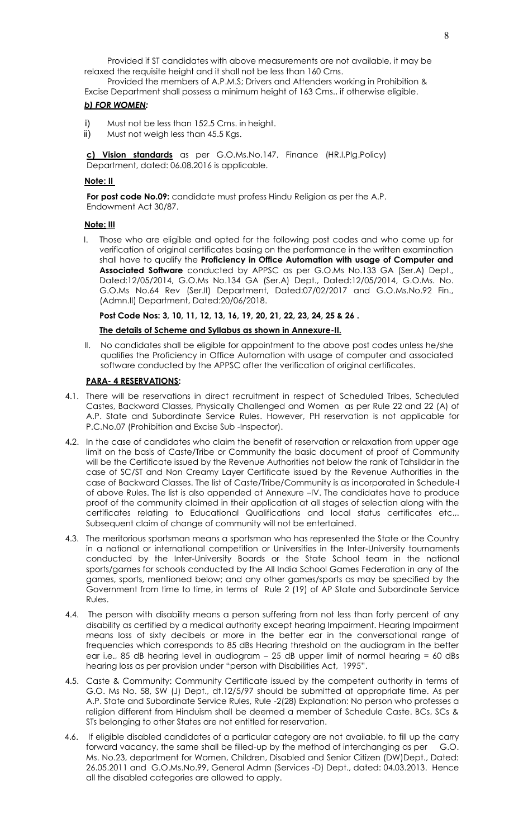Provided if ST candidates with above measurements are not available, it may be relaxed the requisite height and it shall not be less than 160 Cms.

 Provided the members of A.P.M.S; Drivers and Attenders working in Prohibition & Excise Department shall possess a minimum height of 163 Cms., if otherwise eligible.

# *b) FOR WOMEN:*

- i) Must not be less than 152.5 Cms. in height.
- ii) Must not weigh less than 45.5 Kgs.

**c) Vision standards** as per G.O.Ms.No.147, Finance (HR.I.Plg.Policy) Department, dated: 06.08.2016 is applicable.

#### **Note: II**

**For post code No.09:** candidate must profess Hindu Religion as per the A.P. Endowment Act 30/87.

#### **Note: III**

I. Those who are eligible and opted for the following post codes and who come up for verification of original certificates basing on the performance in the written examination shall have to qualify the **Proficiency in Office Automation with usage of Computer and Associated Software** conducted by APPSC as per G.O.Ms No.133 GA (Ser.A) Dept., Dated:12/05/2014, G.O.Ms No.134 GA (Ser.A) Dept., Dated:12/05/2014, G.O.Ms. No. G.O.Ms No.64 Rev (Ser.II) Department, Dated:07/02/2017 and G.O.Ms.No.92 Fin., (Admn.II) Department, Dated:20/06/2018.

**Post Code Nos: 3, 10, 11, 12, 13, 16, 19, 20, 21, 22, 23, 24, 25 & 26 .** 

#### **The details of Scheme and Syllabus as shown in Annexure-II.**

II. No candidates shall be eligible for appointment to the above post codes unless he/she qualifies the Proficiency in Office Automation with usage of computer and associated software conducted by the APPSC after the verification of original certificates.

#### **PARA- 4 RESERVATIONS:**

- 4.1.There will be reservations in direct recruitment in respect of Scheduled Tribes, Scheduled Castes, Backward Classes, Physically Challenged and Women as per Rule 22 and 22 (A) of A.P. State and Subordinate Service Rules. However, PH reservation is not applicable for P.C.No.07 (Prohibition and Excise Sub -Inspector).
- 4**.**2. In the case of candidates who claim the benefit of reservation or relaxation from upper age limit on the basis of Caste/Tribe or Community the basic document of proof of Community will be the Certificate issued by the Revenue Authorities not below the rank of Tahsildar in the case of SC/ST and Non Creamy Layer Certificate issued by the Revenue Authorities in the case of Backward Classes. The list of Caste/Tribe/Community is as incorporated in Schedule-I of above Rules. The list is also appended at Annexure –IV. The candidates have to produce proof of the community claimed in their application at all stages of selection along with the certificates relating to Educational Qualifications and local status certificates etc.,. Subsequent claim of change of community will not be entertained.
- 4.3. The meritorious sportsman means a sportsman who has represented the State or the Country in a national or international competition or Universities in the Inter-University tournaments conducted by the Inter-University Boards or the State School team in the national sports/games for schools conducted by the All India School Games Federation in any of the games, sports, mentioned below; and any other games/sports as may be specified by the Government from time to time, in terms of Rule 2 (19) of AP State and Subordinate Service Rules.
- 4.4. The person with disability means a person suffering from not less than forty percent of any disability as certified by a medical authority except hearing Impairment. Hearing Impairment means loss of sixty decibels or more in the better ear in the conversational range of frequencies which corresponds to 85 dBs Hearing threshold on the audiogram in the better ear i.e., 85 dB hearing level in audiogram – 25 dB upper limit of normal hearing = 60 dBs hearing loss as per provision under "person with Disabilities Act, 1995".
- 4.5. Caste & Community: Community Certificate issued by the competent authority in terms of G.O. Ms No. 58, SW (J) Dept., dt.12/5/97 should be submitted at appropriate time. As per A.P. State and Subordinate Service Rules, Rule -2(28) Explanation: No person who professes a religion different from Hinduism shall be deemed a member of Schedule Caste. BCs, SCs & STs belonging to other States are not entitled for reservation.
- 4.6. If eligible disabled candidates of a particular category are not available, to fill up the carry forward vacancy, the same shall be filled-up by the method of interchanging as per G.O. Ms. No.23, department for Women, Children, Disabled and Senior Citizen (DW)Dept., Dated: 26.05.2011 and G.O.Ms.No.99, General Admn (Services -D) Dept., dated: 04.03.2013. Hence all the disabled categories are allowed to apply.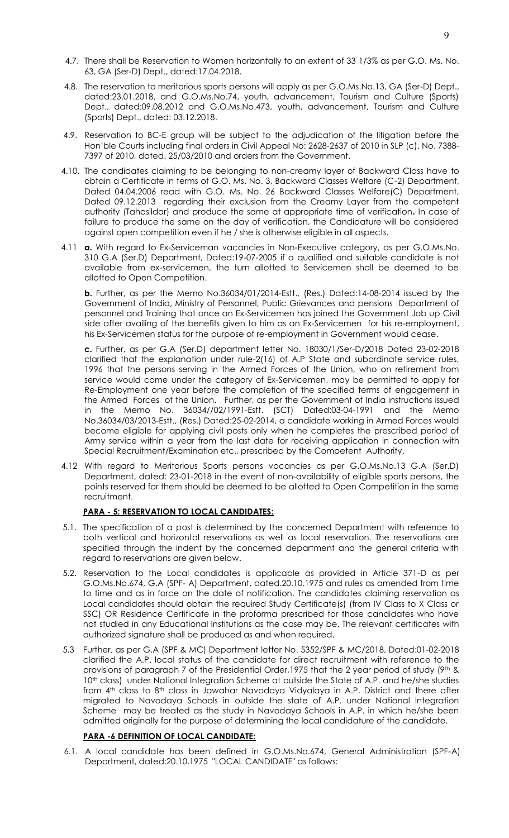- 4.7. There shall be Reservation to Women horizontally to an extent of 33 1/3% as per G.O. Ms. No. 63, GA (Ser-D) Dept., dated:17.04.2018.
- 4.8. The reservation to meritorious sports persons will apply as per G.O.Ms.No.13, GA (Ser-D) Dept., dated:23.01.2018, and G.O.Ms.No.74, youth, advancement, Tourism and Culture (Sports) Dept., dated:09.08.2012 and G.O.Ms.No.473, youth, advancement, Tourism and Culture (Sports) Dept., dated: 03.12.2018.
- 4.9. Reservation to BC-E group will be subject to the adjudication of the litigation before the Hon'ble Courts including final orders in Civil Appeal No: 2628-2637 of 2010 in SLP (c). No. 7388- 7397 of 2010, dated. 25/03/2010 and orders from the Government.
- 4.10. The candidates claiming to be belonging to non-creamy layer of Backward Class have to obtain a Certificate in terms of G.O. Ms. No. 3, Backward Classes Welfare (C-2) Department, Dated 04.04.2006 read with G.O. Ms. No. 26 Backward Classes Welfare(C) Department, Dated 09.12.2013 regarding their exclusion from the Creamy Layer from the competent authority (Tahasildar) and produce the same at appropriate time of verification**.** In case of failure to produce the same on the day of verification, the Candidature will be considered against open competition even if he / she is otherwise eligible in all aspects.
- 4.11 **a.** With regard to Ex-Serviceman vacancies in Non-Executive category, as per G.O.Ms.No. 310 G.A (Ser.D) Department, Dated:19-07-2005 if a qualified and suitable candidate is not available from ex-servicemen, the turn allotted to Servicemen shall be deemed to be allotted to Open Competition.

**b.** Further, as per the Memo No.36034/01/2014-Estt., (Res.) Dated:14-08-2014 issued by the Government of India, Ministry of Personnel, Public Grievances and pensions Department of personnel and Training that once an Ex-Servicemen has joined the Government Job up Civil side after availing of the benefits given to him as an Ex-Servicemen for his re-employment, his Ex-Servicemen status for the purpose of re-employment in Government would cease.

**c.** Further, as per G.A (Ser.D) department letter No. 18030/1/Ser-D/2018 Dated 23-02-2018 clarified that the explanation under rule-2(16) of A.P State and subordinate service rules, 1996 that the persons serving in the Armed Forces of the Union, who on retirement from service would come under the category of Ex-Servicemen, may be permitted to apply for Re-Employment one year before the completion of the specified terms of engagement in the Armed Forces of the Union. Further, as per the Government of India instructions issued in the Memo No. 36034//02/1991-Estt. (SCT) Dated:03-04-1991 and the Memo No.36034/03/2013-Estt., (Res.) Dated:25-02-2014, a candidate working in Armed Forces would become eligible for applying civil posts only when he completes the prescribed period of Army service within a year from the last date for receiving application in connection with Special Recruitment/Examination etc., prescribed by the Competent Authority.

4.12 With regard to Meritorious Sports persons vacancies as per G.O.Ms.No.13 G.A (Ser.D) Department, dated: 23-01-2018 in the event of non-availability of eligible sports persons, the points reserved for them should be deemed to be allotted to Open Competition in the same recruitment.

#### **PARA - 5: RESERVATION TO LOCAL CANDIDATES:**

- 5.1. The specification of a post is determined by the concerned Department with reference to both vertical and horizontal reservations as well as local reservation. The reservations are specified through the indent by the concerned department and the general criteria with regard to reservations are given below.
- 5.2. Reservation to the Local candidates is applicable as provided in Article 371-D as per G.O.Ms.No.674, G.A (SPF- A) Department, dated.20.10.1975 and rules as amended from time to time and as in force on the date of notification. The candidates claiming reservation as Local candidates should obtain the required Study Certificate(s) (from IV Class to X Class or SSC) OR Residence Certificate in the proforma prescribed for those candidates who have not studied in any Educational Institutions as the case may be. The relevant certificates with authorized signature shall be produced as and when required.
- 5.3 Further, as per G.A (SPF & MC) Department letter No. 5352/SPF & MC/2018, Dated:01-02-2018 clarified the A.P. local status of the candidate for direct recruitment with reference to the provisions of paragraph 7 of the Presidential Order, 1975 that the 2 year period of study  $(9<sup>th</sup>$  & 10<sup>th</sup> class) under National Integration Scheme at outside the State of A.P. and he/she studies from 4<sup>th</sup> class to 8<sup>th</sup> class in Jawahar Navodaya Vidyalaya in A.P. District and there after migrated to Navodaya Schools in outside the state of A.P. under National Integration Scheme may be treated as the study in Navodaya Schools in A.P. in which he/she been admitted originally for the purpose of determining the local candidature of the candidate.

#### **PARA -6 DEFINITION OF LOCAL CANDIDATE:**

6.1. A local candidate has been defined in G.O.Ms.No.674, General Administration (SPF-A) Department, dated:20.10.1975 "LOCAL CANDIDATE" as follows: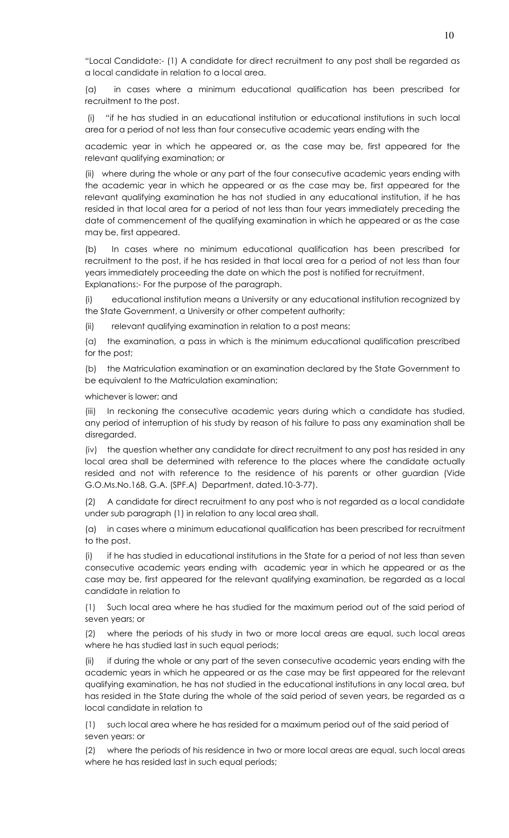"Local Candidate:- (1) A candidate for direct recruitment to any post shall be regarded as a local candidate in relation to a local area.

(a) in cases where a minimum educational qualification has been prescribed for recruitment to the post.

 (i) "if he has studied in an educational institution or educational institutions in such local area for a period of not less than four consecutive academic years ending with the

academic year in which he appeared or, as the case may be, first appeared for the relevant qualifying examination; or

(ii) where during the whole or any part of the four consecutive academic years ending with the academic year in which he appeared or as the case may be, first appeared for the relevant qualifying examination he has not studied in any educational institution, if he has resided in that local area for a period of not less than four years immediately preceding the date of commencement of the qualifying examination in which he appeared or as the case may be, first appeared.

(b) In cases where no minimum educational qualification has been prescribed for recruitment to the post, if he has resided in that local area for a period of not less than four years immediately proceeding the date on which the post is notified for recruitment. Explanations:- For the purpose of the paragraph.

(i) educational institution means a University or any educational institution recognized by the State Government, a University or other competent authority;

(ii) relevant qualifying examination in relation to a post means;

(a) the examination, a pass in which is the minimum educational qualification prescribed for the post;

(b) the Matriculation examination or an examination declared by the State Government to be equivalent to the Matriculation examination;

whichever is lower; and

(iii) In reckoning the consecutive academic years during which a candidate has studied, any period of interruption of his study by reason of his failure to pass any examination shall be disregarded.

(iv) the question whether any candidate for direct recruitment to any post has resided in any local area shall be determined with reference to the places where the candidate actually resided and not with reference to the residence of his parents or other guardian (Vide G.O.Ms.No.168, G.A. (SPF.A) Department, dated.10-3-77).

A candidate for direct recruitment to any post who is not regarded as a local candidate under sub paragraph (1) in relation to any local area shall.

(a) in cases where a minimum educational qualification has been prescribed for recruitment to the post.

(i) if he has studied in educational institutions in the State for a period of not less than seven consecutive academic years ending with academic year in which he appeared or as the case may be, first appeared for the relevant qualifying examination, be regarded as a local candidate in relation to

(1) Such local area where he has studied for the maximum period out of the said period of seven years; or

(2) where the periods of his study in two or more local areas are equal, such local areas where he has studied last in such equal periods;

(ii) if during the whole or any part of the seven consecutive academic years ending with the academic years in which he appeared or as the case may be first appeared for the relevant qualifying examination, he has not studied in the educational institutions in any local area, but has resided in the State during the whole of the said period of seven years, be regarded as a local candidate in relation to

(1) such local area where he has resided for a maximum period out of the said period of seven years: or

(2) where the periods of his residence in two or more local areas are equal, such local areas where he has resided last in such equal periods;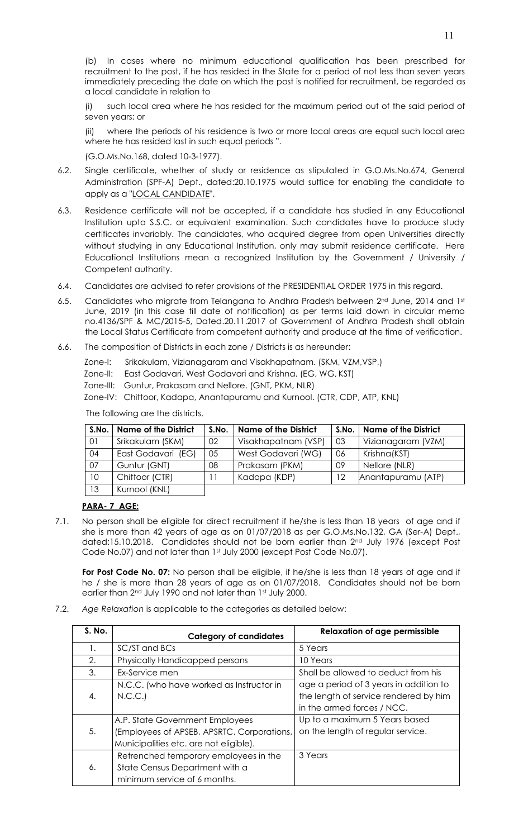(b) In cases where no minimum educational qualification has been prescribed for recruitment to the post, if he has resided in the State for a period of not less than seven years immediately preceding the date on which the post is notified for recruitment, be regarded as a local candidate in relation to

(i) such local area where he has resided for the maximum period out of the said period of seven years; or

(ii) where the periods of his residence is two or more local areas are equal such local area where he has resided last in such equal periods ".

(G.O.Ms.No.168, dated 10-3-1977).

- 6.2. Single certificate, whether of study or residence as stipulated in G.O.Ms.No.674, General Administration (SPF-A) Dept., dated:20.10.1975 would suffice for enabling the candidate to apply as a "LOCAL CANDIDATE".
- 6.3. Residence certificate will not be accepted, if a candidate has studied in any Educational Institution upto S.S.C. or equivalent examination. Such candidates have to produce study certificates invariably. The candidates, who acquired degree from open Universities directly without studying in any Educational Institution, only may submit residence certificate. Here Educational Institutions mean a recognized Institution by the Government / University / Competent authority.
- 6.4. Candidates are advised to refer provisions of the PRESIDENTIAL ORDER 1975 in this regard.
- 6.5. Candidates who migrate from Telangana to Andhra Pradesh between  $2^{nd}$  June, 2014 and 1st June, 2019 (in this case till date of notification) as per terms laid down in circular memo no.4136/SPF & MC/2015-5, Dated.20.11.2017 of Government of Andhra Pradesh shall obtain the Local Status Certificate from competent authority and produce at the time of verification.
- 6.6. The composition of Districts in each zone / Districts is as hereunder:

Zone-I: Srikakulam, Vizianagaram and Visakhapatnam. (SKM, VZM,VSP,)

- Zone-II: East Godavari, West Godavari and Krishna. (EG, WG, KST)
- Zone-III: Guntur, Prakasam and Nellore. (GNT, PKM, NLR)
- Zone-IV: Chittoor, Kadapa, Anantapuramu and Kurnool. (CTR, CDP, ATP, KNL)

| S.No. | <b>Name of the District</b> | S.No. | <b>Name of the District</b> | S.No. | <b>Name of the District</b> |
|-------|-----------------------------|-------|-----------------------------|-------|-----------------------------|
| 01    | Srikakulam (SKM)            | 02    | Visakhapatnam (VSP)         | 03    | Vizianagaram (VZM)          |
| 04    | East Godavari (EG)          | 05    | West Godavari (WG)          | 06    | Krishna (KST)               |
| 07    | Guntur (GNT)                | 08    | Prakasam (PKM)              | 09    | Nellore (NLR)               |
| 10    | Chittoor (CTR)              | 11    | Kadapa (KDP)                | 12    | Anantapuramu (ATP)          |
| 13    | Kurnool (KNL)               |       |                             |       |                             |

The following are the districts.

#### **PARA- 7 AGE:**

7.1. No person shall be eligible for direct recruitment if he/she is less than 18 years of age and if she is more than 42 years of age as on 01/07/2018 as per G.O.Ms.No.132, GA (Ser-A) Dept., dated:15.10.2018. Candidates should not be born earlier than 2nd July 1976 (except Post Code No.07) and not later than 1st July 2000 (except Post Code No.07).

For Post Code No. 07: No person shall be eligible, if he/she is less than 18 years of age and if he / she is more than 28 years of age as on 01/07/2018. Candidates should not be born earlier than 2nd July 1990 and not later than 1st July 2000.

7.2. *Age Relaxation* is applicable to the categories as detailed below:

| S. No. | <b>Category of candidates</b>              | <b>Relaxation of age permissible</b>   |
|--------|--------------------------------------------|----------------------------------------|
| 1.     | SC/ST and BCs                              | 5 Years                                |
| 2.     | Physically Handicapped persons             | 10 Years                               |
| 3.     | Ex-Service men                             | Shall be allowed to deduct from his    |
|        | N.C.C. (who have worked as Instructor in   | age a period of 3 years in addition to |
| 4.     | N.C.C.                                     | the length of service rendered by him  |
|        |                                            | in the armed forces / NCC.             |
|        | A.P. State Government Employees            | Up to a maximum 5 Years based          |
| 5.     | (Employees of APSEB, APSRTC, Corporations, | on the length of regular service.      |
|        | Municipalities etc. are not eligible).     |                                        |
|        | Retrenched temporary employees in the      | 3 Years                                |
| 6.     | State Census Department with a             |                                        |
|        | minimum service of 6 months.               |                                        |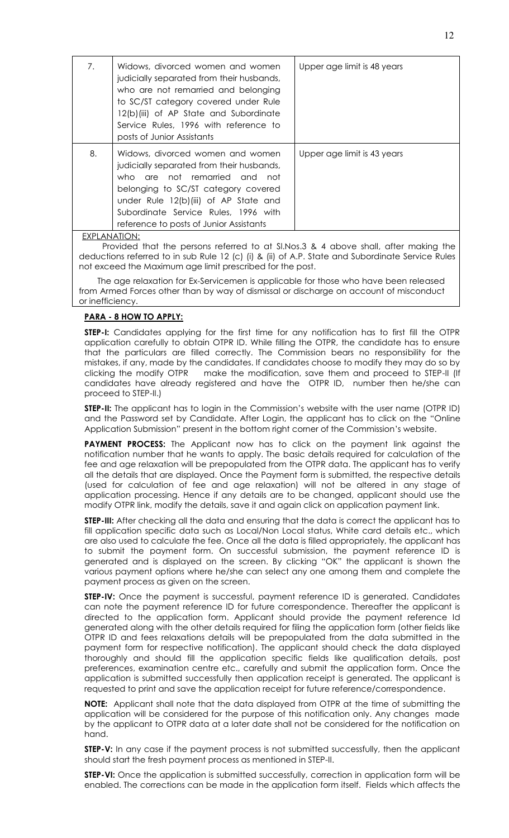| 7. | Widows, divorced women and women<br>judicially separated from their husbands,<br>who are not remarried and belonging<br>to SC/ST category covered under Rule<br>12(b)(iii) of AP State and Subordinate<br>Service Rules, 1996 with reference to<br>posts of Junior Assistants     | Upper age limit is 48 years |
|----|-----------------------------------------------------------------------------------------------------------------------------------------------------------------------------------------------------------------------------------------------------------------------------------|-----------------------------|
| 8. | Widows, divorced women and women<br>judicially separated from their husbands,<br>who are not remarried and not<br>belonging to SC/ST category covered<br>under Rule 12(b)(iii) of AP State and<br>Subordinate Service Rules, 1996 with<br>reference to posts of Junior Assistants | Upper age limit is 43 years |

EXPLANATION:

Provided that the persons referred to at Sl.Nos.3 & 4 above shall, after making the deductions referred to in sub Rule 12 (c) (i) & (ii) of A.P. State and Subordinate Service Rules not exceed the Maximum age limit prescribed for the post.

 The age relaxation for Ex-Servicemen is applicable for those who have been released from Armed Forces other than by way of dismissal or discharge on account of misconduct or inefficiency.

# **PARA - 8 HOW TO APPLY:**

**STEP-I:** Candidates applying for the first time for any notification has to first fill the OTPR application carefully to obtain OTPR ID. While filling the OTPR, the candidate has to ensure that the particulars are filled correctly. The Commission bears no responsibility for the mistakes, if any, made by the candidates. If candidates choose to modify they may do so by clicking the modify OTPR make the modification, save them and proceed to STEP-II (If candidates have already registered and have the OTPR ID, number then he/she can proceed to STEP-II.)

**STEP-II:** The applicant has to login in the Commission's website with the user name (OTPR ID) and the Password set by Candidate. After Login, the applicant has to click on the "Online Application Submission" present in the bottom right corner of the Commission's website.

**PAYMENT PROCESS:** The Applicant now has to click on the payment link against the notification number that he wants to apply. The basic details required for calculation of the fee and age relaxation will be prepopulated from the OTPR data. The applicant has to verify all the details that are displayed. Once the Payment form is submitted, the respective details (used for calculation of fee and age relaxation) will not be altered in any stage of application processing. Hence if any details are to be changed, applicant should use the modify OTPR link, modify the details, save it and again click on application payment link.

**STEP-III:** After checking all the data and ensuring that the data is correct the applicant has to fill application specific data such as Local/Non Local status, White card details etc., which are also used to calculate the fee. Once all the data is filled appropriately, the applicant has to submit the payment form. On successful submission, the payment reference ID is generated and is displayed on the screen. By clicking "OK" the applicant is shown the various payment options where he/she can select any one among them and complete the payment process as given on the screen.

**STEP-IV:** Once the payment is successful, payment reference ID is generated. Candidates can note the payment reference ID for future correspondence. Thereafter the applicant is directed to the application form. Applicant should provide the payment reference Id generated along with the other details required for filing the application form (other fields like OTPR ID and fees relaxations details will be prepopulated from the data submitted in the payment form for respective notification). The applicant should check the data displayed thoroughly and should fill the application specific fields like qualification details, post preferences, examination centre etc., carefully and submit the application form. Once the application is submitted successfully then application receipt is generated. The applicant is requested to print and save the application receipt for future reference/correspondence.

**NOTE:** Applicant shall note that the data displayed from OTPR at the time of submitting the application will be considered for the purpose of this notification only. Any changes made by the applicant to OTPR data at a later date shall not be considered for the notification on hand.

**STEP-V:** In any case if the payment process is not submitted successfully, then the applicant should start the fresh payment process as mentioned in STEP-II.

**STEP-VI:** Once the application is submitted successfully, correction in application form will be enabled. The corrections can be made in the application form itself. Fields which affects the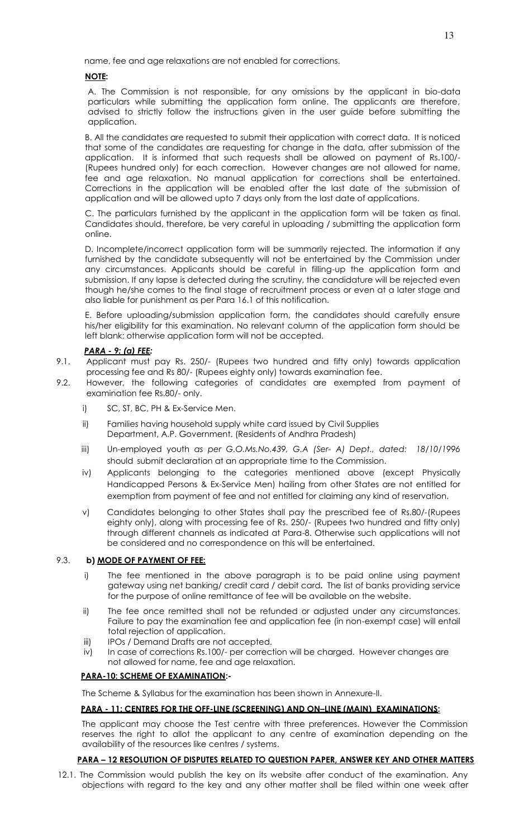name, fee and age relaxations are not enabled for corrections.

# **NOTE:**

A. The Commission is not responsible, for any omissions by the applicant in bio-data particulars while submitting the application form online. The applicants are therefore, advised to strictly follow the instructions given in the user guide before submitting the application.

 B. All the candidates are requested to submit their application with correct data. It is noticed that some of the candidates are requesting for change in the data, after submission of the application. It is informed that such requests shall be allowed on payment of Rs.100/- (Rupees hundred only) for each correction. However changes are not allowed for name, fee and age relaxation. No manual application for corrections shall be entertained. Corrections in the application will be enabled after the last date of the submission of application and will be allowed upto 7 days only from the last date of applications.

 C. The particulars furnished by the applicant in the application form will be taken as final. Candidates should, therefore, be very careful in uploading / submitting the application form online.

 D. Incomplete/incorrect application form will be summarily rejected. The information if any furnished by the candidate subsequently will not be entertained by the Commission under any circumstances. Applicants should be careful in filling-up the application form and submission. If any lapse is detected during the scrutiny, the candidature will be rejected even though he/she comes to the final stage of recruitment process or even at a later stage and also liable for punishment as per Para 16.1 of this notification.

 E. Before uploading/submission application form, the candidates should carefully ensure his/her eligibility for this examination. No relevant column of the application form should be left blank; otherwise application form will not be accepted.

- *PARA 9: (a) FEE:*  Applicant must pay Rs. 250/- (Rupees two hundred and fifty only) towards application processing fee and Rs 80/- (Rupees eighty only) towards examination fee.
- 9.2. However, the following categories of candidates are exempted from payment of examination fee Rs.80/- only.
	- i) SC, ST, BC, PH & Ex-Service Men.
	- ii) Families having household supply white card issued by Civil Supplies Department, A.P. Government. (Residents of Andhra Pradesh)
	- iii) Un-employed youth *as per G.O.Ms.No.439, G.A (Ser- A) Dept., dated: 18/10/1996* should submit declaration at an appropriate time to the Commission.
	- iv) Applicants belonging to the categories mentioned above (except Physically Handicapped Persons & Ex-Service Men) hailing from other States are not entitled for exemption from payment of fee and not entitled for claiming any kind of reservation.
	- v) Candidates belonging to other States shall pay the prescribed fee of Rs.80/-(Rupees eighty only), along with processing fee of Rs. 250/- (Rupees two hundred and fifty only) through different channels as indicated at Para-8. Otherwise such applications will not be considered and no correspondence on this will be entertained.

#### 9.3. **b) MODE OF PAYMENT OF FEE:**

- i) The fee mentioned in the above paragraph is to be paid online using payment gateway using net banking/ credit card / debit card**.** The list of banks providing service for the purpose of online remittance of fee will be available on the website.
- ii) The fee once remitted shall not be refunded or adjusted under any circumstances. Failure to pay the examination fee and application fee (in non-exempt case) will entail total rejection of application.
- iii) IPOs / Demand Drafts are not accepted.
- iv) In case of corrections Rs.100/- per correction will be charged. However changes are not allowed for name, fee and age relaxation.

# **PARA-10: SCHEME OF EXAMINATION:-**

The Scheme & Syllabus for the examination has been shown in Annexure-II.

# **PARA - 11: CENTRES FOR THE OFF-LINE (SCREENING) AND ON–LINE (MAIN) EXAMINATIONS:**

 The applicant may choose the Test centre with three preferences. However the Commission reserves the right to allot the applicant to any centre of examination depending on the availability of the resources like centres / systems.

# **PARA – 12 RESOLUTION OF DISPUTES RELATED TO QUESTION PAPER, ANSWER KEY AND OTHER MATTERS**

12.1. The Commission would publish the key on its website after conduct of the examination. Any objections with regard to the key and any other matter shall be filed within one week after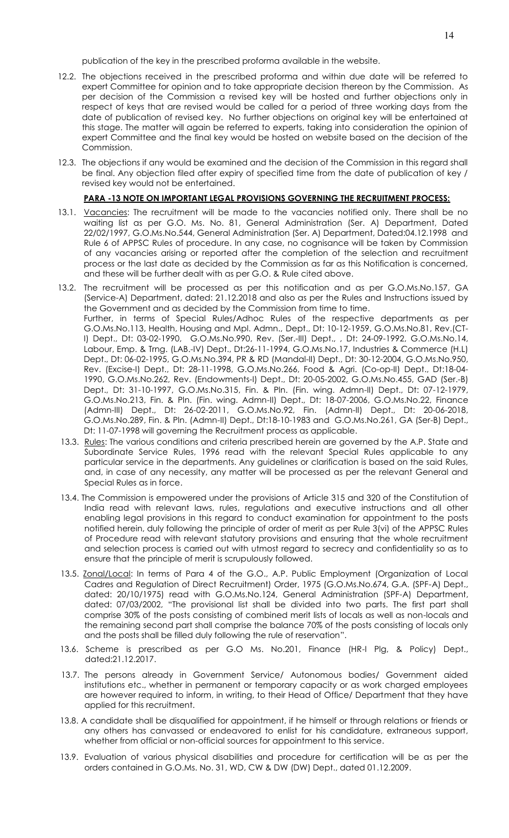publication of the key in the prescribed proforma available in the website.

- 12.2. The objections received in the prescribed proforma and within due date will be referred to expert Committee for opinion and to take appropriate decision thereon by the Commission. As per decision of the Commission a revised key will be hosted and further objections only in respect of keys that are revised would be called for a period of three working days from the date of publication of revised key. No further objections on original key will be entertained at this stage. The matter will again be referred to experts, taking into consideration the opinion of expert Committee and the final key would be hosted on website based on the decision of the Commission.
- 12.3. The objections if any would be examined and the decision of the Commission in this regard shall be final. Any objection filed after expiry of specified time from the date of publication of key / revised key would not be entertained.

#### **PARA -13 NOTE ON IMPORTANT LEGAL PROVISIONS GOVERNING THE RECRUITMENT PROCESS:**

- 13.1. Vacancies: The recruitment will be made to the vacancies notified only. There shall be no waiting list as per G.O. Ms. No. 81, General Administration (Ser. A) Department, Dated 22/02/1997, G.O.Ms.No.544, General Administration (Ser. A) Department, Dated:04.12.1998 and Rule 6 of APPSC Rules of procedure. In any case, no cognisance will be taken by Commission of any vacancies arising or reported after the completion of the selection and recruitment process or the last date as decided by the Commission as far as this Notification is concerned, and these will be further dealt with as per G.O. & Rule cited above.
- 13.2. The recruitment will be processed as per this notification and as per G.O.Ms.No.157, GA (Service-A) Department, dated: 21.12.2018 and also as per the Rules and Instructions issued by the Government and as decided by the Commission from time to time. Further, in terms of Special Rules/Adhoc Rules of the respective departments as per G.O.Ms.No.113, Health, Housing and Mpl. Admn., Dept., Dt: 10-12-1959, G.O.Ms.No.81, Rev.(CT-I) Dept., Dt: 03-02-1990, G.O.Ms.No.990, Rev. (Ser.-III) Dept., , Dt: 24-09-1992, G.O.Ms.No.14, Labour, Emp. & Trng. (LAB.-IV) Dept., Dt:26-11-1994, G.O.Ms.No.17, Industries & Commerce (H.L) Dept., Dt: 06-02-1995, G.O.Ms.No.394, PR & RD (Mandal-II) Dept., Dt: 30-12-2004, G.O.Ms.No.950, Rev. (Excise-I) Dept., Dt: 28-11-1998, G.O.Ms.No.266, Food & Agri. (Co-op-II) Dept., Dt:18-04- 1990, G.O.Ms.No.262, Rev. (Endowments-I) Dept., Dt: 20-05-2002, G.O.Ms.No.455, GAD (Ser.-B) Dept., Dt: 31-10-1997, G.O.Ms.No.315, Fin. & Pln. (Fin. wing. Admn-II) Dept., Dt: 07-12-1979, G.O.Ms.No.213, Fin. & Pln. (Fin. wing. Admn-II) Dept., Dt: 18-07-2006, G.O.Ms.No.22, Finance (Admn-III) Dept., Dt: 26-02-2011, G.O.Ms.No.92, Fin. (Admn-II) Dept., Dt: 20-06-2018, G.O.Ms.No.289, Fin. & Pln. (Admn-II) Dept., Dt:18-10-1983 and G.O.Ms.No.261, GA (Ser-B) Dept., Dt: 11-07-1998 will governing the Recruitment process as applicable.
- 13.3. Rules: The various conditions and criteria prescribed herein are governed by the A.P. State and Subordinate Service Rules, 1996 read with the relevant Special Rules applicable to any particular service in the departments. Any guidelines or clarification is based on the said Rules, and, in case of any necessity, any matter will be processed as per the relevant General and Special Rules as in force.
- 13.4. The Commission is empowered under the provisions of Article 315 and 320 of the Constitution of India read with relevant laws, rules, regulations and executive instructions and all other enabling legal provisions in this regard to conduct examination for appointment to the posts notified herein, duly following the principle of order of merit as per Rule 3(vi) of the APPSC Rules of Procedure read with relevant statutory provisions and ensuring that the whole recruitment and selection process is carried out with utmost regard to secrecy and confidentiality so as to ensure that the principle of merit is scrupulously followed.
- 13.5. Zonal/Local: In terms of Para 4 of the G.O., A.P. Public Employment (Organization of Local Cadres and Regulation of Direct Recruitment) Order, 1975 (G.O.Ms.No.674, G.A. (SPF-A) Dept., dated: 20/10/1975) read with G.O.Ms.No.124, General Administration (SPF-A) Department, dated: 07/03/2002, "The provisional list shall be divided into two parts. The first part shall comprise 30% of the posts consisting of combined merit lists of locals as well as non-locals and the remaining second part shall comprise the balance 70% of the posts consisting of locals only and the posts shall be filled duly following the rule of reservation".
- 13.6. Scheme is prescribed as per G.O Ms. No.201, Finance (HR-I Plg, & Policy) Dept., dated:21.12.2017.
- 13.7. The persons already in Government Service/ Autonomous bodies/ Government aided institutions etc., whether in permanent or temporary capacity or as work charged employees are however required to inform, in writing, to their Head of Office/ Department that they have applied for this recruitment.
- 13.8. A candidate shall be disqualified for appointment, if he himself or through relations or friends or any others has canvassed or endeavored to enlist for his candidature, extraneous support, whether from official or non-official sources for appointment to this service.
- 13.9. Evaluation of various physical disabilities and procedure for certification will be as per the orders contained in G.O.Ms. No. 31, WD, CW & DW (DW) Dept., dated 01.12.2009.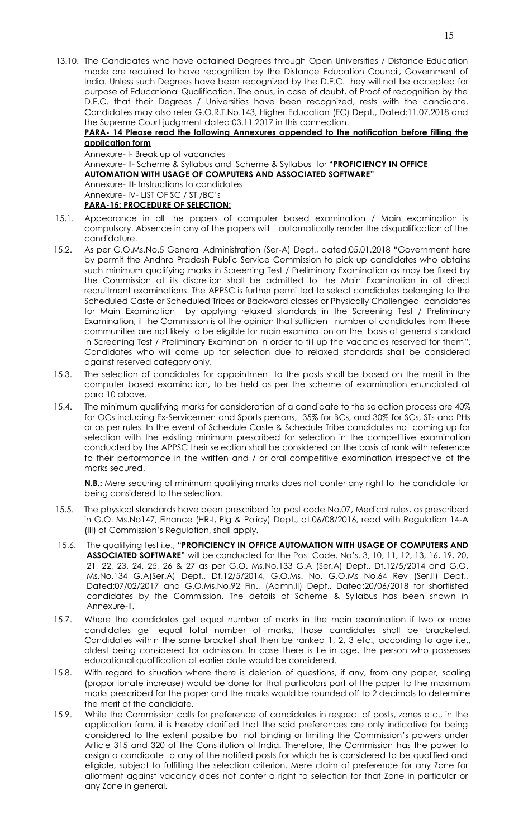13.10. The Candidates who have obtained Degrees through Open Universities / Distance Education mode are required to have recognition by the Distance Education Council, Government of India. Unless such Degrees have been recognized by the D.E.C. they will not be accepted for purpose of Educational Qualification. The onus, in case of doubt, of Proof of recognition by the D.E.C. that their Degrees / Universities have been recognized, rests with the candidate. Candidates may also refer G.O.R.T.No.143, Higher Education (EC) Dept., Dated:11.07.2018 and the Supreme Court judgment dated:03.11.2017 in this connection.

**PARA- 14 Please read the following Annexures appended to the notification before filling the application form** 

Annexure- I- Break up of vacancies Annexure- II- Scheme & Syllabus and Scheme & Syllabus for **"PROFICIENCY IN OFFICE AUTOMATION WITH USAGE OF COMPUTERS AND ASSOCIATED SOFTWARE"** Annexure- III- Instructions to candidates Annexure- IV- LIST OF SC / ST /BC's **PARA-15: PROCEDURE OF SELECTION:** 

- 15.1. Appearance in all the papers of computer based examination / Main examination is compulsory. Absence in any of the papers will automatically render the disqualification of the candidature.
- 15.2. As per G.O.Ms.No.5 General Administration (Ser-A) Dept., dated:05.01.2018 "Government here by permit the Andhra Pradesh Public Service Commission to pick up candidates who obtains such minimum qualifying marks in Screening Test / Preliminary Examination as may be fixed by the Commission at its discretion shall be admitted to the Main Examination in all direct recruitment examinations. The APPSC is further permitted to select candidates belonging to the Scheduled Caste or Scheduled Tribes or Backward classes or Physically Challenged candidates for Main Examination by applying relaxed standards in the Screening Test / Preliminary Examination, if the Commission is of the opinion that sufficient number of candidates from these communities are not likely to be eligible for main examination on the basis of general standard in Screening Test / Preliminary Examination in order to fill up the vacancies reserved for them". Candidates who will come up for selection due to relaxed standards shall be considered against reserved category only.
- 15.3. The selection of candidates for appointment to the posts shall be based on the merit in the computer based examination, to be held as per the scheme of examination enunciated at para 10 above.
- 15.4. The minimum qualifying marks for consideration of a candidate to the selection process are 40% for OCs including Ex-Servicemen and Sports persons, 35% for BCs, and 30% for SCs, STs and PHs or as per rules. In the event of Schedule Caste & Schedule Tribe candidates not coming up for selection with the existing minimum prescribed for selection in the competitive examination conducted by the APPSC their selection shall be considered on the basis of rank with reference to their performance in the written and / or oral competitive examination irrespective of the marks secured.

**N.B.:** Mere securing of minimum qualifying marks does not confer any right to the candidate for being considered to the selection.

- 15.5. The physical standards have been prescribed for post code No.07, Medical rules, as prescribed in G.O. Ms.No147, Finance (HR-I, Plg & Policy) Dept., dt.06/08/2016, read with Regulation 14-A (III) of Commission's Regulation, shall apply.
- 15.6. The qualifying test i.e., **"PROFICIENCY IN OFFICE AUTOMATION WITH USAGE OF COMPUTERS AND ASSOCIATED SOFTWARE"** will be conducted for the Post Code. No's. 3, 10, 11, 12, 13, 16, 19, 20, 21, 22, 23, 24, 25, 26 & 27 as per G.O. Ms.No.133 G.A (Ser.A) Dept., Dt.12/5/2014 and G.O. Ms.No.134 G.A(Ser.A) Dept., Dt.12/5/2014, G.O.Ms. No. G.O.Ms No.64 Rev (Ser.II) Dept., Dated:07/02/2017 and G.O.Ms.No.92 Fin., (Admn.II) Dept., Dated:20/06/2018 for shortlisted candidates by the Commission. The details of Scheme & Syllabus has been shown in Annexure-II.
- 15.7. Where the candidates get equal number of marks in the main examination if two or more candidates get equal total number of marks, those candidates shall be bracketed. Candidates within the same bracket shall then be ranked 1, 2, 3 etc., according to age i.e., oldest being considered for admission. In case there is tie in age, the person who possesses educational qualification at earlier date would be considered.
- 15.8. With regard to situation where there is deletion of questions, if any, from any paper, scaling (proportionate increase) would be done for that particulars part of the paper to the maximum marks prescribed for the paper and the marks would be rounded off to 2 decimals to determine the merit of the candidate.
- 15.9. While the Commission calls for preference of candidates in respect of posts, zones etc., in the application form, it is hereby clarified that the said preferences are only indicative for being considered to the extent possible but not binding or limiting the Commission's powers under Article 315 and 320 of the Constitution of India. Therefore, the Commission has the power to assign a candidate to any of the notified posts for which he is considered to be qualified and eligible, subject to fulfilling the selection criterion. Mere claim of preference for any Zone for allotment against vacancy does not confer a right to selection for that Zone in particular or any Zone in general.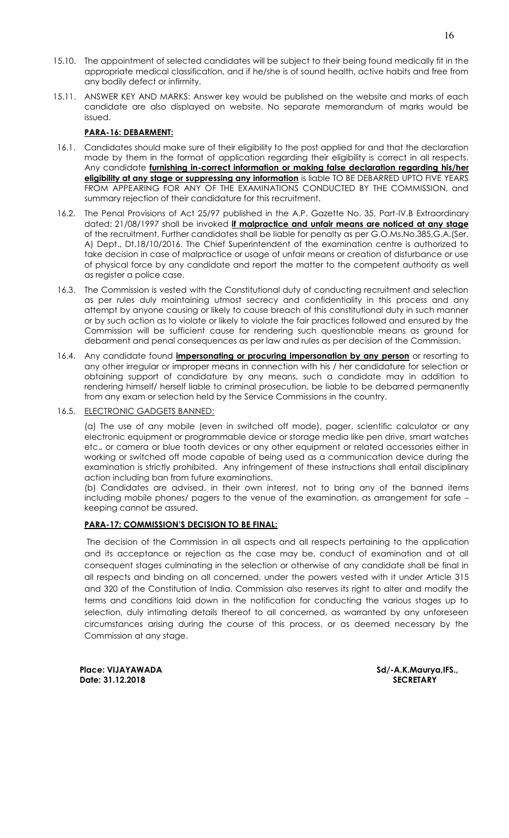- 15.10. The appointment of selected candidates will be subject to their being found medically fit in the appropriate medical classification, and if he/she is of sound health, active habits and free from any bodily defect or infirmity.
- 15.11. ANSWER KEY AND MARKS: Answer key would be published on the website and marks of each candidate are also displayed on website. No separate memorandum of marks would be issued.

# **PARA-16: DEBARMENT:**

- 16.1. Candidates should make sure of their eligibility to the post applied for and that the declaration made by them in the format of application regarding their eligibility is correct in all respects. Any candidate **furnishing in-correct information or making false declaration regarding his/her eligibility at any stage or suppressing any information** is liable TO BE DEBARRED UPTO FIVE YEARS FROM APPEARING FOR ANY OF THE EXAMINATIONS CONDUCTED BY THE COMMISSION, and summary rejection of their candidature for this recruitment.
- 16.2. The Penal Provisions of Act 25/97 published in the A.P. Gazette No. 35, Part-IV.B Extraordinary dated: 21/08/1997 shall be invoked **if malpractice and unfair means are noticed at any stage** of the recruitment. Further candidates shall be liable for penalty as per G.O.Ms.No.385,G.A.(Ser. A) Dept., Dt.18/10/2016. The Chief Superintendent of the examination centre is authorized to take decision in case of malpractice or usage of unfair means or creation of disturbance or use of physical force by any candidate and report the matter to the competent authority as well as register a police case.
- 16.3. The Commission is vested with the Constitutional duty of conducting recruitment and selection as per rules duly maintaining utmost secrecy and confidentiality in this process and any attempt by anyone causing or likely to cause breach of this constitutional duty in such manner or by such action as to violate or likely to violate the fair practices followed and ensured by the Commission will be sufficient cause for rendering such questionable means as ground for debarment and penal consequences as per law and rules as per decision of the Commission.
- 16.4. Any candidate found **impersonating or procuring impersonation by any person** or resorting to any other irregular or improper means in connection with his / her candidature for selection or obtaining support of candidature by any means, such a candidate may in addition to rendering himself/ herself liable to criminal prosecution, be liable to be debarred permanently from any exam or selection held by the Service Commissions in the country.
- 16.5. ELECTRONIC GADGETS BANNED:

 (a) The use of any mobile (even in switched off mode), pager, scientific calculator or any electronic equipment or programmable device or storage media like pen drive, smart watches etc., or camera or blue tooth devices or any other equipment or related accessories either in working or switched off mode capable of being used as a communication device during the examination is strictly prohibited. Any infringement of these instructions shall entail disciplinary action including ban from future examinations.

 (b) Candidates are advised, in their own interest, not to bring any of the banned items including mobile phones/ pagers to the venue of the examination, as arrangement for safe – keeping cannot be assured.

# **PARA-17: COMMISSION'S DECISION TO BE FINAL:**

 The decision of the Commission in all aspects and all respects pertaining to the application and its acceptance or rejection as the case may be, conduct of examination and at all consequent stages culminating in the selection or otherwise of any candidate shall be final in all respects and binding on all concerned, under the powers vested with it under Article 315 and 320 of the Constitution of India. Commission also reserves its right to alter and modify the terms and conditions laid down in the notification for conducting the various stages up to selection, duly intimating details thereof to all concerned, as warranted by any unforeseen circumstances arising during the course of this process, or as deemed necessary by the Commission at any stage.

 **Date: 31.12.2018 SECRETARY** 

 **Place: VIJAYAWADA Sd/-A.K.Maurya,IFS.,**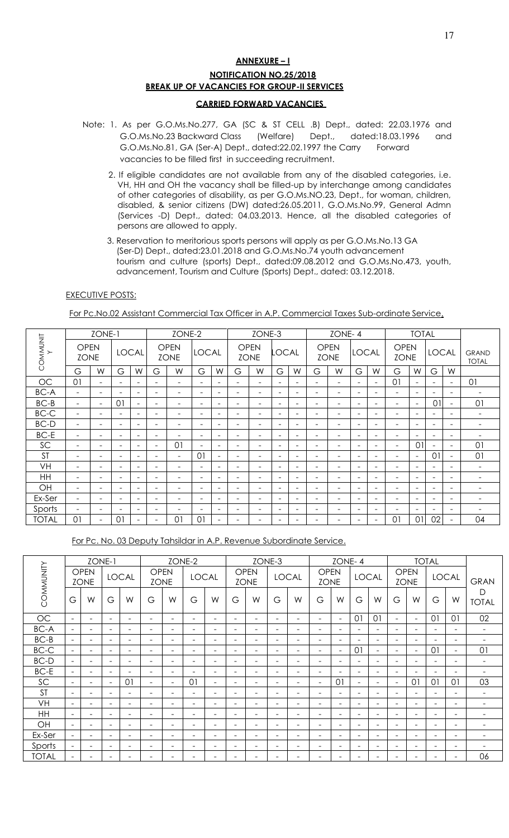# **ANNEXURE – I NOTIFICATION NO.25/2018 BREAK UP OF VACANCIES FOR GROUP-II SERVICES**

#### **CARRIED FORWARD VACANCIES**

- Note: 1. As per G.O.Ms.No.277, GA (SC & ST CELL .B) Dept., dated: 22.03.1976 and G.O.Ms.No.23 Backward Class (Welfare) Dept., dated:18.03.1996 and G.O.Ms.No.81, GA (Ser-A) Dept., dated:22.02.1997 the Carry Forward vacancies to be filled first in succeeding recruitment.
	- 2. If eligible candidates are not available from any of the disabled categories, i.e. VH, HH and OH the vacancy shall be filled-up by interchange among candidates of other categories of disability, as per G.O.Ms.NO.23, Dept., for woman, children, disabled, & senior citizens (DW) dated:26.05.2011, G.O.Ms.No.99, General Admn (Services -D) Dept., dated: 04.03.2013. Hence, all the disabled categories of persons are allowed to apply.
	- 3. Reservation to meritorious sports persons will apply as per G.O.Ms.No.13 GA (Ser-D) Dept., dated:23.01.2018 and G.O.Ms.No.74 youth advancement tourism and culture (sports) Dept., dated:09.08.2012 and G.O.Ms.No.473, youth, advancement, Tourism and Culture (Sports) Dept., dated: 03.12.2018.

#### **EXECUTIVE POSTS:**

For Pc.No.02 Assistant Commercial Tax Officer in A.P. Commercial Taxes Sub-ordinate Service.

|              |                            | ZONE-1                   |                          |                          |                          | ZONE-2                     |                          |                          |                          | ZONE-3                     |                          |                          |                          | ZONE-4                     |                          |                          |                            | <b>TOTAL</b>             |                          |                              |                              |
|--------------|----------------------------|--------------------------|--------------------------|--------------------------|--------------------------|----------------------------|--------------------------|--------------------------|--------------------------|----------------------------|--------------------------|--------------------------|--------------------------|----------------------------|--------------------------|--------------------------|----------------------------|--------------------------|--------------------------|------------------------------|------------------------------|
| COMMUNIT     | <b>OPEN</b><br><b>ZONE</b> |                          |                          | <b>LOCAL</b>             |                          | <b>OPEN</b><br><b>ZONE</b> | <b>LOCAL</b>             |                          |                          | <b>OPEN</b><br><b>ZONE</b> | <b>LOCAL</b>             |                          |                          | <b>OPEN</b><br><b>ZONE</b> | <b>LOCAL</b>             |                          | <b>OPEN</b><br><b>ZONE</b> |                          | <b>LOCAL</b>             |                              | <b>GRAND</b><br><b>TOTAL</b> |
|              | G                          | W                        | G                        | W                        | G                        | W                          | G                        | W                        | G                        | W                          | G                        | W                        | G                        | W                          | G                        | W                        | G                          | W                        | G                        | W                            |                              |
| <b>OC</b>    | 01                         | $\overline{\phantom{0}}$ | $\overline{\phantom{0}}$ | $\overline{\phantom{0}}$ | $\overline{\phantom{0}}$ | $\overline{\phantom{m}}$   |                          | $\overline{\phantom{0}}$ | $\overline{\phantom{a}}$ | $\equiv$                   | $\overline{\phantom{a}}$ | $\overline{\phantom{0}}$ | $\overline{\phantom{0}}$ | $\equiv$                   | $\overline{\phantom{a}}$ | $\overline{\phantom{a}}$ | 0 <sup>1</sup>             | $\overline{\phantom{0}}$ | $\overline{\phantom{a}}$ | $\overline{\phantom{a}}$     | 01                           |
| <b>BC-A</b>  | $\overline{\phantom{0}}$   | $\overline{\phantom{0}}$ | $\overline{\phantom{0}}$ | $\overline{\phantom{0}}$ | $\overline{\phantom{0}}$ | $\overline{\phantom{0}}$   | $\overline{\phantom{0}}$ | $\overline{\phantom{0}}$ | $\overline{\phantom{0}}$ | $\overline{\phantom{0}}$   | $\overline{\phantom{0}}$ | $\overline{\phantom{0}}$ | $\overline{\phantom{0}}$ | $\overline{\phantom{0}}$   | $\overline{\phantom{a}}$ | $\overline{\phantom{a}}$ | $\overline{\phantom{0}}$   |                          | $\overline{\phantom{a}}$ | $\overline{\phantom{0}}$     | $\overline{\phantom{0}}$     |
| $BC-B$       | $\overline{\phantom{0}}$   | $\overline{\phantom{a}}$ | 01                       | $\overline{\phantom{a}}$ | $\overline{\phantom{a}}$ | -                          |                          | $\overline{\phantom{0}}$ | $\overline{\phantom{0}}$ | -                          | $\overline{\phantom{a}}$ | $\overline{\phantom{0}}$ | $\overline{\phantom{0}}$ | $\overline{\phantom{0}}$   | $\overline{\phantom{a}}$ | $\overline{\phantom{a}}$ | $\overline{\phantom{a}}$   | $\overline{\phantom{0}}$ | $\theta$                 | $\overline{\phantom{a}}$     | 01                           |
| $BC-C$       | $\overline{\phantom{0}}$   | -                        | $\overline{\phantom{0}}$ | $\equiv$                 | $\overline{\phantom{0}}$ | $\overline{\phantom{0}}$   | $\overline{\phantom{0}}$ | $\overline{\phantom{0}}$ | $\overline{\phantom{0}}$ | $\equiv$                   | $\overline{\phantom{a}}$ | $\equiv$                 | $\overline{\phantom{0}}$ | $\overline{\phantom{0}}$   | $\overline{a}$           | $\overline{\phantom{a}}$ | $\overline{\phantom{0}}$   | -                        | $\overline{\phantom{a}}$ | $\overline{\phantom{a}}$     | $\overline{\phantom{0}}$     |
| BC-D         | $\overline{\phantom{0}}$   | Ξ.                       | $\overline{\phantom{0}}$ | $\overline{\phantom{0}}$ | $\overline{\phantom{a}}$ | $\overline{\phantom{m}}$   | $\overline{\phantom{0}}$ | $\overline{\phantom{0}}$ | $\overline{\phantom{0}}$ | $\equiv$                   | $\overline{\phantom{a}}$ | $\overline{\phantom{a}}$ | $\overline{\phantom{0}}$ | $\overline{\phantom{0}}$   | $\overline{\phantom{a}}$ | $\overline{\phantom{a}}$ | $\overline{\phantom{a}}$   | $\overline{\phantom{0}}$ | $\overline{\phantom{a}}$ | $\overline{\phantom{a}}$     | $\overline{\phantom{0}}$     |
| BC-E         | $\overline{\phantom{0}}$   | -                        | $\overline{\phantom{0}}$ | $\overline{\phantom{0}}$ | $\overline{\phantom{0}}$ | $\overline{\phantom{0}}$   |                          | $\overline{\phantom{0}}$ | $\overline{\phantom{m}}$ | $\overline{\phantom{0}}$   | $\overline{\phantom{0}}$ | $\overline{\phantom{0}}$ | $\overline{\phantom{0}}$ | $\overline{\phantom{0}}$   | $\overline{\phantom{a}}$ | $\overline{\phantom{a}}$ | $\overline{\phantom{0}}$   |                          | $\overline{\phantom{a}}$ | $\overline{\phantom{a}}$     | ۰.                           |
| SC           | $\overline{\phantom{0}}$   | -                        | $\overline{\phantom{0}}$ | $\overline{\phantom{0}}$ | $\overline{\phantom{a}}$ | 01                         | $\overline{\phantom{0}}$ | $\overline{\phantom{0}}$ | ۰                        | -                          | $\overline{\phantom{0}}$ | $\overline{\phantom{0}}$ | $\equiv$                 | ۰                          | $\overline{\phantom{0}}$ | $\overline{\phantom{a}}$ | $\overline{\phantom{a}}$   | O <sub>1</sub>           | $\overline{\phantom{a}}$ | $\overline{\phantom{a}}$     | 01                           |
| <b>ST</b>    | $\overline{\phantom{0}}$   | -                        | $\overline{\phantom{0}}$ | $\sim$                   | ÷                        | $\overline{\phantom{0}}$   | 01                       | $\overline{\phantom{a}}$ | $\overline{\phantom{0}}$ | $\equiv$                   | $\overline{\phantom{a}}$ | $\equiv$                 | $\overline{\phantom{0}}$ | $\equiv$                   | $\overline{\phantom{0}}$ | $\overline{\phantom{a}}$ | $\overline{\phantom{0}}$   | $\equiv$                 | 01                       | $\overline{\phantom{a}}$     | 01                           |
| VH           | $\overline{\phantom{0}}$   | $\overline{\phantom{0}}$ | $\overline{\phantom{0}}$ | $\overline{\phantom{a}}$ | $\overline{\phantom{a}}$ | $\overline{\phantom{m}}$   | $\overline{\phantom{0}}$ | $\overline{\phantom{0}}$ | $\overline{\phantom{0}}$ | $\equiv$                   | $\overline{\phantom{a}}$ | $\overline{\phantom{a}}$ | $\overline{\phantom{0}}$ | $\equiv$                   | $\overline{\phantom{a}}$ | $\overline{\phantom{a}}$ | $\overline{\phantom{a}}$   | $\overline{\phantom{0}}$ | $\overline{\phantom{a}}$ | $\overline{\phantom{a}}$     | $\overline{\phantom{a}}$     |
| HH           | $\overline{\phantom{0}}$   | -                        | $\overline{\phantom{0}}$ | $\overline{\phantom{0}}$ | $\overline{\phantom{a}}$ | $\overline{\phantom{m}}$   | $\overline{\phantom{0}}$ | $\overline{\phantom{0}}$ | $\overline{\phantom{m}}$ | $\overline{\phantom{m}}$   | $\overline{\phantom{a}}$ | $\overline{\phantom{a}}$ | $\overline{\phantom{0}}$ | $\overline{\phantom{0}}$   | $\overline{\phantom{a}}$ | $\overline{\phantom{a}}$ | $\overline{\phantom{0}}$   | $\overline{\phantom{0}}$ | $\overline{\phantom{a}}$ | $\overline{\phantom{a}}$     | $\overline{\phantom{0}}$     |
| OH           | $\overline{\phantom{0}}$   | -                        | $\overline{\phantom{0}}$ | $\overline{\phantom{0}}$ | -                        | -                          | $\overline{\phantom{0}}$ | $\overline{\phantom{0}}$ | $\overline{\phantom{m}}$ | -                          | $\overline{\phantom{0}}$ | $\overline{\phantom{0}}$ | $\overline{\phantom{0}}$ | -                          | $\overline{\phantom{0}}$ | $\overline{\phantom{a}}$ | $\overline{\phantom{a}}$   | $\overline{\phantom{0}}$ | $\overline{\phantom{a}}$ | $\qquad \qquad \blacksquare$ | $\overline{\phantom{0}}$     |
| Ex-Ser       | $\overline{\phantom{0}}$   | $\overline{\phantom{0}}$ | $\overline{\phantom{0}}$ | $\equiv$                 | -                        | -                          | $\overline{\phantom{0}}$ | $\overline{\phantom{0}}$ | $\overline{\phantom{0}}$ | $\equiv$                   | $\sim$                   | $\sim$                   | $\overline{\phantom{0}}$ | $\overline{\phantom{0}}$   | $\overline{\phantom{0}}$ | $\overline{\phantom{a}}$ | $\overline{\phantom{0}}$   | -                        | $\overline{\phantom{a}}$ | $\equiv$                     | $\overline{\phantom{0}}$     |
| Sports       | $\overline{\phantom{0}}$   | $\overline{\phantom{0}}$ | $\overline{\phantom{0}}$ | $\overline{\phantom{0}}$ | $\overline{\phantom{0}}$ | -                          |                          | $\overline{\phantom{0}}$ | $\overline{\phantom{a}}$ | $\equiv$                   | $\overline{\phantom{a}}$ | $\equiv$                 | $\overline{\phantom{0}}$ | $\overline{\phantom{0}}$   | ÷                        | $\overline{\phantom{a}}$ | $\overline{\phantom{a}}$   | $\overline{\phantom{0}}$ | $\overline{\phantom{a}}$ | $\equiv$                     | $\overline{\phantom{0}}$     |
| <b>TOTAL</b> | 01                         | -                        | 01                       |                          | $\overline{\phantom{0}}$ | 01                         | 01                       | $\overline{\phantom{0}}$ | $\overline{\phantom{0}}$ | -                          | -                        | $\overline{\phantom{0}}$ | ۰.                       | $\overline{\phantom{0}}$   | $\overline{\phantom{a}}$ | -                        | 01                         | 01                       | 02                       | $\overline{\phantom{a}}$     | 04                           |

For Pc. No. 03 Deputy Tahsildar in A.P. Revenue Subordinate Service.

|              |                          |                            | ZONE-1                   |                          |                            |                          | ZONE-2                   |                          |                              |                            | ZONE-3                   |                          |                              | ZONE-4                   |                          |                          |                              |                            | <b>TOTAL</b>             |                          |                          |
|--------------|--------------------------|----------------------------|--------------------------|--------------------------|----------------------------|--------------------------|--------------------------|--------------------------|------------------------------|----------------------------|--------------------------|--------------------------|------------------------------|--------------------------|--------------------------|--------------------------|------------------------------|----------------------------|--------------------------|--------------------------|--------------------------|
| COMMUNITY    |                          | <b>OPEN</b><br><b>ZONE</b> |                          | <b>LOCAL</b>             | <b>OPEN</b><br><b>ZONE</b> |                          | <b>LOCAL</b>             |                          |                              | <b>OPEN</b><br><b>ZONE</b> |                          | <b>LOCAL</b>             | <b>OPEN</b><br><b>ZONE</b>   |                          |                          | <b>LOCAL</b>             |                              | <b>OPEN</b><br><b>ZONE</b> |                          | <b>LOCAL</b>             | <b>GRAN</b>              |
|              | G                        | W                          | G                        | W                        | G                          | W                        | G                        | W                        | G                            | W                          | G                        | W                        | G                            | W                        | G                        | W                        | G                            | W                          | G                        | W                        | D<br><b>TOTAL</b>        |
| OC           | $\overline{\phantom{m}}$ | $\overline{\phantom{a}}$   | $\overline{\phantom{0}}$ | $\overline{\phantom{a}}$ | $\overline{\phantom{a}}$   | $\overline{\phantom{0}}$ | $\overline{\phantom{0}}$ | $\overline{\phantom{a}}$ | $\overline{\phantom{a}}$     | ۰                          |                          | $\overline{\phantom{a}}$ | $\overline{\phantom{a}}$     | $\overline{\phantom{a}}$ | 0 <sup>1</sup>           | 01                       | $\overline{\phantom{a}}$     | $\overline{\phantom{a}}$   | 01                       | 01                       | 02                       |
| <b>BC-A</b>  | -                        | $\overline{\phantom{a}}$   | -                        | $\overline{\phantom{0}}$ | $\overline{\phantom{m}}$   | $\overline{\phantom{0}}$ | $\overline{\phantom{0}}$ | $\overline{\phantom{a}}$ | $\equiv$                     | ۰                          | $\sim$                   | $\overline{\phantom{a}}$ | ۰                            |                          |                          | $\overline{\phantom{0}}$ | $\overline{\phantom{a}}$     |                            |                          |                          | $\overline{\phantom{0}}$ |
| $BC-B$       |                          | $\overline{\phantom{0}}$   |                          |                          | $\overline{\phantom{0}}$   | $\overline{\phantom{0}}$ |                          | $\overline{\phantom{a}}$ | $\overline{\phantom{0}}$     | $\overline{\phantom{0}}$   |                          | $\overline{\phantom{0}}$ | $\overline{\phantom{0}}$     |                          |                          |                          | $\overline{\phantom{0}}$     |                            |                          |                          |                          |
| BC-C         |                          | $\equiv$                   |                          | $\equiv$                 | $\equiv$                   | $\equiv$                 | -                        | $\overline{\phantom{a}}$ | $\equiv$                     | $\equiv$                   | $\overline{\phantom{0}}$ | $\equiv$                 | $\equiv$                     | ÷                        | 01                       | ÷                        | $\overline{\phantom{a}}$     | $\overline{\phantom{0}}$   | O <sub>1</sub>           | $\equiv$                 | 01                       |
| BC-D         | ۰                        | $\overline{\phantom{a}}$   | $\overline{\phantom{0}}$ | -                        | $\overline{\phantom{0}}$   | $\overline{\phantom{0}}$ | -                        | $\overline{\phantom{a}}$ | $\qquad \qquad \blacksquare$ | ۰                          | $\overline{\phantom{0}}$ | $\overline{\phantom{a}}$ | $\overline{\phantom{a}}$     | ۰                        | $\overline{\phantom{a}}$ | $\overline{\phantom{0}}$ | $\overline{\phantom{a}}$     | $\overline{\phantom{0}}$   | $\overline{\phantom{a}}$ | -                        | ۰.                       |
| $BC-E$       | -                        | $\overline{\phantom{a}}$   | $\equiv$                 | -                        | $\overline{\phantom{0}}$   | $\overline{\phantom{0}}$ | -                        | $\overline{\phantom{a}}$ | $\equiv$                     | ۰                          | $\overline{\phantom{0}}$ | $\overline{\phantom{a}}$ | $\overline{\phantom{a}}$     | $\overline{\phantom{0}}$ | $\overline{\phantom{a}}$ | $\overline{\phantom{0}}$ | $\overline{\phantom{a}}$     | $\overline{\phantom{0}}$   | $\overline{\phantom{a}}$ | $\overline{\phantom{0}}$ | -                        |
| SC           | $\overline{\phantom{0}}$ | $\overline{\phantom{0}}$   | $\overline{\phantom{0}}$ | 01                       | $\overline{\phantom{a}}$   | $\overline{\phantom{a}}$ | 01                       | $\overline{\phantom{a}}$ | $\overline{\phantom{0}}$     | -                          | $\overline{\phantom{0}}$ | -                        | $\overline{\phantom{a}}$     | 0 <sup>1</sup>           | $\overline{\phantom{a}}$ | $\overline{\phantom{0}}$ | $\overline{\phantom{a}}$     | 01                         | 01                       | 01                       | 03                       |
| <b>ST</b>    | $\overline{\phantom{m}}$ | $\equiv$                   | $\overline{\phantom{0}}$ | $\equiv$                 | $\overline{\phantom{m}}$   | $\overline{\phantom{0}}$ | $\equiv$                 | $\overline{\phantom{a}}$ | $\equiv$                     | ۰                          |                          | $\overline{\phantom{a}}$ | ۰                            | $\overline{\phantom{a}}$ | $\overline{\phantom{0}}$ | $\overline{\phantom{0}}$ | $\overline{\phantom{0}}$     | $\overline{\phantom{0}}$   | $\overline{\phantom{a}}$ | $\overline{\phantom{0}}$ | $\overline{\phantom{0}}$ |
| VH           | $\overline{\phantom{0}}$ | $\overline{\phantom{a}}$   | $\overline{\phantom{0}}$ | $\overline{\phantom{0}}$ | $\overline{\phantom{m}}$   | $\overline{\phantom{0}}$ | -                        | $\overline{\phantom{a}}$ | $\qquad \qquad \blacksquare$ | $\overline{\phantom{a}}$   | -                        | $\overline{\phantom{a}}$ | $\overline{\phantom{a}}$     | $\overline{\phantom{0}}$ | $\overline{\phantom{a}}$ | $\overline{\phantom{0}}$ | $\overline{\phantom{a}}$     | $\overline{\phantom{0}}$   | $\overline{\phantom{a}}$ | $\overline{\phantom{0}}$ | $\overline{\phantom{0}}$ |
| HH           | $\equiv$                 | $\overline{\phantom{a}}$   | $\overline{\phantom{0}}$ | -                        | $\overline{\phantom{m}}$   | $\overline{\phantom{0}}$ | -                        | $\overline{\phantom{a}}$ | $\equiv$                     | $\overline{\phantom{a}}$   | $\overline{\phantom{0}}$ | $\overline{\phantom{a}}$ | $\overline{\phantom{a}}$     | $\overline{\phantom{0}}$ | $\overline{\phantom{a}}$ | $\overline{\phantom{0}}$ | $\overline{\phantom{a}}$     | $\overline{\phantom{0}}$   | $\overline{\phantom{a}}$ | $\overline{\phantom{0}}$ | $\overline{\phantom{0}}$ |
| OH           | $\overline{\phantom{m}}$ | $\overline{\phantom{a}}$   | $\equiv$                 | $\equiv$                 | $\overline{\phantom{a}}$   | $\equiv$                 | -                        | $\overline{\phantom{a}}$ | $\overline{\phantom{a}}$     | ۰                          | $\overline{\phantom{0}}$ | $\overline{\phantom{a}}$ | $\overline{\phantom{a}}$     | $\overline{\phantom{0}}$ | $\overline{\phantom{a}}$ | $\overline{\phantom{0}}$ | $\overline{\phantom{a}}$     | $\overline{\phantom{0}}$   | $\overline{\phantom{a}}$ | $\overline{\phantom{0}}$ | -                        |
| Ex-Ser       | $\overline{\phantom{m}}$ | $\overline{\phantom{0}}$   |                          | -                        | $\overline{\phantom{m}}$   | ۰                        |                          | $\overline{\phantom{a}}$ | $\overline{\phantom{a}}$     | ۰                          |                          | $\overline{\phantom{a}}$ | ۰                            |                          | $\overline{\phantom{a}}$ | $\overline{\phantom{0}}$ | $\overline{\phantom{a}}$     | $\overline{\phantom{0}}$   | $\overline{\phantom{0}}$ | $\overline{\phantom{0}}$ |                          |
| Sports       |                          | $\overline{\phantom{0}}$   |                          |                          | $\overline{\phantom{m}}$   | $\overline{\phantom{0}}$ |                          | $\overline{\phantom{a}}$ | $\overline{\phantom{0}}$     | $\overline{\phantom{0}}$   |                          | $\overline{\phantom{0}}$ | $\equiv$                     |                          |                          |                          | $\overline{\phantom{0}}$     |                            |                          |                          |                          |
| <b>TOTAL</b> |                          | $\overline{\phantom{0}}$   |                          | $\overline{\phantom{0}}$ | $\overline{\phantom{0}}$   | $\overline{\phantom{0}}$ |                          | $\overline{\phantom{a}}$ | $\overline{\phantom{0}}$     | -                          |                          |                          | $\qquad \qquad \blacksquare$ | ۰                        | $\overline{\phantom{a}}$ |                          | $\qquad \qquad \blacksquare$ | $\overline{\phantom{0}}$   | $\overline{\phantom{0}}$ | $\overline{\phantom{0}}$ | 06                       |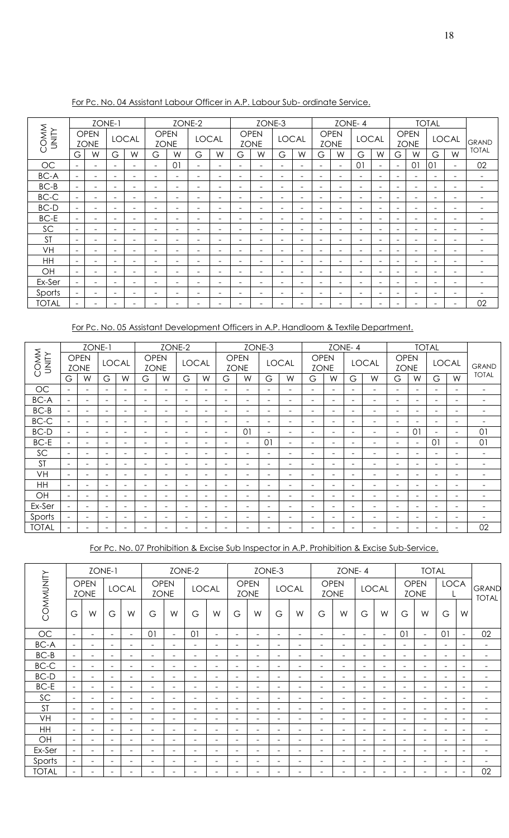|                     |                          | ZONE-1                     |                          |                          |                              |                | ZONE-2                   |                          |                          | ZONE-3                     |                              |                          |                          |                            | ZONE-4                       |                          |                          |                            | <b>TOTAL</b>                 |                              |              |
|---------------------|--------------------------|----------------------------|--------------------------|--------------------------|------------------------------|----------------|--------------------------|--------------------------|--------------------------|----------------------------|------------------------------|--------------------------|--------------------------|----------------------------|------------------------------|--------------------------|--------------------------|----------------------------|------------------------------|------------------------------|--------------|
| COMM<br><b>AIIM</b> |                          | <b>OPEN</b><br><b>ZONE</b> |                          | <b>LOCAL</b>             | <b>OPEN</b><br><b>ZONE</b>   |                |                          | <b>LOCAL</b>             |                          | <b>OPEN</b><br><b>ZONE</b> |                              | <b>LOCAL</b>             |                          | <b>OPEN</b><br><b>ZONE</b> | <b>LOCAL</b>                 |                          |                          | <b>OPEN</b><br><b>ZONE</b> |                              | <b>LOCAL</b>                 | GRAND        |
|                     | G                        | W                          | G                        | W                        | G                            | W              | G                        | W                        | G                        | W                          | G                            | W                        | G                        | W                          | G                            | W                        | G                        | W                          | G                            | W                            | <b>TOTAL</b> |
| OC                  | $\overline{\phantom{a}}$ | $\overline{\phantom{0}}$   | $\overline{\phantom{a}}$ | $\overline{\phantom{a}}$ | $\overline{\phantom{a}}$     | 0 <sub>1</sub> | $\overline{\phantom{a}}$ | $\overline{\phantom{0}}$ | $\overline{\phantom{a}}$ | $\overline{\phantom{0}}$   | $\overline{\phantom{0}}$     |                          |                          | Ξ.                         | $\overline{0}$               | $\overline{\phantom{0}}$ | $\overline{\phantom{0}}$ | 01                         | 01                           | $\overline{\phantom{a}}$     | 02           |
| <b>BC-A</b>         | $\overline{\phantom{a}}$ | $\overline{\phantom{0}}$   | $\overline{\phantom{a}}$ | $\overline{\phantom{a}}$ | $\overline{\phantom{a}}$     | Ξ.             | $\overline{\phantom{a}}$ | $\equiv$                 | $\overline{\phantom{a}}$ | $\overline{\phantom{0}}$   | $\overline{\phantom{a}}$     |                          | $\overline{\phantom{0}}$ | $\equiv$                   | $\overline{\phantom{a}}$     | $\overline{\phantom{a}}$ | $\overline{\phantom{0}}$ | $\overline{\phantom{0}}$   | $\overline{\phantom{0}}$     | $\overline{\phantom{a}}$     | ٠            |
| $BC-B$              | $\overline{\phantom{0}}$ | $\overline{\phantom{0}}$   | $\overline{\phantom{a}}$ | $\overline{\phantom{a}}$ | $\overline{\phantom{0}}$     | Ξ.             | $\overline{\phantom{a}}$ | $\overline{\phantom{0}}$ | $\overline{\phantom{a}}$ | $\overline{\phantom{0}}$   | $\overline{\phantom{0}}$     |                          | $\overline{\phantom{0}}$ | $\equiv$                   | ÷                            | $\overline{\phantom{a}}$ | $\overline{\phantom{0}}$ | $\overline{\phantom{0}}$   | $\overline{\phantom{0}}$     | $\overline{a}$               |              |
| $BC-C$              | $\overline{\phantom{a}}$ | $\overline{\phantom{0}}$   | $\overline{\phantom{a}}$ | $\overline{\phantom{a}}$ | $\overline{\phantom{a}}$     | Ξ.             | $\overline{\phantom{a}}$ | $\overline{\phantom{0}}$ | $\overline{\phantom{a}}$ | $\overline{\phantom{0}}$   | $\overline{\phantom{0}}$     |                          | $\overline{\phantom{0}}$ | $\equiv$                   | $\overline{\phantom{a}}$     | $\overline{\phantom{a}}$ | $\overline{\phantom{0}}$ | $\overline{\phantom{0}}$   | $\overline{\phantom{0}}$     | $\overline{\phantom{0}}$     | -            |
| BC-D                | $\overline{\phantom{0}}$ | $\overline{\phantom{0}}$   | $\overline{\phantom{a}}$ | $\overline{\phantom{a}}$ | $\overline{\phantom{a}}$     | -              | $\overline{\phantom{a}}$ | $\overline{\phantom{0}}$ | $\overline{\phantom{a}}$ | $\overline{\phantom{0}}$   | $\overline{\phantom{0}}$     |                          | -                        | $\equiv$                   | $\overline{\phantom{0}}$     | $\equiv$                 | $\overline{\phantom{0}}$ | $\overline{\phantom{0}}$   | -                            | $\overline{\phantom{a}}$     |              |
| BC-E                | $\overline{\phantom{a}}$ | $\overline{\phantom{0}}$   | $\overline{\phantom{a}}$ | $\overline{\phantom{a}}$ | $\overline{\phantom{a}}$     | $\equiv$       | $\overline{\phantom{0}}$ | $\overline{\phantom{0}}$ | $\overline{\phantom{a}}$ | $\overline{\phantom{0}}$   | $\overline{\phantom{a}}$     |                          | $\overline{\phantom{0}}$ | $\equiv$                   | $\overline{\phantom{a}}$     | $\overline{\phantom{a}}$ | $\overline{\phantom{0}}$ | $\overline{\phantom{0}}$   | $\overline{\phantom{0}}$     | $\overline{\phantom{0}}$     |              |
| SC                  | $\overline{\phantom{a}}$ | -                          | $\overline{\phantom{a}}$ | $\overline{\phantom{a}}$ | -                            | -              | $\overline{\phantom{0}}$ | $\overline{\phantom{0}}$ | $\overline{\phantom{a}}$ | $\overline{\phantom{0}}$   | $\overline{\phantom{a}}$     |                          |                          | -                          | ٠                            | $\overline{\phantom{0}}$ | -                        | -                          | -                            | $\overline{\phantom{0}}$     |              |
| <b>ST</b>           | $\overline{\phantom{a}}$ | $\overline{\phantom{0}}$   | $\overline{\phantom{a}}$ | $\overline{\phantom{a}}$ | $\qquad \qquad \blacksquare$ | Ξ.             | $\overline{\phantom{0}}$ | $\overline{\phantom{0}}$ | $\overline{\phantom{a}}$ | $\overline{\phantom{0}}$   | $\overline{\phantom{0}}$     |                          | $\overline{\phantom{0}}$ | Ξ.                         | -                            | $\overline{\phantom{0}}$ | $\overline{\phantom{0}}$ | $\overline{\phantom{0}}$   | -                            | $\overline{\phantom{0}}$     | ٠            |
| VH                  | $\overline{\phantom{a}}$ | -                          | $\overline{\phantom{0}}$ | $\overline{\phantom{a}}$ | $\qquad \qquad \blacksquare$ | -              | $\overline{\phantom{0}}$ | $\overline{\phantom{0}}$ | $\overline{\phantom{a}}$ | $\overline{\phantom{0}}$   | $\overline{\phantom{0}}$     | $\overline{\phantom{0}}$ | $\overline{\phantom{0}}$ | -                          | $\qquad \qquad \blacksquare$ | $\overline{\phantom{a}}$ | $\overline{\phantom{0}}$ | -                          | $\qquad \qquad \blacksquare$ | $\overline{\phantom{0}}$     | -            |
| <b>HH</b>           | $\overline{\phantom{m}}$ | -                          | $\overline{\phantom{0}}$ | $\overline{\phantom{a}}$ | $\qquad \qquad \blacksquare$ | -              | $\overline{\phantom{0}}$ | $\overline{\phantom{0}}$ | $\overline{\phantom{a}}$ | -                          | $\overline{\phantom{0}}$     |                          | $\overline{\phantom{0}}$ | -                          | $\overline{\phantom{0}}$     | $\overline{\phantom{0}}$ | -                        | -                          | -                            | $\overline{\phantom{0}}$     | ٠            |
| OH                  | $\overline{\phantom{a}}$ | $\overline{\phantom{0}}$   | $\overline{\phantom{a}}$ | $\overline{\phantom{a}}$ | $\overline{\phantom{a}}$     | Ξ.             | $\overline{\phantom{0}}$ | $\overline{\phantom{0}}$ | $\overline{\phantom{a}}$ | $\overline{\phantom{0}}$   | $\qquad \qquad \blacksquare$ |                          | $\overline{\phantom{0}}$ | ۰                          | $\overline{\phantom{a}}$     | $\overline{\phantom{a}}$ | ۰                        | $\overline{\phantom{0}}$   | $\qquad \qquad \blacksquare$ | $\qquad \qquad \blacksquare$ | ٠            |
| Ex-Ser              | $\overline{\phantom{a}}$ | $\overline{\phantom{0}}$   | $\overline{\phantom{a}}$ | $\overline{\phantom{a}}$ | $\overline{\phantom{a}}$     | Ξ.             | $\overline{\phantom{0}}$ | $\overline{\phantom{0}}$ | $\overline{\phantom{a}}$ | $\overline{\phantom{0}}$   | $\overline{\phantom{0}}$     |                          | $\overline{\phantom{0}}$ | -                          | -                            | -                        | $\equiv$                 | $\overline{\phantom{0}}$   | -                            | $\qquad \qquad \blacksquare$ | ۳            |
| Sports              | $\overline{\phantom{a}}$ | -                          | $\overline{\phantom{a}}$ | $\overline{\phantom{a}}$ | $\overline{\phantom{a}}$     | -              | $\overline{\phantom{0}}$ | $\overline{\phantom{0}}$ | $\equiv$                 | $\overline{\phantom{0}}$   | $\qquad \qquad \blacksquare$ |                          | $\overline{\phantom{0}}$ | -                          | $\overline{\phantom{0}}$     | $\overline{\phantom{0}}$ | $\overline{\phantom{0}}$ | -                          | -                            | $\qquad \qquad \blacksquare$ |              |
| <b>TOTAL</b>        |                          |                            |                          |                          |                              |                |                          |                          |                          |                            |                              |                          |                          |                            |                              |                          |                          |                            |                              |                              | 02           |

For Pc. No. 04 Assistant Labour Officer in A.P. Labour Sub- ordinate Service.

For Pc. No. 05 Assistant Development Officers in A.P. Handloom & Textile Department.

|                      |                              | ZONE-1                     |                          |                          |                            | ZONE-2                       |                          |                          |                          |                            | ZONE-3                   |                          |                              |                          | ZONE-4                   |                              |                            | <b>TOTAL</b>             |                              |                          |                          |
|----------------------|------------------------------|----------------------------|--------------------------|--------------------------|----------------------------|------------------------------|--------------------------|--------------------------|--------------------------|----------------------------|--------------------------|--------------------------|------------------------------|--------------------------|--------------------------|------------------------------|----------------------------|--------------------------|------------------------------|--------------------------|--------------------------|
| COMM<br><b>NIIND</b> |                              | <b>OPEN</b><br><b>ZONE</b> |                          | <b>LOCAL</b>             | <b>OPEN</b><br><b>ZONE</b> |                              | <b>LOCAL</b>             |                          |                          | <b>OPEN</b><br><b>ZONE</b> |                          | <b>LOCAL</b>             | <b>OPEN</b><br><b>ZONE</b>   |                          |                          | <b>LOCAL</b>                 | <b>OPEN</b><br><b>ZONE</b> |                          | <b>LOCAL</b>                 |                          | GRAND                    |
|                      | G                            | W                          | G                        | W                        | G                          | W                            | G                        | W                        | G                        | W                          | G                        | W                        | G                            | W                        | G                        | W                            | G                          | W                        | G                            | W                        | <b>TOTAL</b>             |
| <b>OC</b>            | $\overline{\phantom{a}}$     |                            |                          |                          | $\overline{\phantom{0}}$   | $\overline{\phantom{0}}$     | $\overline{\phantom{0}}$ | $\overline{\phantom{a}}$ | $\equiv$                 | $\overline{\phantom{0}}$   | $\overline{\phantom{0}}$ |                          | $\overline{\phantom{a}}$     | $\overline{\phantom{0}}$ | $\overline{\phantom{a}}$ | $\overline{\phantom{a}}$     | $\overline{\phantom{a}}$   | $\overline{\phantom{0}}$ | $\overline{\phantom{a}}$     |                          | $\overline{\phantom{0}}$ |
| BC-A                 | $\overline{\phantom{a}}$     | -                          | $\overline{\phantom{0}}$ | $\overline{\phantom{0}}$ | $\overline{\phantom{0}}$   | $\overline{\phantom{a}}$     | $\overline{\phantom{0}}$ | $\overline{\phantom{0}}$ | $\overline{\phantom{0}}$ | $\overline{\phantom{0}}$   | $\overline{\phantom{0}}$ | $\overline{\phantom{a}}$ | $\overline{\phantom{a}}$     | $\overline{\phantom{0}}$ | $\overline{\phantom{a}}$ | $\overline{\phantom{0}}$     | $\overline{\phantom{m}}$   | $\overline{\phantom{0}}$ | $\overline{\phantom{a}}$     | -                        | ۰.                       |
| $BC-B$               |                              |                            |                          |                          |                            | ÷                            | $\overline{\phantom{0}}$ | $\overline{\phantom{a}}$ | ۰                        | $\equiv$                   | $\overline{\phantom{0}}$ |                          | $\overline{\phantom{0}}$     | ۰                        | $\overline{\phantom{0}}$ |                              | ۰                          | $\overline{\phantom{0}}$ | $\overline{\phantom{a}}$     | -                        | $\overline{\phantom{0}}$ |
| $BC-C$               |                              |                            | $\equiv$                 | $\overline{\phantom{0}}$ | $\overline{\phantom{0}}$   | $\overline{\phantom{0}}$     | $\overline{\phantom{0}}$ | $\overline{\phantom{a}}$ | $\overline{\phantom{a}}$ | $\equiv$                   | $\overline{\phantom{0}}$ | $\overline{a}$           | $\overline{\phantom{a}}$     | $\overline{\phantom{a}}$ | $\overline{\phantom{a}}$ | $\overline{\phantom{a}}$     | $\overline{\phantom{a}}$   | $\overline{\phantom{0}}$ | $\overline{\phantom{a}}$     | $\overline{\phantom{0}}$ | $\overline{\phantom{0}}$ |
| BC-D                 | $\overline{\phantom{a}}$     |                            | $\overline{\phantom{0}}$ |                          | -                          | $\overline{\phantom{0}}$     | $\overline{\phantom{0}}$ | $\overline{\phantom{a}}$ | $\overline{\phantom{a}}$ | 01                         | $\overline{\phantom{0}}$ | $\overline{\phantom{a}}$ | $\overline{\phantom{0}}$     | $\overline{\phantom{0}}$ | ۰                        | $\overline{\phantom{a}}$     | $\overline{\phantom{a}}$   | 01                       | $\overline{\phantom{a}}$     | $\overline{\phantom{0}}$ | 01                       |
| BC-E                 | $\equiv$                     |                            | $\overline{\phantom{0}}$ |                          | -                          | $\overline{\phantom{0}}$     | $\overline{\phantom{0}}$ | $\overline{\phantom{a}}$ | $\overline{\phantom{a}}$ | $\overline{\phantom{0}}$   | 01                       | $\overline{a}$           | $\overline{\phantom{a}}$     | $\equiv$                 | $\overline{\phantom{0}}$ | -                            | $\overline{\phantom{a}}$   | $\overline{\phantom{a}}$ | 01                           | $\overline{\phantom{0}}$ | 01                       |
| SC                   | $\overline{\phantom{a}}$     |                            | $\overline{\phantom{0}}$ | -                        | -                          | $\overline{\phantom{0}}$     | $\overline{\phantom{0}}$ | $\overline{a}$           | $\overline{\phantom{0}}$ | $\equiv$                   | $\overline{\phantom{0}}$ | $\overline{\phantom{a}}$ | $\overline{\phantom{a}}$     | ۰                        | $\overline{\phantom{0}}$ | $\qquad \qquad \blacksquare$ | $\overline{\phantom{0}}$   | $\overline{\phantom{0}}$ | $\overline{\phantom{a}}$     | -                        | ۰.                       |
| <b>ST</b>            | $\qquad \qquad \blacksquare$ |                            |                          |                          | -                          | $\overline{\phantom{0}}$     | $\overline{\phantom{0}}$ | $\overline{\phantom{0}}$ | $\overline{\phantom{0}}$ | -                          | $\overline{\phantom{0}}$ | $\overline{\phantom{a}}$ | $\overline{\phantom{0}}$     | $\overline{\phantom{0}}$ | $\overline{\phantom{0}}$ | $\qquad \qquad \blacksquare$ | $\overline{\phantom{0}}$   | $\overline{\phantom{0}}$ | $\qquad \qquad \blacksquare$ | -                        | -                        |
| VH                   | $\overline{\phantom{a}}$     | -                          | $\equiv$                 | -                        | $\overline{\phantom{0}}$   | $\overline{\phantom{0}}$     | $\overline{\phantom{0}}$ | $\overline{\phantom{a}}$ | $\equiv$                 | $\overline{\phantom{0}}$   | $\equiv$                 | $\overline{\phantom{0}}$ | $\overline{\phantom{0}}$     | $\sim$                   | $\equiv$                 | $\sim$                       | $\overline{\phantom{a}}$   | $\overline{\phantom{0}}$ | $\overline{\phantom{a}}$     | -                        | $\overline{\phantom{0}}$ |
| HH                   | $\overline{\phantom{0}}$     | -                          | $\overline{\phantom{0}}$ | $\overline{\phantom{0}}$ | $\overline{\phantom{0}}$   | $\qquad \qquad \blacksquare$ | $\overline{\phantom{0}}$ | $\overline{\phantom{0}}$ | $\overline{\phantom{0}}$ | $\overline{\phantom{0}}$   | $\overline{\phantom{0}}$ | $\overline{\phantom{a}}$ | $\qquad \qquad \blacksquare$ | $\overline{\phantom{0}}$ | $\overline{\phantom{a}}$ | $\qquad \qquad \blacksquare$ | $\overline{\phantom{m}}$   | $\overline{\phantom{0}}$ | $\qquad \qquad \blacksquare$ | $\overline{\phantom{0}}$ | $\overline{\phantom{0}}$ |
| OH                   | $\overline{\phantom{a}}$     |                            | $\overline{\phantom{0}}$ |                          | -                          | $\overline{\phantom{0}}$     | $\overline{\phantom{0}}$ | $\overline{\phantom{a}}$ | $\overline{\phantom{a}}$ | $\equiv$                   | $\overline{\phantom{0}}$ |                          | $\overline{\phantom{0}}$     | $\overline{\phantom{a}}$ | $\equiv$                 | -                            | $\overline{\phantom{a}}$   | $\overline{\phantom{0}}$ | $\overline{\phantom{a}}$     | $\overline{\phantom{0}}$ | -                        |
| Ex-Ser               | $\sim$                       |                            | $\overline{\phantom{0}}$ |                          | $\overline{\phantom{0}}$   | $\overline{\phantom{0}}$     | $\overline{\phantom{0}}$ | $\overline{\phantom{a}}$ | $\equiv$                 | $\equiv$                   | $\overline{\phantom{0}}$ |                          | $\overline{\phantom{0}}$     | $\equiv$                 | $\equiv$                 | $\equiv$                     | $\sim$                     | $\overline{\phantom{0}}$ | $\overline{\phantom{a}}$     | -                        | -                        |
| Sports               |                              | -                          | $\overline{\phantom{0}}$ |                          | -                          | $\overline{\phantom{0}}$     | $\overline{\phantom{0}}$ | $\overline{\phantom{a}}$ | $\overline{\phantom{a}}$ | $\overline{\phantom{0}}$   | $\overline{\phantom{0}}$ | $\overline{\phantom{a}}$ | $\overline{\phantom{0}}$     | $\overline{\phantom{0}}$ | $\overline{\phantom{a}}$ | $\qquad \qquad \blacksquare$ | $\overline{\phantom{a}}$   | $\overline{\phantom{0}}$ | $\overline{\phantom{a}}$     | -                        | -                        |
| <b>TOTAL</b>         |                              |                            |                          |                          |                            | $\overline{\phantom{0}}$     |                          | $\equiv$                 | ۰                        |                            | $\overline{\phantom{0}}$ |                          |                              | $\equiv$                 | $\overline{\phantom{0}}$ |                              | ۰                          | $\overline{\phantom{0}}$ | $\overline{\phantom{a}}$     |                          | 02                       |

For Pc. No. 07 Prohibition & Excise Sub Inspector in A.P. Prohibition & Excise Sub-Service.

|              |                              |                            | ZONE-1                   |                          |                            | ZONE-2                   |                              |                          |                          |                            | ZONE-3                       |                          |                          | ZONE-4                   |                          |                          |                          | <b>TOTAL</b>               |                          |                          |                              |
|--------------|------------------------------|----------------------------|--------------------------|--------------------------|----------------------------|--------------------------|------------------------------|--------------------------|--------------------------|----------------------------|------------------------------|--------------------------|--------------------------|--------------------------|--------------------------|--------------------------|--------------------------|----------------------------|--------------------------|--------------------------|------------------------------|
| COMMUNITY    |                              | <b>OPEN</b><br><b>ZONE</b> |                          | <b>LOCAL</b>             | <b>OPEN</b><br><b>ZONE</b> |                          | <b>LOCAL</b>                 |                          |                          | <b>OPEN</b><br><b>ZONE</b> |                              | <b>LOCAL</b>             | <b>OPEN</b>              | <b>ZONE</b>              |                          | <b>LOCAL</b>             |                          | <b>OPEN</b><br><b>ZONE</b> | <b>LOCA</b>              |                          | <b>GRAND</b><br><b>TOTAL</b> |
|              | G                            | W                          | G                        | W                        | G                          | W                        | G                            | W                        | G                        | W                          | G                            | W                        | G                        | W                        | G                        | W                        | G                        | W                          | G                        | W                        |                              |
| <b>OC</b>    | $\overline{\phantom{a}}$     | $\overline{\phantom{0}}$   | $\overline{\phantom{0}}$ | ۰                        | 01                         | $\equiv$                 | 01                           | $\overline{\phantom{a}}$ | $\overline{\phantom{0}}$ | $\overline{\phantom{a}}$   | $\equiv$                     | $\overline{\phantom{0}}$ | Ξ.                       | $\overline{\phantom{0}}$ | $\overline{\phantom{a}}$ | $\equiv$                 | 01                       | $\overline{\phantom{a}}$   | 01                       | $\overline{\phantom{a}}$ | 02                           |
| <b>BC-A</b>  | $\overline{\phantom{a}}$     | $\overline{\phantom{0}}$   | $\overline{\phantom{0}}$ | $\overline{\phantom{0}}$ | $\overline{\phantom{m}}$   | $\overline{\phantom{a}}$ | $\overline{\phantom{0}}$     | $\overline{\phantom{a}}$ | Ξ.                       | $\overline{\phantom{a}}$   | $\overline{\phantom{0}}$     | $\overline{\phantom{m}}$ | Ξ.                       | $\overline{\phantom{0}}$ | $\overline{\phantom{0}}$ | $\equiv$                 | $\overline{\phantom{a}}$ | $\overline{\phantom{a}}$   | Ξ.                       | $\overline{\phantom{a}}$ | $\overline{\phantom{0}}$     |
| $BC-B$       | $\equiv$                     | $\overline{\phantom{a}}$   | $\overline{\phantom{0}}$ | $\overline{\phantom{0}}$ | $\overline{\phantom{0}}$   | ÷                        | $\overline{\phantom{0}}$     | $\equiv$                 | $\overline{\phantom{a}}$ | $\equiv$                   | $\qquad \qquad \blacksquare$ | $\equiv$                 | Ξ.                       | $\overline{\phantom{0}}$ | $\overline{\phantom{0}}$ | $\overline{\phantom{a}}$ | $\overline{\phantom{0}}$ | $\overline{\phantom{a}}$   | $\overline{\phantom{a}}$ | $\overline{\phantom{a}}$ | $\overline{\phantom{a}}$     |
| BC-C         | $\overline{\phantom{a}}$     | $\overline{\phantom{0}}$   | $\overline{\phantom{a}}$ | -                        | $\overline{\phantom{m}}$   | ۰                        | $\overline{\phantom{0}}$     | $\overline{\phantom{a}}$ | Ξ.                       | $\overline{\phantom{a}}$   | $\qquad \qquad$              | $\overline{\phantom{m}}$ | Ξ.                       | -                        | $\overline{\phantom{0}}$ | $\overline{\phantom{0}}$ | $\overline{\phantom{0}}$ | $\overline{\phantom{a}}$   | Ξ.                       | $\overline{\phantom{0}}$ | $\overline{\phantom{0}}$     |
| <b>BC-D</b>  | $\overline{\phantom{a}}$     | $\overline{\phantom{0}}$   | $\overline{\phantom{0}}$ | $\overline{\phantom{0}}$ | $\overline{\phantom{m}}$   | $\sim$                   | $\overline{\phantom{0}}$     | $\overline{\phantom{0}}$ | Ξ.                       | $\overline{\phantom{0}}$   | $\overline{\phantom{0}}$     | $\overline{\phantom{m}}$ | Ξ.                       | $\overline{\phantom{0}}$ | $\overline{\phantom{a}}$ | $\equiv$                 | $\overline{\phantom{0}}$ | $\overline{\phantom{a}}$   | $\equiv$                 | $\overline{\phantom{a}}$ | $\overline{\phantom{0}}$     |
| BC-E         |                              | $\overline{\phantom{a}}$   | $\overline{\phantom{0}}$ | $\overline{\phantom{0}}$ | $\overline{\phantom{a}}$   | ÷                        | ÷                            | $\equiv$                 | $\equiv$                 | $\equiv$                   |                              | $\equiv$                 | $\equiv$                 | $\equiv$                 | $\overline{\phantom{a}}$ | $\equiv$                 | $\overline{\phantom{a}}$ | $\overline{\phantom{a}}$   | $\overline{\phantom{0}}$ | $\overline{\phantom{a}}$ | $\overline{\phantom{0}}$     |
| SC           | $\overline{\phantom{a}}$     | $\overline{\phantom{0}}$   | $\overline{\phantom{a}}$ | ۰                        | $\overline{\phantom{a}}$   | ۰                        | $\overline{\phantom{a}}$     | $\overline{\phantom{a}}$ | Ξ.                       | $\overline{\phantom{a}}$   | $\overline{\phantom{a}}$     | $\overline{\phantom{0}}$ | Ξ.                       | -                        | $\overline{\phantom{0}}$ | $\overline{\phantom{0}}$ | $\overline{\phantom{0}}$ | $\overline{\phantom{a}}$   | Ξ.                       | $\overline{\phantom{a}}$ | ۰                            |
| <b>ST</b>    | $\equiv$                     | $\overline{\phantom{0}}$   | $\overline{\phantom{0}}$ | -                        | $\overline{\phantom{0}}$   | $\equiv$                 | $\overline{\phantom{0}}$     | $\overline{\phantom{a}}$ | $\equiv$                 | $\overline{\phantom{0}}$   | $\equiv$                     | $\overline{\phantom{0}}$ | Ξ.                       | $\equiv$                 | $\overline{\phantom{0}}$ | $\equiv$                 | $\overline{\phantom{0}}$ | $\overline{\phantom{0}}$   | $\equiv$                 | $\overline{\phantom{a}}$ | $\overline{\phantom{0}}$     |
| VH           | $\overline{\phantom{a}}$     | $\overline{\phantom{a}}$   | $\qquad \qquad$          | ۰                        | $\overline{\phantom{m}}$   | $\overline{\phantom{a}}$ | $\qquad \qquad \blacksquare$ | $\overline{\phantom{m}}$ | $\overline{\phantom{a}}$ | $\overline{\phantom{a}}$   | $\qquad \qquad \blacksquare$ | $\overline{\phantom{a}}$ | $\overline{\phantom{a}}$ | $\overline{\phantom{m}}$ | $\overline{\phantom{a}}$ | $\overline{\phantom{a}}$ | $\overline{\phantom{0}}$ | $\overline{\phantom{a}}$   | $\overline{\phantom{a}}$ | $\overline{\phantom{a}}$ | $\overline{\phantom{m}}$     |
| HH           | $\overline{\phantom{a}}$     | $\overline{a}$             | $\overline{\phantom{0}}$ | $\overline{\phantom{0}}$ | $\overline{\phantom{0}}$   | $\blacksquare$           | $\equiv$                     | $\overline{\phantom{a}}$ | Ξ.                       | $\overline{\phantom{0}}$   | $\equiv$                     | $\overline{\phantom{0}}$ | $\overline{\phantom{0}}$ | $\equiv$                 | $\overline{\phantom{0}}$ | $\overline{\phantom{0}}$ | $\overline{\phantom{0}}$ | $\overline{\phantom{a}}$   | Ξ.                       | $\overline{\phantom{a}}$ | $\overline{\phantom{m}}$     |
| OH           | $\qquad \qquad \blacksquare$ | $\overline{\phantom{0}}$   | $\overline{\phantom{0}}$ | $\overline{\phantom{0}}$ | $\overline{\phantom{0}}$   | $\overline{\phantom{0}}$ | $\overline{\phantom{0}}$     | $\overline{\phantom{0}}$ | $\overline{\phantom{0}}$ | $\overline{\phantom{0}}$   |                              | $\overline{\phantom{0}}$ | ۰                        | -                        | $\overline{\phantom{0}}$ | -                        | $\overline{\phantom{0}}$ | $\overline{\phantom{0}}$   | $\overline{\phantom{0}}$ | $\overline{\phantom{a}}$ | -                            |
| Ex-Ser       | $\overline{\phantom{a}}$     | $\overline{\phantom{0}}$   | $\overline{\phantom{0}}$ | $\equiv$                 | $\overline{\phantom{0}}$   | ۰                        | $\equiv$                     | $\overline{\phantom{a}}$ | Ξ.                       | $\blacksquare$             | $\equiv$                     | $\overline{\phantom{0}}$ | $\overline{\phantom{0}}$ | $\overline{\phantom{0}}$ | $\overline{\phantom{0}}$ | $\equiv$                 | $\rightarrow$            | $\overline{\phantom{0}}$   | Ξ.                       | $\overline{\phantom{a}}$ | $\equiv$                     |
| Sports       | $\overline{\phantom{a}}$     | $\overline{\phantom{a}}$   | $\overline{\phantom{a}}$ | -                        | $\overline{\phantom{m}}$   | ۰                        | $\qquad \qquad$              | $\overline{\phantom{a}}$ | Ξ.                       | $\overline{\phantom{0}}$   | $\overline{\phantom{0}}$     | $\overline{\phantom{m}}$ | Ξ.                       | $\overline{\phantom{0}}$ | $\overline{\phantom{0}}$ | -                        | $\overline{\phantom{0}}$ | $\overline{\phantom{a}}$   | $\overline{\phantom{0}}$ | $\overline{\phantom{a}}$ | ۰                            |
| <b>TOTAL</b> | $\equiv$                     | $\overline{a}$             | $\overline{\phantom{0}}$ | $\overline{\phantom{0}}$ | $\overline{\phantom{m}}$   | $\sim$                   | $\overline{\phantom{0}}$     | $\overline{\phantom{a}}$ | $\overline{\phantom{0}}$ | $\overline{\phantom{0}}$   | $\overline{\phantom{0}}$     | $\overline{\phantom{m}}$ | Ξ.                       | $\sim$                   | $\equiv$                 | $\equiv$                 | $\overline{\phantom{a}}$ | $\overline{\phantom{0}}$   | $\overline{\phantom{0}}$ | $\overline{\phantom{a}}$ | 02                           |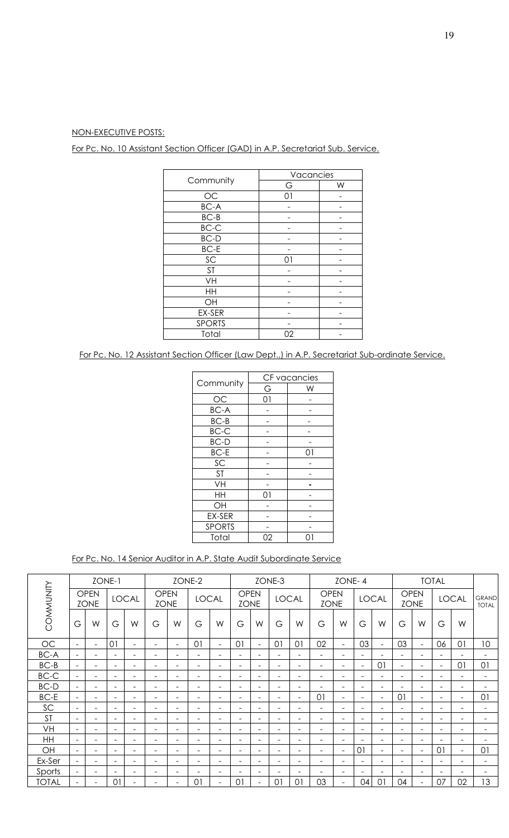# NON-EXECUTIVE POSTS:

For Pc. No. 10 Assistant Section Officer (GAD) in A.P. Secretariat Sub. Service.

|               | Vacancies |   |
|---------------|-----------|---|
| Community     | G         | W |
| $\rm OC$      | 01        |   |
| BC-A          |           |   |
| $BC-B$        |           |   |
| $BC-C$        |           |   |
| <b>BC-D</b>   |           |   |
| $BC-E$        |           |   |
| SC            | 01        |   |
| <b>ST</b>     |           |   |
| VH            |           |   |
| HH            |           |   |
| OH            |           |   |
| EX-SER        |           |   |
| <b>SPORTS</b> |           |   |
| Total         | 02        |   |

For Pc. No. 12 Assistant Section Officer (Law Dept.,) in A.P. Secretariat Sub-ordinate Service.

|               |    | CF vacancies |
|---------------|----|--------------|
| Community     | G  | W            |
| <b>OC</b>     | 01 |              |
| <b>BC-A</b>   |    |              |
| $BC-B$        |    |              |
| BC-C          |    |              |
| <b>BC-D</b>   |    |              |
| <b>BC-E</b>   |    | ດ1           |
| SC            |    |              |
| <b>ST</b>     |    |              |
| VH            |    |              |
| HH            | 01 |              |
| OH            |    |              |
| EX-SER        |    |              |
| <b>SPORTS</b> |    |              |
| Total         | 02 |              |

For Pc. No. 14 Senior Auditor in A.P. State Audit Subordinate Service

|              |                          |                            | ZONE-1                   |                          |                            |                          | ZONE-2                   |                          |                            |                          | ZONE-3                   |                          |                            | ZONE-4                   |                          |                          |                          |                            | <b>TOTAL</b>             |                          |                              |
|--------------|--------------------------|----------------------------|--------------------------|--------------------------|----------------------------|--------------------------|--------------------------|--------------------------|----------------------------|--------------------------|--------------------------|--------------------------|----------------------------|--------------------------|--------------------------|--------------------------|--------------------------|----------------------------|--------------------------|--------------------------|------------------------------|
| COMMUNITY    |                          | <b>OPEN</b><br><b>ZONE</b> |                          | <b>LOCAL</b>             | <b>OPEN</b><br><b>ZONE</b> |                          |                          | <b>LOCAL</b>             | <b>OPEN</b><br><b>ZONE</b> |                          | <b>LOCAL</b>             |                          | <b>OPEN</b><br><b>ZONE</b> |                          |                          | <b>LOCAL</b>             |                          | <b>OPEN</b><br><b>ZONE</b> |                          | <b>LOCAL</b>             | <b>GRAND</b><br><b>TOTAL</b> |
|              | G                        | W                          | G                        | W                        | G                          | W                        | G                        | W                        | G                          | W                        | G                        | W                        | G                          | W                        | G                        | W                        | G                        | W                          | G                        | W                        |                              |
| OC           | $\equiv$                 | $\overline{\phantom{0}}$   | 0 <sup>1</sup>           | $\overline{\phantom{0}}$ | $\overline{\phantom{0}}$   | $\equiv$                 | 01                       | $\blacksquare$           | $\overline{0}$             | $\overline{\phantom{0}}$ | $\overline{0}$           | $\overline{0}$           | 02                         | $\sim$                   | 03                       | $\blacksquare$           | 03                       | $\overline{\phantom{a}}$   | 06                       | 01                       | 10                           |
| <b>BC-A</b>  | $\overline{\phantom{a}}$ | $\equiv$                   | $\equiv$                 | Ξ.                       | $\overline{\phantom{m}}$   |                          | $\overline{\phantom{0}}$ | $\overline{\phantom{a}}$ |                            | -                        | $\overline{\phantom{0}}$ | $\overline{\phantom{0}}$ | $\overline{\phantom{a}}$   | $\equiv$                 | $\overline{\phantom{0}}$ | $\overline{\phantom{m}}$ | $\overline{\phantom{a}}$ | $\overline{\phantom{a}}$   |                          |                          | $\equiv$                     |
| $BC-B$       | $\equiv$                 | $\overline{\phantom{0}}$   | $=$                      | $\equiv$                 | $\overline{\phantom{0}}$   |                          | $\overline{\phantom{0}}$ | $\overline{\phantom{a}}$ |                            |                          | $\overline{\phantom{0}}$ | $\overline{\phantom{0}}$ | $\overline{\phantom{0}}$   | $\equiv$                 | $\overline{\phantom{0}}$ | 01                       | $\overline{\phantom{0}}$ | ÷                          |                          | 01                       | 01                           |
| BC-C         | $\equiv$                 | $\equiv$                   | $\equiv$                 | $\equiv$                 | $\overline{\phantom{0}}$   | $\overline{\phantom{a}}$ | $\overline{\phantom{0}}$ | $\overline{\phantom{a}}$ | $\overline{\phantom{0}}$   | $\overline{\phantom{0}}$ | $\overline{\phantom{0}}$ | $\overline{\phantom{0}}$ | $\overline{\phantom{0}}$   | $\equiv$                 | $\equiv$                 | $\rightarrow$            | $\equiv$                 | $\overline{\phantom{0}}$   | ۳                        | $\equiv$                 | $\overline{\phantom{a}}$     |
| <b>BC-D</b>  | $\overline{\phantom{0}}$ | $\overline{\phantom{m}}$   | $\overline{\phantom{0}}$ | $\overline{\phantom{0}}$ | $\overline{\phantom{m}}$   | $\overline{\phantom{0}}$ | $\overline{\phantom{a}}$ | $\overline{\phantom{a}}$ | -                          | -                        | Ξ.                       | $\overline{\phantom{0}}$ | -                          | $\overline{\phantom{a}}$ | Ξ.                       | $\overline{\phantom{0}}$ | $\overline{\phantom{a}}$ | $\overline{\phantom{0}}$   | $\overline{\phantom{0}}$ | $\overline{\phantom{0}}$ | $\overline{\phantom{0}}$     |
| BC-E         | $\overline{\phantom{a}}$ | $\overline{\phantom{m}}$   | $\equiv$                 | ۰                        | $\overline{\phantom{m}}$   | $\overline{\phantom{0}}$ | $\overline{\phantom{a}}$ | $\overline{\phantom{a}}$ | $\overline{\phantom{0}}$   | $\overline{\phantom{0}}$ | $\overline{\phantom{0}}$ | $\overline{\phantom{0}}$ | 01                         | $\overline{\phantom{a}}$ | $\overline{\phantom{0}}$ | $\overline{\phantom{0}}$ | 01                       | $\overline{\phantom{0}}$   | $\overline{\phantom{0}}$ | $\overline{\phantom{0}}$ | 01                           |
| SC           | $\overline{\phantom{a}}$ | $\equiv$                   | $\equiv$                 | Ξ.                       | $\overline{\phantom{m}}$   | $\equiv$                 | $\overline{\phantom{a}}$ | $\overline{\phantom{a}}$ | $\equiv$                   | $\overline{\phantom{0}}$ | $\overline{\phantom{0}}$ | $\overline{\phantom{0}}$ | $\overline{\phantom{0}}$   | $\overline{\phantom{a}}$ | $\overline{\phantom{a}}$ | $\overline{\phantom{m}}$ | $\overline{\phantom{a}}$ | $\overline{\phantom{a}}$   | $\overline{\phantom{0}}$ | $\equiv$                 | $\overline{\phantom{a}}$     |
| <b>ST</b>    | $\equiv$                 |                            |                          | $\equiv$                 | $\overline{\phantom{a}}$   |                          | $\equiv$                 | ۰                        |                            |                          | ۰                        | ۰                        | ÷                          | $\overline{\phantom{0}}$ | $\equiv$                 | $\overline{\phantom{0}}$ | ۰                        | ÷                          |                          | $\overline{\phantom{0}}$ | $\equiv$                     |
| <b>VH</b>    | $\equiv$                 | $\overline{\phantom{0}}$   | $\overline{\phantom{m}}$ | Ξ.                       | $\overline{\phantom{0}}$   | $\overline{\phantom{0}}$ | $\overline{\phantom{a}}$ | $\overline{\phantom{a}}$ | $\overline{\phantom{0}}$   | $\overline{\phantom{0}}$ | Ξ.                       | $\overline{\phantom{m}}$ | $\overline{\phantom{a}}$   | $\overline{\phantom{a}}$ | $\sim$                   | $\overline{\phantom{m}}$ | $\overline{\phantom{a}}$ | $\overline{\phantom{a}}$   | $\overline{\phantom{0}}$ | $\equiv$                 | $\overline{\phantom{0}}$     |
| HH           | $\overline{\phantom{a}}$ | $\overline{\phantom{0}}$   | $\overline{\phantom{0}}$ | -                        | $\overline{\phantom{m}}$   | $\overline{\phantom{0}}$ | $\overline{\phantom{a}}$ | $\overline{\phantom{a}}$ | -                          | -                        | Ξ.                       | $\overline{\phantom{a}}$ | $\overline{\phantom{0}}$   | $\overline{\phantom{a}}$ | -                        | $\overline{\phantom{m}}$ | $\overline{\phantom{a}}$ | $\overline{\phantom{a}}$   | $\overline{\phantom{0}}$ | $\overline{\phantom{0}}$ | -                            |
| OH           | $\equiv$                 | $\overline{\phantom{0}}$   | $\equiv$                 | $\equiv$                 | $\overline{\phantom{m}}$   | $\overline{\phantom{0}}$ | $\overline{\phantom{a}}$ | $\overline{\phantom{a}}$ | $\overline{\phantom{0}}$   | $\overline{\phantom{0}}$ | $\overline{\phantom{0}}$ | $\overline{\phantom{a}}$ | $\overline{\phantom{0}}$   | $\overline{\phantom{a}}$ | 01                       | $\overline{\phantom{0}}$ | $\overline{\phantom{0}}$ | $\overline{\phantom{a}}$   | $\Omega$                 | $\equiv$                 | 01                           |
| Ex-Ser       | $\overline{\phantom{a}}$ | $\overline{\phantom{m}}$   | $\overline{\phantom{0}}$ | Ξ.                       | $\overline{\phantom{m}}$   | -                        | $\overline{\phantom{a}}$ | $\overline{\phantom{a}}$ | $\overline{\phantom{0}}$   | ۰                        | $\overline{\phantom{0}}$ | $\overline{\phantom{a}}$ | $\overline{\phantom{0}}$   | $\overline{\phantom{a}}$ | $\overline{\phantom{0}}$ | $\overline{\phantom{m}}$ | $\overline{\phantom{m}}$ | $\overline{\phantom{a}}$   | $\overline{\phantom{a}}$ | $\overline{\phantom{a}}$ | $\overline{\phantom{a}}$     |
| Sports       | $\overline{\phantom{0}}$ | $\overline{\phantom{0}}$   | $\overline{\phantom{0}}$ | $\equiv$                 | $\overline{\phantom{0}}$   |                          | ÷                        | $\overline{\phantom{a}}$ |                            |                          |                          | ۰                        |                            | $\overline{\phantom{0}}$ | ۰                        |                          | -                        |                            |                          |                          |                              |
| <b>TOTAL</b> |                          | -                          | 01                       | Ξ.                       | $\overline{\phantom{a}}$   | $\overline{\phantom{0}}$ | 0 <sup>1</sup>           | $\overline{\phantom{a}}$ | 0 <sup>1</sup>             |                          | $\Omega$                 | 0 <sup>1</sup>           | 03                         | $\overline{\phantom{a}}$ | 04                       | 01                       | 04                       | $\overline{\phantom{0}}$   | 07                       | 02                       | 13                           |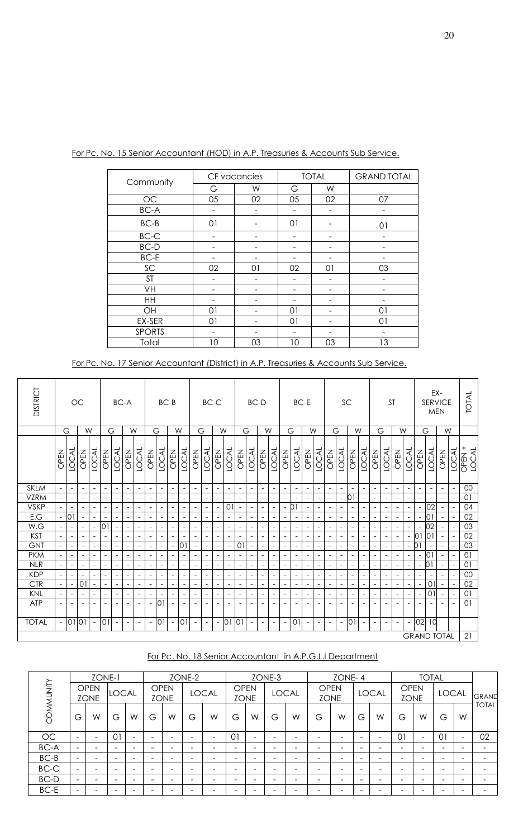| Community     |    | CF vacancies |    | <b>TOTAL</b> | <b>GRAND TOTAL</b> |
|---------------|----|--------------|----|--------------|--------------------|
|               | G  | W            | G  | W            |                    |
| <b>OC</b>     | 05 | 02           | 05 | 02           | 07                 |
| <b>BC-A</b>   |    |              |    |              |                    |
| $BC-B$        | 01 |              | 01 |              | 01                 |
| $BC-C$        |    |              |    |              |                    |
| <b>BC-D</b>   |    |              |    |              |                    |
| $BC-E$        |    |              |    |              |                    |
| SC            | 02 | 01           | 02 | 01           | 03                 |
| <b>ST</b>     |    |              |    |              | -                  |
| VH            |    |              |    |              |                    |
| HH            |    |              |    |              |                    |
| OH            | 01 |              | 01 |              | 01                 |
| EX-SER        | 01 |              | 01 |              | 01                 |
| <b>SPORTS</b> |    |              |    |              |                    |
| Total         | 10 | 03           | 10 | 03           | 13                 |

For Pc. No. 15 Senior Accountant (HOD) in A.P. Treasuries & Accounts Sub Service.

| For Pc. No. 17 Senior Accountant (District) in A.P. Treasuries & Accounts Sub Service. |  |
|----------------------------------------------------------------------------------------|--|
|----------------------------------------------------------------------------------------|--|

| DISTRICT     |                          |                          | $OC$                     |                          |                          |                          | BC-A                     |                          |                          |                          | $BC-B$                   |                          |                          |                          | $BC-C$                   |                          |                          | BC-D                     |                          |                          |                          |                          | $BC-E$                   |                          |                          | SC                       |                          |                          |                          | <b>ST</b>                |                          |                          |                          | SERVICE                  | EX-<br><b>MEN</b>        |                            | <b>TOTAL</b> |
|--------------|--------------------------|--------------------------|--------------------------|--------------------------|--------------------------|--------------------------|--------------------------|--------------------------|--------------------------|--------------------------|--------------------------|--------------------------|--------------------------|--------------------------|--------------------------|--------------------------|--------------------------|--------------------------|--------------------------|--------------------------|--------------------------|--------------------------|--------------------------|--------------------------|--------------------------|--------------------------|--------------------------|--------------------------|--------------------------|--------------------------|--------------------------|--------------------------|--------------------------|--------------------------|--------------------------|----------------------------|--------------|
|              |                          | G                        |                          | W                        |                          | G                        |                          | W                        |                          | G                        |                          | W                        | G                        |                          |                          | W                        |                          | G                        |                          | W                        |                          | G                        | W                        |                          | G                        |                          | W                        |                          |                          | G                        | W                        |                          |                          | G                        |                          | W                          |              |
|              | OPEN                     | <b>LOCAL</b>             | OPEN                     | <b>LOCAL</b>             | <b>OPEN</b>              | LOCAL                    | OPEN                     | <b>LOCAL</b>             | OPEN                     | <b>LOCAL</b>             | OPEN                     | <b>LOCAL</b>             | <b>ISPEN</b>             | <b>LOCAL</b>             | OPEN                     | <b>LOCAL</b>             | OPEN                     | <b>LOCAL</b>             | OPEN                     | <b>LOCAL</b>             | OPEN                     | <b>LOCAL</b>             | <b>OPEN</b>              | <b>LOCAL</b>             | OPEN                     | <b>LOCAL</b>             | OPEN                     | <b>LOCAL</b>             | <b>IREN</b>              | <b>LOCAL</b>             | OPEN                     | <b>LOCAL</b>             | OPEN                     | <b>LOCAL</b>             | <b>OPEN</b>              | LOCAL<br>OPEN <sup>+</sup> | <b>LOCAL</b> |
| <b>SKLM</b>  |                          | $\overline{\phantom{a}}$ | $\overline{\phantom{a}}$ | $\overline{\phantom{a}}$ | $\blacksquare$           | $\overline{\phantom{a}}$ | $\overline{\phantom{a}}$ | $\overline{\phantom{a}}$ | $\overline{\phantom{a}}$ | $\sim$                   | $\overline{\phantom{a}}$ | $\overline{\phantom{a}}$ | $\overline{\phantom{a}}$ | $\overline{\phantom{a}}$ | $\overline{\phantom{a}}$ | $\overline{\phantom{a}}$ | $\overline{\phantom{a}}$ | $\overline{\phantom{a}}$ | $\overline{\phantom{a}}$ | $\overline{\phantom{a}}$ | $\overline{\phantom{a}}$ | $\overline{\phantom{a}}$ | $\overline{\phantom{a}}$ | $\overline{\phantom{a}}$ | $\sim$                   | $\overline{\phantom{a}}$ | $\overline{\phantom{a}}$ | $\overline{\phantom{a}}$ | $\blacksquare$           | $\overline{\phantom{a}}$ | $\overline{\phantom{a}}$ | $\overline{\phantom{a}}$ | $\overline{\phantom{a}}$ | $\overline{\phantom{a}}$ | $\overline{\phantom{a}}$ | $\overline{\phantom{a}}$   | $00\,$       |
| <b>VZRM</b>  | $\overline{\phantom{a}}$ | $\overline{\phantom{a}}$ |                          | $\overline{\phantom{a}}$ | $\overline{a}$           |                          | $\overline{\phantom{a}}$ |                          | $\overline{\phantom{a}}$ | $\overline{\phantom{a}}$ | $\overline{a}$           | $\overline{\phantom{a}}$ | $\overline{\phantom{a}}$ | $\overline{\phantom{a}}$ | $\overline{\phantom{a}}$ |                          | $\overline{\phantom{a}}$ |                          | $\overline{\phantom{a}}$ | $\overline{\phantom{a}}$ | $\overline{\phantom{a}}$ | $\overline{\phantom{a}}$ | $\overline{\phantom{a}}$ | $\overline{\phantom{a}}$ | $\overline{\phantom{a}}$ | $\overline{\phantom{a}}$ | 01                       |                          |                          |                          |                          | $\overline{\phantom{a}}$ |                          |                          |                          | $\overline{\phantom{a}}$   | 01           |
| <b>VSKP</b>  |                          |                          |                          | $\blacksquare$           |                          |                          |                          |                          | $\overline{\phantom{a}}$ | $\overline{\phantom{a}}$ |                          | $\overline{\phantom{a}}$ | $\overline{\phantom{a}}$ | $\overline{\phantom{a}}$ | $\overline{\phantom{a}}$ | 01                       |                          |                          | $\overline{\phantom{a}}$ | $\overline{\phantom{a}}$ | $\overline{\phantom{a}}$ | D1                       |                          |                          |                          |                          | $\overline{\phantom{a}}$ |                          |                          |                          |                          | $\overline{\phantom{a}}$ | $\overline{\phantom{a}}$ | 02                       |                          | $\overline{\phantom{a}}$   | 04           |
| E.G          | $\overline{\phantom{a}}$ | $\overline{0}$           |                          | $\blacksquare$           | $\blacksquare$           |                          | $\blacksquare$           | $\blacksquare$           | $\overline{\phantom{a}}$ | $\blacksquare$           |                          | $\overline{\phantom{a}}$ | $\blacksquare$           | $\overline{\phantom{a}}$ | $\blacksquare$           |                          | $\blacksquare$           | $\overline{a}$           | $\sim$                   | $\overline{\phantom{a}}$ |                          | $\overline{\phantom{a}}$ | $\blacksquare$           | $\overline{\phantom{a}}$ | $\sim$                   |                          | $\overline{\phantom{a}}$ |                          | $\overline{a}$           | $\overline{\phantom{a}}$ | $\blacksquare$           | $\blacksquare$           | $\overline{\phantom{a}}$ | 0 <sub>1</sub>           |                          | $\overline{\phantom{a}}$   | 02           |
| W.G          |                          | $\blacksquare$           | $\overline{\phantom{a}}$ | $\blacksquare$           | 0                        | $\overline{\phantom{a}}$ | $\overline{\phantom{a}}$ | $\overline{\phantom{a}}$ | $\overline{\phantom{a}}$ | $\overline{\phantom{a}}$ | $\overline{\phantom{a}}$ | $\overline{\phantom{a}}$ | $\overline{\phantom{a}}$ | $\overline{\phantom{a}}$ | $\overline{\phantom{a}}$ | $\overline{\phantom{a}}$ | $\overline{\phantom{a}}$ | $\overline{\phantom{a}}$ | $\overline{\phantom{a}}$ | $\overline{\phantom{a}}$ | $\overline{\phantom{a}}$ | $\overline{\phantom{a}}$ | $\overline{\phantom{a}}$ | $\overline{\phantom{a}}$ | $\overline{\phantom{a}}$ | $\overline{\phantom{a}}$ | $\overline{\phantom{a}}$ | $\overline{\phantom{a}}$ | $\overline{\phantom{a}}$ | $\overline{\phantom{a}}$ | $\overline{\phantom{a}}$ | $\overline{\phantom{a}}$ | $\overline{\phantom{a}}$ | 02                       |                          | $\blacksquare$             | 03           |
| <b>KST</b>   |                          | $\overline{\phantom{a}}$ |                          | $\overline{\phantom{a}}$ |                          |                          |                          |                          | $\overline{\phantom{a}}$ | $\blacksquare$           |                          | $\overline{\phantom{0}}$ | $\overline{\phantom{a}}$ | $\overline{\phantom{a}}$ | $\blacksquare$           |                          | $\overline{\phantom{a}}$ |                          | $\overline{\phantom{a}}$ | $\overline{\phantom{a}}$ |                          | $\overline{a}$           | $\overline{\phantom{a}}$ | $\overline{\phantom{a}}$ | $\overline{\phantom{a}}$ |                          | $\overline{\phantom{a}}$ |                          |                          |                          | $\overline{\phantom{a}}$ | $\overline{\phantom{a}}$ | lo 1                     | 01                       |                          |                            | 02           |
| <b>GNT</b>   |                          | $\overline{\phantom{a}}$ |                          | $\overline{\phantom{a}}$ | $\overline{\phantom{a}}$ |                          |                          |                          | $\blacksquare$           | $\blacksquare$           | $\overline{\phantom{a}}$ | 0 <sup>1</sup>           | $\overline{\phantom{a}}$ | $\overline{\phantom{a}}$ | $\blacksquare$           | $\overline{\phantom{a}}$ | 01                       | $\overline{\phantom{a}}$ |                          | $\overline{\phantom{a}}$ |                          | $\overline{\phantom{a}}$ | $\overline{\phantom{a}}$ | $\overline{\phantom{a}}$ | $\overline{\phantom{a}}$ |                          | $\overline{\phantom{a}}$ |                          |                          |                          |                          | $\sim$                   | D <sub>1</sub>           |                          |                          |                            | 03           |
| <b>PKM</b>   | $\overline{\phantom{a}}$ | $\overline{\phantom{a}}$ | $\overline{a}$           | $\overline{\phantom{a}}$ | $\overline{\phantom{a}}$ |                          | $\overline{\phantom{a}}$ | $\blacksquare$           | $\overline{\phantom{a}}$ | $\overline{\phantom{a}}$ | $\equiv$                 | $\overline{\phantom{a}}$ | $\sim$                   | $\overline{\phantom{a}}$ | $\overline{\phantom{a}}$ | $\overline{\phantom{a}}$ | $\overline{\phantom{a}}$ | $\overline{a}$           | $\overline{\phantom{a}}$ | $\overline{\phantom{a}}$ |                          | $\overline{\phantom{a}}$ | $\overline{\phantom{a}}$ | $\overline{\phantom{a}}$ | $\overline{\phantom{a}}$ |                          | $\overline{\phantom{a}}$ | $\overline{a}$           | $\blacksquare$           | $\overline{\phantom{a}}$ | $\blacksquare$           | $\overline{\phantom{a}}$ | $\blacksquare$           | 01                       | $\blacksquare$           | $\equiv$                   | 01           |
| <b>NLR</b>   |                          | $\overline{\phantom{a}}$ | $\overline{\phantom{a}}$ | $\blacksquare$           | $\overline{\phantom{a}}$ | $\overline{\phantom{a}}$ | $\overline{\phantom{a}}$ | $\overline{\phantom{a}}$ | $\overline{\phantom{a}}$ | $\blacksquare$           | $\overline{\phantom{a}}$ | $\overline{\phantom{a}}$ | $\overline{\phantom{a}}$ | $\overline{\phantom{a}}$ | $\overline{\phantom{a}}$ | $\overline{\phantom{a}}$ | $\overline{\phantom{a}}$ | $\overline{\phantom{a}}$ | $\overline{\phantom{a}}$ | $\overline{\phantom{a}}$ | $\overline{\phantom{a}}$ | $\overline{\phantom{a}}$ | $\overline{\phantom{a}}$ | $\overline{\phantom{a}}$ | $\blacksquare$           | $\overline{\phantom{a}}$ | $\overline{\phantom{a}}$ | $\overline{\phantom{a}}$ | $\overline{\phantom{a}}$ | $\overline{\phantom{a}}$ | $\overline{\phantom{a}}$ | $\overline{\phantom{a}}$ | $\overline{\phantom{a}}$ | 01                       | $\overline{\phantom{a}}$ | $\blacksquare$             | 01           |
| <b>KDP</b>   |                          | $\overline{\phantom{a}}$ |                          | $\overline{\phantom{a}}$ | $\overline{\phantom{a}}$ |                          | $\overline{\phantom{a}}$ | $\overline{\phantom{a}}$ | $\overline{\phantom{a}}$ | $\overline{\phantom{a}}$ | $\blacksquare$           | $\overline{\phantom{a}}$ | $\overline{\phantom{a}}$ | $\overline{\phantom{a}}$ | $\blacksquare$           | $\overline{\phantom{a}}$ | $\overline{\phantom{a}}$ |                          | $\blacksquare$           | $\overline{\phantom{a}}$ | $\overline{\phantom{a}}$ | $\overline{\phantom{a}}$ | $\overline{\phantom{a}}$ | $\overline{\phantom{a}}$ | $\blacksquare$           |                          | $\overline{\phantom{a}}$ |                          | $\blacksquare$           | $\overline{\phantom{a}}$ | $\overline{\phantom{a}}$ | $\overline{\phantom{a}}$ |                          |                          |                          |                            | $00\,$       |
| <b>CTR</b>   |                          | $\overline{\phantom{a}}$ | 0                        | $\overline{\phantom{a}}$ | $\overline{\phantom{a}}$ |                          |                          |                          | $\overline{\phantom{a}}$ | $\overline{\phantom{a}}$ |                          | $\overline{\phantom{a}}$ | $\overline{\phantom{a}}$ | $\overline{\phantom{a}}$ | $\overline{\phantom{a}}$ |                          | $\overline{\phantom{a}}$ |                          | $\overline{\phantom{a}}$ | $\equiv$                 |                          | $\overline{\phantom{a}}$ |                          | $\overline{\phantom{a}}$ | $\blacksquare$           |                          | $\blacksquare$           |                          | $\overline{a}$           |                          |                          |                          |                          | 01                       |                          | $\equiv$                   | 02           |
| KNL          | $\overline{\phantom{a}}$ | $\overline{\phantom{a}}$ | $\blacksquare$           | $\overline{\phantom{a}}$ | $\blacksquare$           | $\blacksquare$           | $\overline{\phantom{a}}$ | $\overline{\phantom{a}}$ | $\overline{\phantom{a}}$ | $\overline{\phantom{a}}$ | $\overline{a}$           | $\overline{\phantom{a}}$ | $\sim$                   | $\blacksquare$           | $\overline{\phantom{a}}$ | $\overline{\phantom{a}}$ | $\overline{\phantom{a}}$ | $\blacksquare$           | $\overline{\phantom{a}}$ | $\equiv$                 | $\blacksquare$           | $\overline{\phantom{a}}$ | $\blacksquare$           | $\overline{\phantom{a}}$ | $\overline{\phantom{a}}$ | $\overline{\phantom{a}}$ | $\blacksquare$           | $\overline{\phantom{a}}$ | $\blacksquare$           | $\overline{\phantom{a}}$ | $\overline{\phantom{a}}$ | $\overline{\phantom{a}}$ | $\overline{\phantom{a}}$ | 01                       | $\blacksquare$           | $\equiv$                   | 01           |
| <b>ATP</b>   |                          |                          |                          | $\overline{\phantom{a}}$ | $\overline{\phantom{a}}$ | $\overline{\phantom{a}}$ | $\overline{\phantom{a}}$ | $\overline{\phantom{a}}$ | $\overline{\phantom{a}}$ | 0                        | $\overline{a}$           | $\overline{\phantom{a}}$ | $\overline{\phantom{a}}$ | $\overline{\phantom{a}}$ | $\overline{\phantom{a}}$ | $\overline{\phantom{a}}$ | $\overline{\phantom{a}}$ | $\overline{\phantom{a}}$ | $\overline{\phantom{a}}$ | $\overline{\phantom{a}}$ | $\overline{\phantom{a}}$ | $\overline{\phantom{a}}$ | $\overline{\phantom{a}}$ | $\overline{\phantom{a}}$ | $\overline{\phantom{a}}$ |                          | $\overline{\phantom{a}}$ | $\overline{\phantom{a}}$ | $\overline{\phantom{a}}$ | $\overline{\phantom{a}}$ | $\overline{\phantom{a}}$ | $\overline{\phantom{a}}$ | $\overline{\phantom{a}}$ | $\overline{\phantom{a}}$ | $\overline{\phantom{a}}$ | $\blacksquare$             | 01           |
| <b>TOTAL</b> |                          | 01 01                    |                          | $\equiv$                 | 01                       | $\overline{\phantom{a}}$ | $\overline{\phantom{a}}$ | $\overline{\phantom{a}}$ | $\overline{\phantom{a}}$ | 01                       | $\overline{a}$           | 01                       | $\overline{\phantom{m}}$ | $\overline{\phantom{a}}$ | $\overline{\phantom{a}}$ | 0                        | 01                       | $\overline{\phantom{a}}$ | $\overline{\phantom{a}}$ | $\overline{\phantom{a}}$ |                          | O <sub>1</sub>           | $\overline{\phantom{a}}$ | $\overline{\phantom{a}}$ | $\blacksquare$           |                          | 01                       | $\overline{\phantom{a}}$ | $\overline{\phantom{a}}$ | $\overline{\phantom{a}}$ | $\overline{\phantom{a}}$ | $\overline{\phantom{a}}$ | 02                       | 10                       |                          |                            |              |
|              |                          |                          |                          |                          |                          |                          |                          |                          |                          |                          |                          |                          |                          |                          |                          |                          |                          |                          |                          |                          |                          |                          |                          |                          |                          |                          |                          |                          |                          |                          |                          |                          |                          | <b>GRAND TOTAL</b>       |                          |                            | 21           |

# For Pc. No. 18 Senior Accountant in A.P.G.L.I Department

|           |                          | ZONE-1                     |                          |                          |                          |                            | ZONE-2                       |                          |             |                          | ZONE-3                   |                              |                          | ZONE-4      |                          |              |                            | <b>TOTAL</b>             |                          |                          |                          |
|-----------|--------------------------|----------------------------|--------------------------|--------------------------|--------------------------|----------------------------|------------------------------|--------------------------|-------------|--------------------------|--------------------------|------------------------------|--------------------------|-------------|--------------------------|--------------|----------------------------|--------------------------|--------------------------|--------------------------|--------------------------|
| COMMUNITY |                          | <b>OPEN</b><br><b>ZONE</b> | LOCAL                    |                          |                          | <b>OPEN</b><br><b>ZONE</b> |                              | <b>LOCAL</b>             | <b>OPEN</b> | <b>ZONE</b>              |                          | <b>LOCAL</b>                 | <b>OPEN</b>              | <b>ZONE</b> |                          | <b>LOCAL</b> | <b>OPEN</b><br><b>ZONE</b> |                          | <b>LOCAL</b>             |                          | GRAND                    |
|           | G                        | W                          | G                        | W                        | G                        | W                          | G                            | W                        | G           | W                        | G                        | W                            | G                        | W           | G                        | W            | G                          | W                        | G                        | W                        | <b>TOTAL</b>             |
| <b>OC</b> | -                        | -                          | 01                       | -                        | $\overline{\phantom{0}}$ | -                          | $\qquad \qquad \blacksquare$ | $\overline{\phantom{0}}$ | 01          | $\overline{\phantom{0}}$ | $\overline{\phantom{0}}$ | $\qquad \qquad \blacksquare$ | $\overline{\phantom{0}}$ | -           | $\overline{\phantom{0}}$ | -            | 01                         | $\overline{\phantom{a}}$ | $\overline{0}$           | $\equiv$                 | 02                       |
| BC-A      | $\overline{\phantom{0}}$ | -                          | $\overline{\phantom{0}}$ | $\overline{\phantom{0}}$ | $\overline{\phantom{0}}$ | -                          | $\qquad \qquad \blacksquare$ | -                        | -           | $\overline{\phantom{0}}$ | $\overline{\phantom{0}}$ | $\qquad \qquad \blacksquare$ | $\overline{\phantom{0}}$ | -           | $\overline{\phantom{0}}$ | -            | $\overline{\phantom{0}}$   | -                        | $\overline{\phantom{0}}$ | $\overline{\phantom{0}}$ | $\overline{\phantom{0}}$ |
| $BC-B$    | $\overline{\phantom{0}}$ | -                          | $\overline{\phantom{0}}$ | $\overline{\phantom{0}}$ | $\overline{\phantom{0}}$ | -                          | $\overline{\phantom{0}}$     | -                        | -           | $\overline{\phantom{0}}$ | $\overline{\phantom{0}}$ | $\overline{\phantom{0}}$     | -                        |             | $\overline{\phantom{0}}$ | -            | $\overline{\phantom{0}}$   | -                        | -                        | $\overline{\phantom{0}}$ | $\overline{\phantom{0}}$ |
| $BC-C$    | -                        | -                          | $\overline{\phantom{0}}$ | $\overline{\phantom{0}}$ |                          |                            | $\qquad \qquad \blacksquare$ | -                        | -           | $\overline{\phantom{0}}$ | $\overline{\phantom{0}}$ | $\qquad \qquad \blacksquare$ | $\overline{\phantom{0}}$ |             |                          | -            | -                          | -                        | -                        | -                        | $\overline{\phantom{0}}$ |
| BC-D      | $\overline{\phantom{0}}$ | -                          | $\overline{\phantom{0}}$ | $\overline{\phantom{0}}$ |                          | -                          | $\qquad \qquad \blacksquare$ | -                        | -           | -                        | $\overline{\phantom{0}}$ | $\qquad \qquad \blacksquare$ | -                        |             |                          | -            | -                          | -                        |                          | $\overline{\phantom{0}}$ | $\overline{\phantom{0}}$ |
| BC-E      |                          | -                          | $\overline{\phantom{0}}$ |                          |                          |                            | $\qquad \qquad$              |                          | -           | -                        | -                        | $\overline{\phantom{0}}$     | -                        |             |                          |              |                            | -                        |                          | $\overline{\phantom{0}}$ | -                        |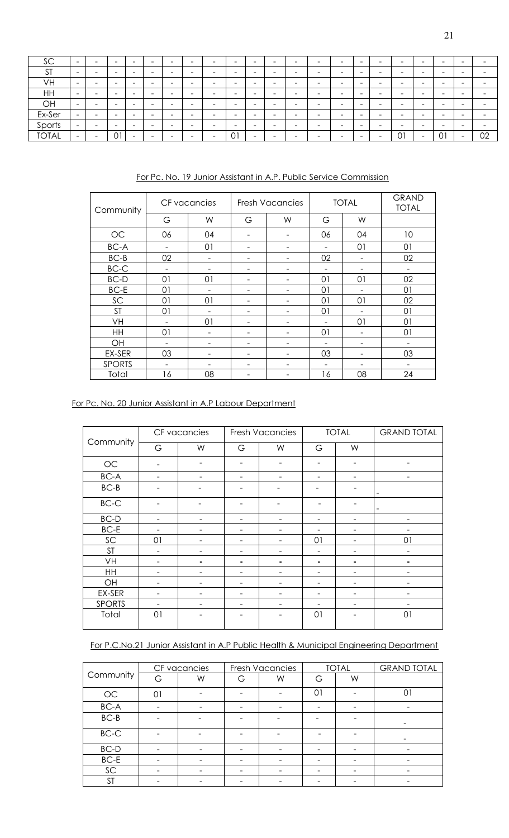| SC           | $\overline{\phantom{0}}$ |                          | -  |                          | - |                          | $\overline{\phantom{0}}$ |          | -                        | $\overline{\phantom{0}}$ | -                        |                          | $\overline{\phantom{a}}$ |   | -                        | - | -                        | -                        | $\overline{\phantom{a}}$ |                          |                          |
|--------------|--------------------------|--------------------------|----|--------------------------|---|--------------------------|--------------------------|----------|--------------------------|--------------------------|--------------------------|--------------------------|--------------------------|---|--------------------------|---|--------------------------|--------------------------|--------------------------|--------------------------|--------------------------|
| <b>ST</b>    | $\overline{\phantom{a}}$ | -                        | -  | -                        | - | -                        | $\overline{\phantom{0}}$ |          | -                        | $\overline{\phantom{0}}$ | $\overline{\phantom{a}}$ | -                        | $\overline{\phantom{0}}$ |   | -                        | - | $\overline{\phantom{0}}$ | -                        | -                        | $\overline{\phantom{a}}$ | -                        |
| VH           | $\overline{\phantom{0}}$ |                          | -  | $\overline{\phantom{0}}$ | - | $\overline{\phantom{a}}$ | $\overline{\phantom{0}}$ | -        | -                        | $\overline{\phantom{0}}$ | -                        | -                        | $\overline{\phantom{0}}$ | - | -                        | - | $\overline{\phantom{0}}$ | -                        | -                        | -                        |                          |
| HH           | $\overline{\phantom{0}}$ | $\overline{\phantom{a}}$ | -  | -                        | - | $\overline{\phantom{a}}$ | $\overline{\phantom{a}}$ | -        | $\overline{\phantom{a}}$ | $\overline{\phantom{0}}$ | $\overline{\phantom{a}}$ | $\overline{\phantom{0}}$ | $\overline{\phantom{0}}$ | - | $\overline{\phantom{a}}$ | - | $\overline{\phantom{0}}$ | $\overline{\phantom{a}}$ | -                        | $\overline{\phantom{a}}$ | $\overline{\phantom{0}}$ |
| OH           | $\overline{\phantom{0}}$ | -                        | -  | -                        | - | -                        | $\overline{\phantom{0}}$ |          | -                        | $\overline{\phantom{0}}$ | -                        | -                        | $\overline{\phantom{0}}$ |   | $\overline{\phantom{a}}$ | - | -                        | -                        | -                        | -                        |                          |
| Ex-Ser       | $\overline{\phantom{0}}$ |                          | -  |                          |   |                          | -                        |          |                          | -                        |                          |                          | $\overline{\phantom{0}}$ |   | -                        | - | -                        |                          | $\overline{\phantom{a}}$ |                          |                          |
| Sports       | $\overline{\phantom{a}}$ |                          | -  | -                        | - | -                        | -                        |          |                          | $\overline{\phantom{0}}$ | -                        |                          | -                        |   | $\overline{\phantom{0}}$ | - | -                        | -                        | -                        |                          |                          |
| <b>TOTAL</b> | $\overline{\phantom{a}}$ |                          | 01 |                          |   |                          | -                        | <b>1</b> | 01                       | $\overline{\phantom{0}}$ |                          |                          | -                        |   |                          |   | $\overline{0}$           |                          | 01                       |                          | 02                       |

For Pc. No. 19 Junior Assistant in A.P. Public Service Commission

| Community     |                          | CF vacancies |                          | <b>Fresh Vacancies</b> |                          | <b>TOTAL</b>             | <b>GRAND</b><br><b>TOTAL</b> |
|---------------|--------------------------|--------------|--------------------------|------------------------|--------------------------|--------------------------|------------------------------|
|               | G                        | W            | G                        | W                      | G                        | W                        |                              |
| OC            | 06                       | 04           | ۰                        |                        | 06                       | 04                       | 10                           |
| BC-A          | $\overline{\phantom{m}}$ | 01           | $\overline{\phantom{0}}$ | -                      | -                        | 01                       | 01                           |
| $BC-B$        | 02                       |              | ۰                        |                        | 02                       |                          | 02                           |
| $BC-C$        |                          |              | -                        |                        |                          |                          |                              |
| BC-D          | 01                       | 01           | -                        |                        | 01                       | 01                       | 02                           |
| <b>BC-E</b>   | 01                       |              | -                        |                        | 01                       |                          | 01                           |
| SC            | 01                       | 01           |                          |                        | 01                       | 01                       | 02                           |
| <b>ST</b>     | 01                       |              |                          |                        | 01                       |                          | 01                           |
| VH            |                          | 01           |                          |                        |                          | 01                       | 01                           |
| HH            | 01                       |              | -                        | ۰                      | 01                       | $\overline{\phantom{0}}$ | 01                           |
| OH            | $\overline{\phantom{m}}$ |              | -                        |                        | $\overline{\phantom{0}}$ | -                        |                              |
| EX-SER        | 03                       |              | -                        |                        | 03                       |                          | 03                           |
| <b>SPORTS</b> | ۰                        |              |                          |                        |                          |                          |                              |
| Total         | 16                       | 08           |                          |                        | 16                       | 08                       | 24                           |

# For Pc. No. 20 Junior Assistant in A.P Labour Department

|               |    | CF vacancies |   | <b>Fresh Vacancies</b> |                          | <b>TOTAL</b>             | <b>GRAND TOTAL</b>           |
|---------------|----|--------------|---|------------------------|--------------------------|--------------------------|------------------------------|
| Community     | G  | W            | G | W                      | G                        | W                        |                              |
| $\rm OC$      |    |              |   |                        |                          |                          |                              |
| $BC-A$        |    |              |   |                        |                          |                          |                              |
| $BC-B$        |    |              |   |                        |                          |                          | $\qquad \qquad \blacksquare$ |
| $BC-C$        |    |              |   |                        |                          |                          | $\overline{\phantom{0}}$     |
| $BC-D$        |    |              |   |                        | $\overline{\phantom{0}}$ | $\overline{\phantom{a}}$ |                              |
| $BC-E$        |    |              | - |                        | -                        | $\qquad \qquad -$        |                              |
| SC            | 01 |              | ۰ |                        | 01                       | $\overline{\phantom{a}}$ | 01                           |
| <b>ST</b>     |    |              | - |                        | $\overline{\phantom{a}}$ | $\qquad \qquad -$        |                              |
| VH            |    |              | ۰ |                        | ۰                        | ٠                        |                              |
| HH            |    |              |   |                        | -                        |                          |                              |
| OH            |    |              |   |                        | -                        |                          |                              |
| EX-SER        |    |              |   |                        |                          |                          |                              |
| <b>SPORTS</b> |    |              |   |                        |                          | $\overline{\phantom{a}}$ |                              |
| Total         | 01 |              |   |                        | 01                       |                          | 01                           |

# For P.C.No.21 Junior Assistant in A.P Public Health & Municipal Engineering Department

|           | CF vacancies |   |   | Fresh Vacancies |    | <b>TOTAL</b> | <b>GRAND TOTAL</b> |
|-----------|--------------|---|---|-----------------|----|--------------|--------------------|
| Community | G            | W | G | W               | G  | W            |                    |
| OC        | $\Omega$     |   |   |                 | 01 |              |                    |
| BC-A      |              |   |   |                 |    |              |                    |
| $BC-B$    |              |   |   |                 |    |              |                    |
| $BC-C$    |              |   |   |                 |    |              |                    |
| $BC-D$    |              |   |   |                 |    |              |                    |
| BC-E      |              |   |   |                 |    |              |                    |
| SC        |              |   |   |                 |    |              |                    |
| ST        |              |   |   |                 |    |              |                    |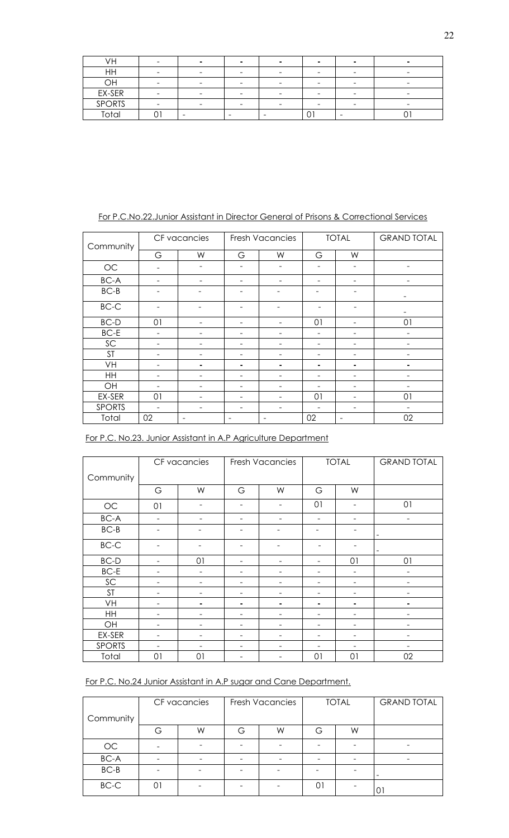| ٧H            |  |   |  | $\overline{\phantom{a}}$ |  |
|---------------|--|---|--|--------------------------|--|
| HH            |  |   |  | $\overline{\phantom{a}}$ |  |
| ЭH            |  |   |  | -                        |  |
| EX-SER        |  |   |  |                          |  |
| <b>SPORTS</b> |  |   |  | -                        |  |
| ota           |  | - |  |                          |  |

# For P.C.No.22.Junior Assistant in Director General of Prisons & Correctional Services

| Community     | CF vacancies |                          |   | <b>Fresh Vacancies</b> |    | <b>TOTAL</b>             | <b>GRAND TOTAL</b> |
|---------------|--------------|--------------------------|---|------------------------|----|--------------------------|--------------------|
|               | G            | W                        | G | W                      | G  | W                        |                    |
| $OC$          |              | $\overline{\phantom{0}}$ | - | -                      | -  | $\overline{\phantom{0}}$ |                    |
| $BC-A$        |              |                          |   |                        |    |                          |                    |
| $BC-B$        |              |                          |   |                        |    |                          |                    |
| $BC-C$        |              |                          |   |                        |    |                          |                    |
| $BC-D$        | 01           |                          | ۰ |                        | 01 | $\qquad \qquad$          | 01                 |
| $BC-E$        |              |                          | - |                        | -  | -                        |                    |
| SC            |              | $\overline{\phantom{0}}$ | - |                        | -  | -                        |                    |
| <b>ST</b>     |              | $\qquad \qquad$          | - |                        | -  | $\qquad \qquad$          |                    |
| VH            |              | ٠                        | ۰ |                        | ۰  | ٠                        |                    |
| HH            |              | $\overline{\phantom{0}}$ | - |                        | ۰  | ۰                        |                    |
| OH            |              |                          | - |                        | -  | -                        |                    |
| EX-SER        | 01           |                          | ۰ |                        | 01 | $\overline{\phantom{0}}$ | 01                 |
| <b>SPORTS</b> |              |                          |   |                        |    |                          |                    |
| Total         | 02           |                          |   |                        | 02 |                          | 02                 |

|  |  | For P.C. No.23. Junior Assistant in A.P Agriculture Department |  |  |
|--|--|----------------------------------------------------------------|--|--|
|--|--|----------------------------------------------------------------|--|--|

|               | CF vacancies |                          |   | <b>Fresh Vacancies</b> |                          | <b>TOTAL</b>             | <b>GRAND TOTAL</b> |
|---------------|--------------|--------------------------|---|------------------------|--------------------------|--------------------------|--------------------|
| Community     |              |                          |   |                        |                          |                          |                    |
|               | G            | W                        | G | W                      | G                        | W                        |                    |
| $OC$          | 01           | $\overline{\phantom{0}}$ | - | -                      | 01                       | ۰                        | 01                 |
| BC-A          |              |                          |   |                        |                          |                          |                    |
| $BC-B$        |              |                          |   |                        |                          |                          | $\qquad \qquad -$  |
| $BC-C$        |              | -                        | - |                        |                          |                          | ۰                  |
| $BC-D$        |              | 01                       | ۰ |                        | ۰                        | 01                       | 01                 |
| $BC-E$        |              | $\blacksquare$           | ۰ |                        |                          | $\overline{\phantom{0}}$ |                    |
| SC            |              | $\qquad \qquad$          | - |                        | -                        | $\overline{\phantom{0}}$ |                    |
| <b>ST</b>     |              | -                        | - | -                      | $\overline{\phantom{0}}$ | $\overline{\phantom{0}}$ |                    |
| VH            |              | ۰                        | ۰ |                        | ۰                        | ۰                        | -                  |
| HH            |              |                          | ۰ |                        |                          |                          |                    |
| OH            |              |                          | - |                        | ۰                        | $\overline{\phantom{0}}$ |                    |
| EX-SER        |              |                          | ۰ |                        | ۳                        | $\overline{\phantom{0}}$ |                    |
| <b>SPORTS</b> |              |                          | - |                        |                          | -                        |                    |
| Total         | 01           | 01                       |   |                        | 01                       | 01                       | 02                 |

| For P.C. No.24 Junior Assistant in A.P sugar and Cane Department. |  |  |
|-------------------------------------------------------------------|--|--|
|                                                                   |  |  |

| Community |   | CF vacancies |   | Fresh Vacancies |   | <b>TOTAL</b> | <b>GRAND TOTAL</b>       |
|-----------|---|--------------|---|-----------------|---|--------------|--------------------------|
|           | G | W            | G | W               | G | W            |                          |
| OC        |   |              |   |                 |   |              |                          |
| BC-A      |   |              |   |                 |   |              |                          |
| $BC-B$    |   |              |   |                 |   |              | $\overline{\phantom{0}}$ |
| $BC-C$    |   |              |   |                 |   |              |                          |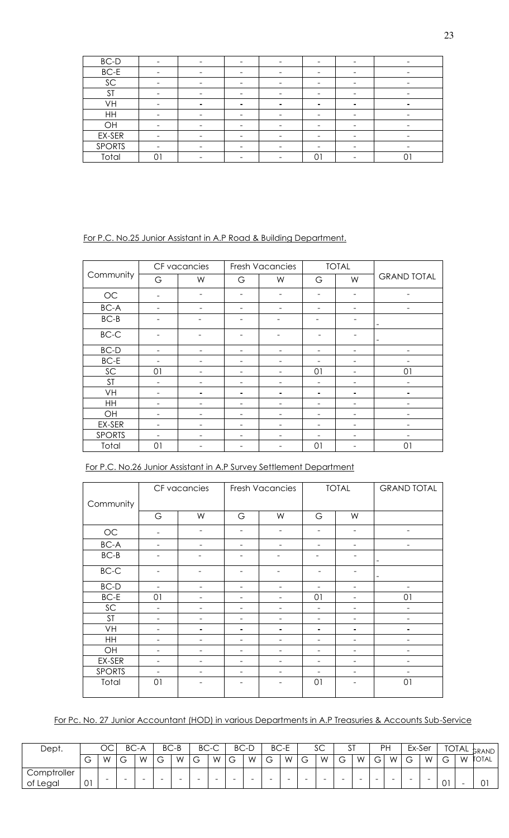| $BC-D$        | -                        | $\overline{\phantom{a}}$ |                | -                        |   |                          |
|---------------|--------------------------|--------------------------|----------------|--------------------------|---|--------------------------|
| $BC-E$        | $\overline{\phantom{a}}$ | -                        |                | -                        |   | $\overline{\phantom{0}}$ |
| SC            |                          |                          |                |                          |   |                          |
| <b>ST</b>     |                          |                          |                |                          |   |                          |
| VH            | ۰                        | ۰                        | $\blacksquare$ | ۰                        | ۰ | ۰                        |
| HH            | $\qquad \qquad$          | -                        |                | $\overline{\phantom{0}}$ | - | $\overline{\phantom{0}}$ |
| OH            |                          |                          |                |                          |   |                          |
| EX-SER        | $\overline{\phantom{a}}$ | -                        |                | $\overline{\phantom{0}}$ |   | -                        |
| <b>SPORTS</b> | $\qquad \qquad$          |                          |                | -                        |   | -                        |
| Total         |                          |                          |                | U                        |   |                          |

For P.C. No.25 Junior Assistant in A.P Road & Building Department.

|               |    | CF vacancies    |   | <b>Fresh Vacancies</b> |                 | <b>TOTAL</b>    |                    |
|---------------|----|-----------------|---|------------------------|-----------------|-----------------|--------------------|
| Community     | G  | W               | G | W                      | G               | W               | <b>GRAND TOTAL</b> |
| OC            |    | $\qquad \qquad$ | - | -                      | $\qquad \qquad$ |                 |                    |
| $BC-A$        |    |                 |   |                        |                 |                 |                    |
| $BC-B$        |    |                 |   |                        |                 |                 | -                  |
| $BC-C$        |    |                 |   |                        |                 |                 | -                  |
| BC-D          |    |                 |   |                        |                 |                 |                    |
| $BC-E$        |    |                 |   |                        |                 |                 |                    |
| SC            | 01 |                 |   |                        | 01              |                 | 01                 |
| <b>ST</b>     |    |                 |   |                        | ۰               |                 |                    |
| VH            |    |                 | ۰ |                        | ٠               | ۰               |                    |
| HH            |    |                 |   |                        |                 |                 |                    |
| OH            |    |                 |   |                        |                 |                 |                    |
| EX-SER        |    |                 | - |                        | $\qquad \qquad$ | $\qquad \qquad$ |                    |
| <b>SPORTS</b> |    |                 |   |                        |                 | -               |                    |
| Total         | 01 |                 |   |                        | 01              |                 | 01                 |

| For P.C. No.26 Junior Assistant in A.P Survey Settlement Department |
|---------------------------------------------------------------------|
|---------------------------------------------------------------------|

|               |    | CF vacancies             |                          | Fresh Vacancies |                          | <b>TOTAL</b>             | <b>GRAND TOTAL</b>       |
|---------------|----|--------------------------|--------------------------|-----------------|--------------------------|--------------------------|--------------------------|
| Community     |    |                          |                          |                 |                          |                          |                          |
|               | G  | W                        | G                        | W               | G                        | W                        |                          |
| OC            |    |                          |                          |                 |                          |                          |                          |
| $BC-A$        |    | $\overline{\phantom{a}}$ | $\overline{\phantom{0}}$ | $\blacksquare$  | $\overline{\phantom{a}}$ | $\overline{\phantom{a}}$ | $\overline{\phantom{a}}$ |
| $BC-B$        |    |                          |                          |                 |                          |                          | -                        |
| $BC-C$        |    |                          |                          |                 |                          |                          | -                        |
| $BC-D$        |    |                          | ۰                        |                 |                          | $\overline{\phantom{0}}$ |                          |
| $BC-E$        | 01 | $\qquad \qquad -$        | $\overline{\phantom{a}}$ | ۰               | 01                       | $\overline{\phantom{a}}$ | 01                       |
| SC            |    |                          | -                        |                 | -                        | -                        | -                        |
| <b>ST</b>     |    |                          | -                        |                 | $\overline{\phantom{0}}$ | -                        |                          |
| VH            |    |                          | ۰                        |                 | ۰                        | ۰                        |                          |
| <b>HH</b>     |    |                          | ۰                        |                 | -                        |                          |                          |
| OH            |    | ۰                        | ۰                        | ۳               | ۰                        | $\overline{\phantom{0}}$ |                          |
| EX-SER        |    | $\qquad \qquad -$        | $\overline{\phantom{a}}$ | ۰               | ۰                        | $\overline{\phantom{m}}$ | ۰                        |
| <b>SPORTS</b> |    |                          |                          |                 |                          |                          |                          |
| Total         | 01 |                          |                          |                 | 01                       |                          | 01                       |

For Pc. No. 27 Junior Accountant (HOD) in various Departments in A.P Treasuries & Accounts Sub-Service

| Dept.       | OС           |                          | BC.         | `−A                      |             | $BC-B$ | BC.                           | ⌒<br>_ب-                 |                          | BC-D                     |                          | BC-E |                                          | $\sim$<br>ےد             | ັບ                            | $^{\sim}$                |        | <b>PH</b>                |                          | Ex-Ser                   |                        |   | TOTAL <sub>GRAND</sub> |
|-------------|--------------|--------------------------|-------------|--------------------------|-------------|--------|-------------------------------|--------------------------|--------------------------|--------------------------|--------------------------|------|------------------------------------------|--------------------------|-------------------------------|--------------------------|--------|--------------------------|--------------------------|--------------------------|------------------------|---|------------------------|
|             | ⌒<br>◡       | W                        | $\sim$<br>ت | W                        | $\sim$<br>- | W      | $\overline{\phantom{0}}$<br>◡ | W                        | $\sim$<br>◡              | W                        | ⌒<br>ت                   | W    | $\overline{\phantom{0}}$<br>$\checkmark$ | W                        | $\overline{\phantom{0}}$<br>ヮ | W                        | G      | W                        | $\sim$<br>ت              | W                        | $\sim$<br>$\mathbf{r}$ | W | TOTAL                  |
| Comptroller |              |                          |             |                          |             |        |                               |                          |                          |                          |                          |      |                                          |                          |                               |                          |        |                          |                          |                          |                        |   |                        |
| of Legal    | $\cap$<br>U. | $\overline{\phantom{a}}$ | -           | $\overline{\phantom{a}}$ | -           | -      | $\overline{\phantom{a}}$      | $\overline{\phantom{a}}$ | $\overline{\phantom{a}}$ | $\overline{\phantom{0}}$ | $\overline{\phantom{a}}$ | -    | -                                        | $\overline{\phantom{a}}$ | -                             | $\overline{\phantom{a}}$ | $\sim$ | $\overline{\phantom{a}}$ | $\overline{\phantom{a}}$ | $\overline{\phantom{a}}$ | $\bigcap$ 1<br>U       |   | $\sim$<br>$\sim$       |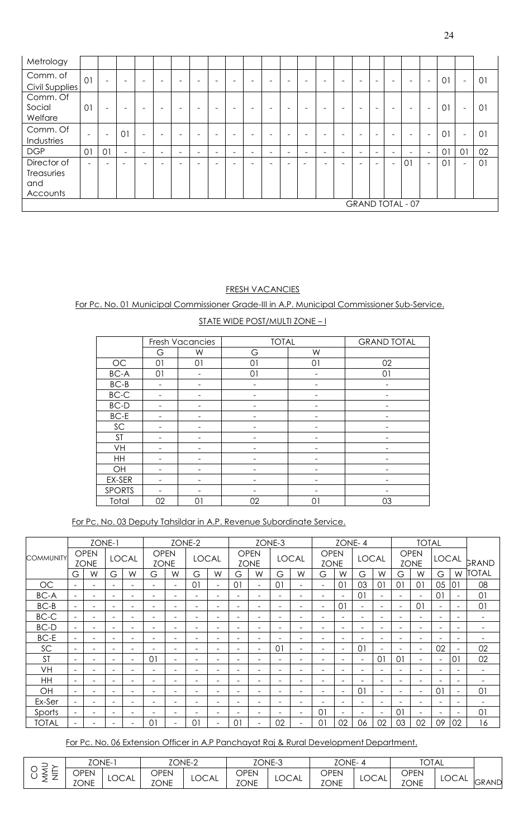| ۹ |  |
|---|--|
|   |  |

| Metrology                     |                          |                              |                          |                          |                          |                          |                          |                          |                              |                          |                          |                          |                          |                          |                          |                              |                          |                              |                          |                          |    |                          |    |
|-------------------------------|--------------------------|------------------------------|--------------------------|--------------------------|--------------------------|--------------------------|--------------------------|--------------------------|------------------------------|--------------------------|--------------------------|--------------------------|--------------------------|--------------------------|--------------------------|------------------------------|--------------------------|------------------------------|--------------------------|--------------------------|----|--------------------------|----|
| Comm. of                      | 01                       | $\overline{\phantom{a}}$     | $\overline{\phantom{0}}$ | $\overline{\phantom{0}}$ | -                        | $\overline{\phantom{0}}$ | $\overline{\phantom{0}}$ | $\overline{\phantom{0}}$ | $\qquad \qquad \blacksquare$ | $\overline{\phantom{0}}$ | $\overline{\phantom{0}}$ | $\overline{\phantom{0}}$ |                          | $\overline{\phantom{0}}$ | $\overline{\phantom{0}}$ | $\qquad \qquad \blacksquare$ | $\overline{\phantom{0}}$ | $\overline{\phantom{0}}$     | $\overline{\phantom{0}}$ | $\overline{\phantom{a}}$ | 01 | $\overline{\phantom{a}}$ | 01 |
| Civil Supplies                |                          |                              |                          |                          |                          |                          |                          |                          |                              |                          |                          |                          |                          |                          |                          |                              |                          |                              |                          |                          |    |                          |    |
| Comm. Of<br>Social<br>Welfare | 01                       | $\qquad \qquad \blacksquare$ | -                        | $\overline{\phantom{0}}$ | -                        | -                        | -                        | $\overline{\phantom{0}}$ | ۰                            | -                        |                          | $\overline{\phantom{0}}$ |                          |                          | -                        | -                            | $\overline{\phantom{0}}$ | $\qquad \qquad \blacksquare$ | -                        | $\overline{\phantom{a}}$ | 01 | $\overline{\phantom{a}}$ | 01 |
| Comm. Of                      | $\overline{\phantom{a}}$ | $\overline{\phantom{0}}$     | 01                       | $\overline{\phantom{0}}$ | -                        | -                        | $\overline{\phantom{0}}$ | <b>1</b>                 | $\overline{\phantom{0}}$     | $\overline{\phantom{0}}$ | $\overline{\phantom{0}}$ | -                        |                          | $\overline{\phantom{0}}$ | $\overline{\phantom{0}}$ | -                            | $\overline{\phantom{0}}$ | -                            | -                        | $\overline{\phantom{a}}$ | 01 | $\overline{\phantom{0}}$ | 01 |
| Industries                    |                          |                              |                          |                          |                          |                          |                          |                          |                              |                          |                          |                          |                          |                          |                          |                              |                          |                              |                          |                          |    |                          |    |
| <b>DGP</b>                    | 01                       | 01                           | $\overline{\phantom{0}}$ | $\overline{\phantom{0}}$ | $\overline{\phantom{0}}$ | $\overline{\phantom{a}}$ | -                        | $\overline{\phantom{a}}$ | $\overline{\phantom{a}}$     | $\overline{\phantom{0}}$ | $\overline{\phantom{a}}$ | $\overline{\phantom{0}}$ | -                        | $\overline{\phantom{0}}$ | $\overline{\phantom{a}}$ | $\overline{\phantom{a}}$     | $\equiv$                 | $\overline{\phantom{a}}$     | $\overline{\phantom{0}}$ | $\overline{\phantom{a}}$ | 01 | 01                       | 02 |
| Director of                   | $\overline{\phantom{a}}$ | $\equiv$                     | $\equiv$                 |                          | -                        | -                        |                          |                          | -                            |                          | -                        | $\equiv$                 | $\overline{\phantom{0}}$ |                          |                          | -                            |                          | $\overline{\phantom{a}}$     | 01                       | $\overline{\phantom{a}}$ | 01 | $\overline{\phantom{0}}$ | 01 |
| Treasuries                    |                          |                              |                          |                          |                          |                          |                          |                          |                              |                          |                          |                          |                          |                          |                          |                              |                          |                              |                          |                          |    |                          |    |
| and                           |                          |                              |                          |                          |                          |                          |                          |                          |                              |                          |                          |                          |                          |                          |                          |                              |                          |                              |                          |                          |    |                          |    |
| Accounts                      |                          |                              |                          |                          |                          |                          |                          |                          |                              |                          |                          |                          |                          |                          |                          |                              |                          |                              |                          |                          |    |                          |    |
|                               |                          |                              |                          |                          |                          |                          |                          |                          |                              |                          |                          |                          |                          |                          |                          |                              |                          |                              | <b>GRAND TOTAL - 07</b>  |                          |    |                          |    |

# FRESH VACANCIES

For Pc. No. 01 Municipal Commissioner Grade-III in A.P. Municipal Commissioner Sub-Service.

|               |    | <b>Fresh Vacancies</b> | <b>TOTAL</b> |          | <b>GRAND TOTAL</b> |
|---------------|----|------------------------|--------------|----------|--------------------|
|               | G  | W                      | G            | W        |                    |
| $\rm OC$      | 01 | 01                     | 01           | 01       | 02                 |
| BC-A          | 01 |                        | 01           |          | 01                 |
| $BC-B$        | -  |                        |              |          |                    |
| $BC-C$        |    |                        |              |          |                    |
| $BC-D$        |    |                        |              |          |                    |
| $BC-E$        | -  |                        |              |          |                    |
| SC            |    |                        |              |          |                    |
| <b>ST</b>     |    |                        |              |          |                    |
| VH            |    |                        |              |          |                    |
| HH            | -  |                        |              |          |                    |
| OH            |    |                        |              |          |                    |
| EX-SER        |    |                        |              |          |                    |
| <b>SPORTS</b> |    |                        |              |          |                    |
| Total         | 02 | $0^{\cdot}$            | 02           | $\cup$ . | 03                 |

For Pc. No. 03 Deputy Tahsildar in A.P. Revenue Subordinate Service.

|                  |                          | ZONE-1                     |                          |                          |                            |                          | ZONE-2                   |                          |                          |                            | ZONE-3                   |                          |                            | ZONE-4                   |                          |                          |                          | <b>TOTAL</b>               |                          |                          |                          |
|------------------|--------------------------|----------------------------|--------------------------|--------------------------|----------------------------|--------------------------|--------------------------|--------------------------|--------------------------|----------------------------|--------------------------|--------------------------|----------------------------|--------------------------|--------------------------|--------------------------|--------------------------|----------------------------|--------------------------|--------------------------|--------------------------|
| <b>COMMUNITY</b> |                          | <b>OPEN</b><br><b>ZONE</b> |                          | <b>LOCAL</b>             | <b>OPEN</b><br><b>ZONE</b> |                          | <b>LOCAL</b>             |                          |                          | <b>OPEN</b><br><b>ZONE</b> |                          | <b>LOCAL</b>             | <b>OPEN</b><br><b>ZONE</b> |                          | <b>LOCAL</b>             |                          |                          | <b>OPEN</b><br><b>ZONE</b> | <b>LOCAL</b>             |                          | GRAND                    |
|                  | G                        | W                          | G                        | W                        | G                          | W                        | G                        | W                        | G                        | W                          | G                        | W                        | G                          | W                        | G                        | W                        | G                        | W                          | G                        | W                        | <b>TOTAL</b>             |
| OC               |                          |                            | $\overline{\phantom{0}}$ | $\overline{\phantom{0}}$ | $\equiv$                   |                          | 01                       | $\sim$                   | 01                       | $\overline{\phantom{0}}$   | 01                       | $\overline{\phantom{0}}$ | $\overline{\phantom{0}}$   | 01                       | 03                       | 01                       | 0 <sub>1</sub>           | 01                         | 05                       | 01                       | 08                       |
| <b>BC-A</b>      | $\sim$                   | -                          | $\overline{\phantom{0}}$ | -                        | $\overline{\phantom{0}}$   |                          | Ξ.                       | $\overline{\phantom{a}}$ |                          | -                          | ۰                        | $\overline{\phantom{0}}$ | Ξ.                         | $\overline{\phantom{a}}$ | $\overline{0}$           | $\overline{\phantom{a}}$ | $\equiv$                 | $\overline{\phantom{a}}$   | 01                       | $\overline{\phantom{0}}$ | 01                       |
| $BC-B$           | $\overline{\phantom{a}}$ | $\overline{\phantom{0}}$   | $\overline{\phantom{0}}$ | -                        | $\overline{\phantom{0}}$   | $\overline{\phantom{0}}$ | -                        | $\overline{\phantom{0}}$ | $\overline{\phantom{0}}$ | -                          | $\overline{\phantom{0}}$ | $\overline{\phantom{0}}$ | Ξ.                         | 0 <sub>1</sub>           | $\overline{\phantom{a}}$ | $\overline{\phantom{a}}$ | $\overline{\phantom{a}}$ | $\overline{0}$             | $\overline{\phantom{0}}$ | $\overline{\phantom{0}}$ | 01                       |
| BC-C             | $\sim$                   | $\equiv$                   | $\overline{\phantom{0}}$ | $\overline{\phantom{0}}$ | $\equiv$                   |                          | $\overline{\phantom{0}}$ | ۰                        |                          |                            | ۰                        | ۰                        | ۰                          | $\overline{\phantom{a}}$ | $\equiv$                 | $\overline{\phantom{0}}$ | $\equiv$                 | $\overline{\phantom{0}}$   | ۰                        | $\overline{\phantom{0}}$ | $\overline{\phantom{0}}$ |
| <b>BC-D</b>      | $\equiv$                 |                            | $\overline{\phantom{0}}$ | -                        | $\equiv$                   |                          | Ξ.                       | ۰                        | $\overline{\phantom{0}}$ |                            | ۰                        | ۰                        | Ξ.                         | $\overline{\phantom{a}}$ | ÷                        | $\overline{\phantom{a}}$ | $\equiv$                 | $\overline{\phantom{a}}$   | $\equiv$                 | $\overline{\phantom{a}}$ | ۰                        |
| BC-E             |                          | $\overline{\phantom{0}}$   | -                        | -                        | $\overline{\phantom{0}}$   |                          | $\overline{\phantom{0}}$ | $\overline{\phantom{0}}$ | $\overline{\phantom{0}}$ | Ξ.                         | ۰                        | $\overline{\phantom{0}}$ | Ξ.                         | $\overline{\phantom{a}}$ | $\overline{\phantom{0}}$ | $\overline{\phantom{0}}$ | $\overline{\phantom{0}}$ | $\qquad \qquad$            | $\overline{\phantom{0}}$ | $\overline{\phantom{a}}$ | -                        |
| SC               | $\sim$                   |                            | $\overline{\phantom{0}}$ | ۰                        |                            |                          | $\overline{\phantom{0}}$ | ۰                        |                          | $\equiv$                   | 01                       | ۰                        | $\equiv$                   | $\overline{\phantom{a}}$ | $\Omega$                 | $\equiv$                 |                          | $\overline{\phantom{a}}$   | 02                       | $\overline{\phantom{0}}$ | 02                       |
| <b>ST</b>        |                          |                            | $\overline{\phantom{0}}$ | ۰                        | 0 <sup>1</sup>             |                          | $\overline{\phantom{0}}$ | $\equiv$                 |                          | ۰                          | $\equiv$                 | ۰                        | ۰                          | $\overline{\phantom{a}}$ | $\overline{\phantom{a}}$ | 01                       | 0 <sup>1</sup>           | $\overline{\phantom{0}}$   | $\overline{\phantom{a}}$ | 01                       | 02                       |
| VH               | $\sim$                   | $\overline{\phantom{0}}$   | -                        | -                        | $\overline{\phantom{0}}$   |                          | $\overline{\phantom{0}}$ | $\overline{\phantom{0}}$ | $\overline{\phantom{0}}$ | -                          | ۰                        | $\overline{\phantom{0}}$ | -                          | $\overline{\phantom{a}}$ | $\overline{\phantom{0}}$ | $\overline{\phantom{0}}$ | $\overline{\phantom{0}}$ | $\overline{\phantom{0}}$   | $\overline{\phantom{0}}$ | $\overline{\phantom{0}}$ | -                        |
| HH               | $\overline{\phantom{a}}$ |                            | -                        |                          | -                          |                          | $\overline{\phantom{0}}$ | $\overline{\phantom{0}}$ |                          |                            | $\overline{\phantom{a}}$ | -                        | -                          | $\overline{\phantom{a}}$ | $\overline{\phantom{0}}$ | $\overline{\phantom{0}}$ | $\overline{\phantom{0}}$ | $\overline{\phantom{0}}$   |                          | $\overline{\phantom{0}}$ |                          |
| OH               |                          |                            | $\overline{\phantom{0}}$ | -                        | $\overline{\phantom{0}}$   |                          | Ξ.                       | ۰                        |                          |                            | $\overline{\phantom{0}}$ | $\overline{\phantom{0}}$ | ۰                          | $\overline{\phantom{a}}$ | $\Omega$                 | $\overline{\phantom{a}}$ | $\equiv$                 | $\equiv$                   | 0 <sub>1</sub>           | $\overline{\phantom{0}}$ | 01                       |
| Ex-Ser           | $\overline{\phantom{a}}$ |                            | -                        | -                        | $\overline{\phantom{0}}$   |                          | -                        | ۰                        |                          |                            | ۰                        | $\overline{\phantom{0}}$ | -                          | $\overline{\phantom{a}}$ | $\overline{\phantom{0}}$ | $\overline{\phantom{a}}$ | $\overline{\phantom{0}}$ | $\qquad \qquad$            |                          | ۰                        |                          |
| Sports           | $\overline{\phantom{a}}$ |                            | -                        | -                        | -                          |                          | $\overline{\phantom{0}}$ | $\overline{\phantom{0}}$ |                          | -                          | $\overline{\phantom{0}}$ | $\overline{\phantom{0}}$ | 0 <sup>1</sup>             | $\overline{\phantom{a}}$ | $\overline{\phantom{0}}$ | $\overline{\phantom{a}}$ | $\overline{0}$           | $\overline{\phantom{a}}$   | $\overline{\phantom{0}}$ | $\overline{\phantom{a}}$ | 01                       |
| <b>TOTAL</b>     | -                        |                            | -                        | -                        | 01                         |                          | 01                       | $\overline{\phantom{a}}$ | 01                       |                            | 02                       | $\overline{\phantom{m}}$ | 0 <sup>1</sup>             | 02                       | 06                       | 02                       | 03                       | 02                         | 09                       | 02                       | 16                       |

For Pc. No. 06 Extension Officer in A.P Panchayat Raj & Rural Development Department.

| $\overline{\phantom{0}}$<br>∽<br>— | ZONE-1              |              | ZONE-2              |              |                     | ZONE-3       | $7$ ONE- $4$        |               | <b>TOTAL</b>                      |              |              |
|------------------------------------|---------------------|--------------|---------------------|--------------|---------------------|--------------|---------------------|---------------|-----------------------------------|--------------|--------------|
| –<br>_                             | OPEN<br><b>ZONE</b> | <b>LOCAL</b> | OPEN<br><b>ZONE</b> | <b>LOCAL</b> | OPEN<br><b>ZONE</b> | <b>LOCAL</b> | OPEN<br><b>ZONE</b> | <b>LOCALI</b> | ∩DEN<br>ا ب<br>∟ P<br><b>ZONE</b> | <b>LOCAL</b> | <b>GRAND</b> |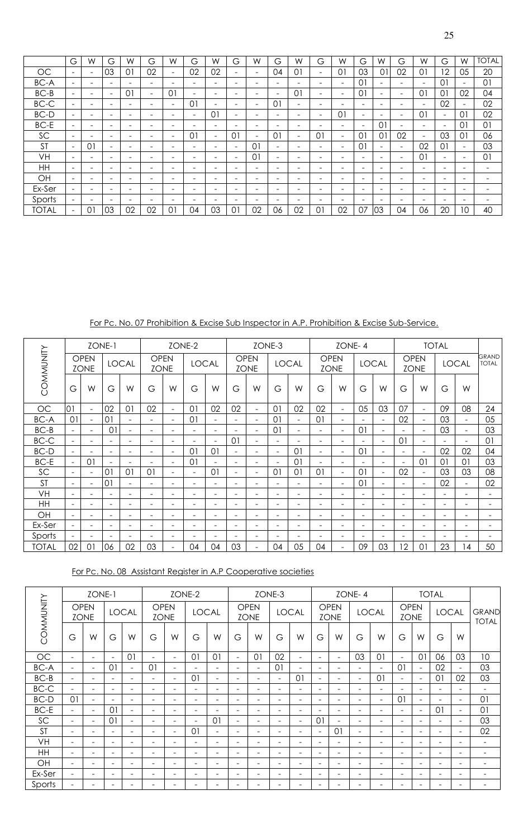|              | G                        | W                            | G                            | W                            | G  | W                        | G                        | W                        | G                        | W                        | G                        | W                        | G                        | W                        | G                        | W                        | G                        | W                        | G                        | W                        | <b>TOTAL</b>             |
|--------------|--------------------------|------------------------------|------------------------------|------------------------------|----|--------------------------|--------------------------|--------------------------|--------------------------|--------------------------|--------------------------|--------------------------|--------------------------|--------------------------|--------------------------|--------------------------|--------------------------|--------------------------|--------------------------|--------------------------|--------------------------|
| <b>OC</b>    | $\overline{\phantom{0}}$ | $\overline{\phantom{a}}$     | 03                           | $\overline{0}$               | 02 | $\equiv$                 | 02                       | 02                       | $\equiv$                 | $\overline{\phantom{0}}$ | 04                       | 01                       | $\overline{\phantom{0}}$ | $\Omega$                 | 03                       | 01                       | 02                       | 01                       | $\overline{2}$           | 05                       | 20                       |
| BC-A         | -                        | $\overline{\phantom{0}}$     |                              | -                            | -  |                          | $\overline{\phantom{0}}$ | $\overline{\phantom{0}}$ | -                        | $\qquad \qquad$          | -                        | -                        | $\qquad \qquad$          | $\sim$                   | 01                       | -                        | -                        | $\overline{\phantom{a}}$ | $\Omega$                 |                          | 01                       |
| BC-B         | $\overline{\phantom{a}}$ | $\overline{\phantom{0}}$     | <b>1</b>                     | $\overline{0}$               | Ξ. | 0 <sub>1</sub>           | $\overline{\phantom{0}}$ | -                        | $\overline{\phantom{0}}$ | $\overline{\phantom{m}}$ | $\overline{\phantom{0}}$ | $\overline{0}$           | $\overline{\phantom{m}}$ | $\sim$                   | 01                       | Ξ.                       | $\overline{\phantom{0}}$ | 01                       | 01                       | 02                       | 04                       |
| BC-C         | $\overline{\phantom{a}}$ | $\overline{\phantom{a}}$     | <b>1</b>                     | $\overline{\phantom{0}}$     | -  | $\overline{\phantom{0}}$ | 01                       | $\overline{\phantom{0}}$ | $\overline{\phantom{0}}$ | $\overline{\phantom{a}}$ | $\Omega$                 | $\sim$                   | $\overline{\phantom{m}}$ | $\sim$                   | $\equiv$                 | -                        | -                        | $\overline{\phantom{a}}$ | 02                       | $\overline{\phantom{0}}$ | 02                       |
| BC-D         | $\overline{\phantom{a}}$ | $\overline{\phantom{0}}$     | <b>1</b>                     | $\overline{\phantom{0}}$     | -  | $\overline{\phantom{0}}$ | $\overline{\phantom{a}}$ | 0 <sup>1</sup>           | $\equiv$                 | $\qquad \qquad$          | $\overline{\phantom{0}}$ | -                        | $\overline{\phantom{m}}$ | 01                       | $\overline{\phantom{a}}$ | -                        | $\overline{\phantom{0}}$ | 01                       | $\overline{\phantom{0}}$ | 01                       | 02                       |
| BC-E         | $\overline{\phantom{a}}$ | $\overline{\phantom{0}}$     | -                            | $\qquad \qquad \blacksquare$ | -  | -                        | $\overline{\phantom{a}}$ | $\overline{\phantom{0}}$ | $\overline{\phantom{0}}$ | $\overline{\phantom{0}}$ | -                        | $\overline{\phantom{0}}$ | $\overline{\phantom{0}}$ | -                        | $\overline{\phantom{0}}$ | 01                       | $\overline{\phantom{0}}$ | $\overline{\phantom{a}}$ | $\sim$                   | 01                       | 01                       |
| SC           | $\overline{\phantom{a}}$ | $\overline{\phantom{0}}$     | <b>1</b>                     | $\qquad \qquad \blacksquare$ | -  | $\overline{\phantom{0}}$ | $\overline{0}$           | $\overline{\phantom{0}}$ | $\Omega$                 | $\overline{\phantom{a}}$ | $0^{\circ}$              | -                        | 01                       | $\overline{\phantom{0}}$ | 01                       | 01                       | 02                       | $\overline{\phantom{a}}$ | 03                       | 01                       | 06                       |
| <b>ST</b>    | $\overline{\phantom{a}}$ | 01                           | $\qquad \qquad \blacksquare$ | $\qquad \qquad \blacksquare$ | -  | $\overline{\phantom{0}}$ | $\overline{\phantom{a}}$ | $\overline{\phantom{0}}$ | $\overline{\phantom{0}}$ | $\Omega$                 | -                        | $\overline{\phantom{0}}$ | $\overline{\phantom{m}}$ | $\sim$                   | 01                       | $\overline{\phantom{0}}$ | $\overline{\phantom{a}}$ | 02                       | $\overline{0}$           | Ξ.                       | 03                       |
| VH           | $\overline{\phantom{a}}$ | $\qquad \qquad \blacksquare$ | $\overline{\phantom{0}}$     | $\qquad \qquad \blacksquare$ | -  | $\overline{\phantom{0}}$ | $\overline{\phantom{a}}$ | $\overline{\phantom{0}}$ | $\overline{\phantom{0}}$ | 01                       | -                        | $\overline{\phantom{0}}$ | $\overline{\phantom{0}}$ | $\overline{\phantom{0}}$ | $\overline{\phantom{0}}$ | $\overline{\phantom{0}}$ | $\overline{\phantom{0}}$ | 01                       | $\overline{\phantom{0}}$ | $\overline{\phantom{0}}$ | 01                       |
| HH           | $\overline{\phantom{a}}$ | $\overline{\phantom{a}}$     | $\qquad \qquad \blacksquare$ | $\qquad \qquad \blacksquare$ | -  | $\overline{\phantom{0}}$ | $\overline{\phantom{a}}$ | $\overline{\phantom{0}}$ | $\overline{\phantom{0}}$ | $\overline{\phantom{a}}$ | -                        | $\overline{\phantom{0}}$ | $\overline{\phantom{m}}$ | $\overline{\phantom{0}}$ | $\overline{\phantom{0}}$ | -                        | $\overline{\phantom{0}}$ | $\overline{\phantom{0}}$ | $\overline{\phantom{0}}$ | $\overline{\phantom{0}}$ | $\overline{\phantom{0}}$ |
| OH           | $\overline{\phantom{0}}$ | $\overline{\phantom{a}}$     | $\overline{\phantom{0}}$     | $\qquad \qquad \blacksquare$ | -  | $\overline{\phantom{0}}$ | $\overline{\phantom{a}}$ | $\overline{\phantom{0}}$ | $\overline{\phantom{a}}$ | $\overline{\phantom{a}}$ | -                        | -                        | $\overline{\phantom{m}}$ | $\overline{\phantom{0}}$ | -                        | $\overline{\phantom{0}}$ | -                        | $\overline{\phantom{a}}$ | -                        | -                        | -                        |
| Ex-Ser       | $\overline{\phantom{a}}$ | $\qquad \qquad \blacksquare$ | $\overline{\phantom{0}}$     | $\overline{\phantom{0}}$     | -  | $\overline{\phantom{0}}$ | $\overline{\phantom{a}}$ | $\overline{\phantom{0}}$ | $\overline{\phantom{0}}$ | $\overline{\phantom{a}}$ | -                        | -                        | $\overline{\phantom{0}}$ | -                        | $\overline{\phantom{0}}$ | -                        | $\overline{\phantom{0}}$ | $\overline{\phantom{a}}$ | -                        | $\overline{\phantom{0}}$ | $\overline{\phantom{0}}$ |
| Sports       | $\overline{\phantom{a}}$ | $\overline{\phantom{a}}$     | $\overline{\phantom{0}}$     | $\overline{\phantom{0}}$     | -  | -                        | $\overline{\phantom{a}}$ | $\overline{\phantom{0}}$ | $\overline{\phantom{a}}$ | $\overline{\phantom{a}}$ | -                        | -                        | $\overline{\phantom{0}}$ | $\overline{\phantom{0}}$ | $\overline{\phantom{0}}$ | $\overline{\phantom{0}}$ | -                        | $\overline{\phantom{0}}$ | -                        | -                        |                          |
| <b>TOTAL</b> | $\overline{\phantom{a}}$ | $\Omega$                     | 03                           | 02                           | 02 | 01                       | 04                       | 03                       | $\Omega$                 | 02                       | 06                       | 02                       | $\overline{0}$           | 02                       | 07                       | 03                       | 04                       | 06                       | 20                       | 10                       | 40                       |

For Pc. No. 07 Prohibition & Excise Sub Inspector in A.P. Prohibition & Excise Sub-Service.

|              |                          | ZONE-1                     |                          |                          |                            |                          | ZONE-2                   |                          |                          |                            | ZONE-3                   |                          |                              | ZONE-4                     |                          |                          |                |                            | <b>TOTAL</b>             |                          |                              |
|--------------|--------------------------|----------------------------|--------------------------|--------------------------|----------------------------|--------------------------|--------------------------|--------------------------|--------------------------|----------------------------|--------------------------|--------------------------|------------------------------|----------------------------|--------------------------|--------------------------|----------------|----------------------------|--------------------------|--------------------------|------------------------------|
| COMMUNITY    |                          | <b>OPEN</b><br><b>ZONE</b> |                          | <b>LOCAL</b>             | <b>OPEN</b><br><b>ZONE</b> |                          | <b>LOCAL</b>             |                          |                          | <b>OPEN</b><br><b>ZONE</b> |                          | <b>LOCAL</b>             |                              | <b>OPEN</b><br><b>ZONE</b> |                          | <b>LOCAL</b>             |                | <b>OPEN</b><br><b>ZONE</b> |                          | <b>LOCAL</b>             | <b>GRAND</b><br><b>TOTAL</b> |
|              | G                        | W                          | G                        | W                        | G                          | W                        | G                        | W                        | G                        | W                          | G                        | W                        | G                            | W                          | G                        | W                        | G              | W                          | G                        | W                        |                              |
| <b>OC</b>    | 01                       | $\sim$                     | 02                       | 01                       | 02                         | $\overline{\phantom{0}}$ | 01                       | 02                       | 02                       | $\blacksquare$             | 01                       | 02                       | 02                           | $\overline{\phantom{0}}$   | 05                       | 03                       | 07             | $\sim$                     | 09                       | 08                       | 24                           |
| <b>BC-A</b>  | 01                       | $\overline{\phantom{a}}$   | 01                       | $\blacksquare$           | Ξ.                         | $\overline{\phantom{0}}$ | 01                       | $\overline{\phantom{0}}$ | $\overline{\phantom{a}}$ | $\overline{\phantom{0}}$   | $\Omega$                 | $\overline{\phantom{0}}$ | 01                           | $\equiv$                   | $\equiv$                 | $\blacksquare$           | 02             | $\blacksquare$             | 03                       | $\blacksquare$           | 05                           |
| $BC-B$       | $\equiv$                 | $\overline{\phantom{a}}$   | 01                       | $\overline{\phantom{0}}$ | $\overline{\phantom{0}}$   | $\overline{\phantom{a}}$ | $\overline{\phantom{a}}$ | $\overline{\phantom{0}}$ |                          | $\overline{\phantom{0}}$   | 01                       | $\overline{\phantom{0}}$ | $\equiv$                     | $\equiv$                   | $\overline{0}$           | $\overline{\phantom{a}}$ |                | $\sim$                     | 03                       | $\overline{\phantom{a}}$ | 03                           |
| BC-C         |                          | $\overline{\phantom{a}}$   | $\overline{a}$           | $\overline{\phantom{0}}$ |                            | $\overline{\phantom{m}}$ | ÷                        | $\overline{\phantom{0}}$ | 01                       | $\overline{\phantom{0}}$   | $\overline{\phantom{0}}$ |                          | $\equiv$                     |                            |                          | $\overline{\phantom{a}}$ | 0 <sub>1</sub> | $\overline{\phantom{0}}$   |                          |                          | 01                           |
| <b>BC-D</b>  | $\equiv$                 | $\equiv$                   | $\overline{\phantom{a}}$ | $\overline{\phantom{a}}$ |                            | $\overline{\phantom{0}}$ | $\Omega$                 | 01                       | $\sim$                   | $\equiv$                   | $\overline{a}$           | 0 <sub>1</sub>           | $\equiv$                     | $\equiv$                   | 01                       | $\overline{\phantom{a}}$ | $\equiv$       | $\blacksquare$             | 02                       | 02                       | 04                           |
| BC-E         |                          | 01                         | $\overline{\phantom{0}}$ | $\overline{\phantom{0}}$ |                            | ۰                        | 01                       |                          | $\overline{\phantom{m}}$ |                            |                          | 0 <sub>1</sub>           | $\qquad \qquad \blacksquare$ |                            |                          | $\overline{\phantom{m}}$ | -              | $\overline{0}$             | 0 <sup>1</sup>           | $\Omega$                 | 03                           |
| SC           | ÷                        | $\sim$                     | 01                       | 01                       | 01                         | $\equiv$                 | $\overline{\phantom{a}}$ | 01                       | $\overline{\phantom{a}}$ | $\overline{\phantom{0}}$   | $\Omega$                 | 0 <sub>1</sub>           | 01                           | ۰                          | $\overline{0}$           | $\blacksquare$           | 02             | $\sim$                     | 03                       | 03                       | 08                           |
| <b>ST</b>    | $\overline{\phantom{a}}$ | $\overline{\phantom{a}}$   | 01                       | $\overline{\phantom{a}}$ | Ξ.                         | $\overline{\phantom{0}}$ | $\overline{\phantom{a}}$ | $\overline{\phantom{0}}$ | $\overline{\phantom{a}}$ | $\overline{\phantom{a}}$   |                          |                          | $\overline{\phantom{a}}$     | $\overline{\phantom{0}}$   | 01                       | $\overline{\phantom{a}}$ | $\equiv$       | $\overline{\phantom{a}}$   | 02                       | $\overline{\phantom{a}}$ | 02                           |
| VH           | $\equiv$                 | $\equiv$                   | ÷                        | $\overline{\phantom{0}}$ |                            | $\equiv$                 | $\equiv$                 |                          | $\equiv$                 | $\overline{\phantom{0}}$   | $\overline{\phantom{0}}$ | $\equiv$                 | $\equiv$                     |                            | $\equiv$                 | $\equiv$                 | $\equiv$       | $\equiv$                   | ۰                        |                          |                              |
| <b>HH</b>    | $\blacksquare$           | $\overline{\phantom{a}}$   | $\overline{\phantom{a}}$ | $\overline{\phantom{0}}$ |                            | -                        | $\overline{\phantom{a}}$ |                          | $\overline{\phantom{0}}$ | $\overline{\phantom{0}}$   | $\overline{\phantom{0}}$ |                          | $\qquad \qquad$              |                            | $\overline{\phantom{0}}$ | $\overline{\phantom{m}}$ | -              | ۰                          |                          |                          |                              |
| OH           |                          | $\overline{\phantom{0}}$   | ÷                        | $\overline{\phantom{0}}$ |                            |                          | $\equiv$                 |                          |                          |                            |                          |                          | $\equiv$                     |                            | $\equiv$                 | $\overline{\phantom{0}}$ |                | $\overline{\phantom{0}}$   |                          |                          |                              |
| Ex-Ser       | $\overline{\phantom{a}}$ | $\overline{\phantom{a}}$   | $\overline{\phantom{a}}$ | $\overline{\phantom{0}}$ | -                          | $\overline{\phantom{0}}$ | $\overline{\phantom{a}}$ | $\qquad \qquad$          | $\overline{\phantom{a}}$ | $\overline{\phantom{a}}$   | $\overline{\phantom{0}}$ | $\overline{\phantom{0}}$ | $\qquad \qquad$              | ۰                          | $\overline{\phantom{0}}$ | $\overline{\phantom{m}}$ | Ξ.             | $\overline{\phantom{a}}$   |                          | -                        |                              |
| Sports       | $\overline{\phantom{0}}$ | $\overline{\phantom{0}}$   | $\overline{\phantom{a}}$ | $\overline{\phantom{0}}$ |                            | $\equiv$                 | $\equiv$                 |                          | $\overline{\phantom{0}}$ | $\overline{\phantom{m}}$   |                          |                          | $\equiv$                     | $\equiv$                   | $\equiv$                 | $\overline{\phantom{a}}$ | $\equiv$       | $\overline{\phantom{m}}$   | $\overline{\phantom{0}}$ |                          |                              |
| <b>TOTAL</b> | 02                       | 01                         | 06                       | 02                       | 03                         | $\overline{\phantom{a}}$ | 04                       | 04                       | 03                       | $\overline{\phantom{a}}$   | 04                       | 05                       | 04                           | $\equiv$                   | 09                       | 03                       | 12             | 01                         | 23                       | 14                       | 50                           |

For Pc. No. 08 Assistant Register in A.P Cooperative societies

|             |                          | ZONE-1                     |                          |              |                            |                          | ZONE-2                   |                          |                          |                            | ZONE-3                   |                          |                          |                            | ZONE-4                   |                          |                            |                          | <b>TOTAL</b>             |                          |                              |
|-------------|--------------------------|----------------------------|--------------------------|--------------|----------------------------|--------------------------|--------------------------|--------------------------|--------------------------|----------------------------|--------------------------|--------------------------|--------------------------|----------------------------|--------------------------|--------------------------|----------------------------|--------------------------|--------------------------|--------------------------|------------------------------|
| COMMUNITY   |                          | <b>OPEN</b><br><b>ZONE</b> |                          | <b>LOCAL</b> | <b>OPEN</b><br><b>ZONE</b> |                          | <b>LOCAL</b>             |                          |                          | <b>OPEN</b><br><b>ZONE</b> |                          | <b>LOCAL</b>             |                          | <b>OPEN</b><br><b>ZONE</b> |                          | <b>LOCAL</b>             | <b>OPEN</b><br><b>ZONE</b> |                          | <b>LOCAL</b>             |                          | <b>GRAND</b><br><b>TOTAL</b> |
|             | G                        | W                          | G                        | W            | G                          | W                        | G                        | W                        | G                        | W                          | G                        | W                        | G                        | W                          | G                        | W                        | G                          | W                        | G                        | W                        |                              |
| OC          | $\overline{\phantom{a}}$ | $\overline{\phantom{0}}$   |                          | 01           | $\overline{\phantom{0}}$   | $\overline{\phantom{a}}$ | 01                       | 0 <sub>1</sub>           | $\overline{\phantom{a}}$ | 01                         | 02                       | $\overline{\phantom{m}}$ | $\overline{\phantom{0}}$ | $\overline{\phantom{0}}$   | 03                       | 01                       | $\overline{\phantom{a}}$   | $\overline{0}$           | 06                       | 03                       | 10                           |
| <b>BC-A</b> | $\overline{\phantom{a}}$ | $\overline{\phantom{a}}$   | $\Omega$                 |              | 01                         | $\blacksquare$           |                          | $\overline{\phantom{a}}$ | $\overline{\phantom{0}}$ | $\blacksquare$             | $\overline{0}$           | $\overline{\phantom{m}}$ | $\overline{\phantom{a}}$ | $\overline{\phantom{0}}$   | $\overline{\phantom{a}}$ | $\overline{\phantom{0}}$ | $\overline{0}$             | $\blacksquare$           | 02                       | $\overline{\phantom{a}}$ | 03                           |
| $BC-B$      | $\overline{\phantom{a}}$ | $\overline{\phantom{0}}$   |                          | -            | $\overline{\phantom{0}}$   | $\overline{\phantom{a}}$ | 01                       | $\overline{\phantom{a}}$ | $\qquad \qquad$          | $\overline{\phantom{a}}$   | $\overline{\phantom{0}}$ | $\overline{0}$           | Ξ.                       | $\overline{\phantom{0}}$   | $\overline{\phantom{a}}$ | $\overline{0}$           | $\overline{\phantom{a}}$   | $\overline{\phantom{a}}$ | $\Omega$                 | 02                       | 03                           |
| $BC-C$      | $\overline{\phantom{a}}$ | $\overline{\phantom{0}}$   | $\overline{\phantom{0}}$ | -            | $\overline{\phantom{0}}$   | $\overline{\phantom{0}}$ | $\overline{\phantom{0}}$ | $\overline{\phantom{a}}$ | $\overline{\phantom{a}}$ | $\overline{\phantom{a}}$   | $\overline{\phantom{a}}$ | $\overline{\phantom{m}}$ | $\overline{\phantom{0}}$ | $\overline{\phantom{0}}$   | $\overline{\phantom{a}}$ | $\overline{\phantom{0}}$ | $\overline{\phantom{0}}$   | $\blacksquare$           | $\overline{\phantom{0}}$ | $\overline{\phantom{0}}$ | $\overline{\phantom{a}}$     |
| BC-D        | 01                       | $\overline{\phantom{0}}$   |                          | -            | $\overline{\phantom{0}}$   | $\overline{\phantom{0}}$ |                          | ۰                        | $\overline{\phantom{a}}$ | $\overline{\phantom{a}}$   | ۰                        | ۰                        | $\overline{\phantom{0}}$ | $\overline{\phantom{0}}$   | $\overline{\phantom{a}}$ | $\overline{\phantom{0}}$ | 01                         | $\blacksquare$           | $\overline{\phantom{0}}$ | $\overline{\phantom{a}}$ | 01                           |
| $BC-E$      | $\sim$                   | $\overline{\phantom{a}}$   | 01                       |              | $\overline{\phantom{a}}$   | $\blacksquare$           | $\overline{\phantom{0}}$ | ۰                        | $\equiv$                 | $\overline{\phantom{a}}$   | $\overline{a}$           | $\overline{\phantom{m}}$ | $\overline{\phantom{0}}$ | $\overline{\phantom{0}}$   | $\overline{\phantom{a}}$ | $\overline{\phantom{0}}$ | $\overline{\phantom{a}}$   | $\overline{\phantom{a}}$ | 01                       | $\overline{\phantom{a}}$ | 01                           |
| SC          | $\sim$                   | $\overline{\phantom{a}}$   | $\overline{0}$           | Ξ.           | $\overline{\phantom{0}}$   | $\overline{\phantom{a}}$ | $\overline{\phantom{0}}$ | 0 <sub>1</sub>           | $\overline{\phantom{a}}$ | $\overline{\phantom{a}}$   | $\overline{\phantom{a}}$ | $\overline{\phantom{a}}$ | 01                       | $\overline{\phantom{0}}$   | $\overline{\phantom{a}}$ | Ξ.                       | $\overline{\phantom{a}}$   | $\overline{\phantom{a}}$ | $\overline{\phantom{m}}$ | $\overline{\phantom{a}}$ | 03                           |
| <b>ST</b>   | $\overline{\phantom{a}}$ |                            |                          |              | $\sim$                     | $\overline{\phantom{a}}$ | 01                       | $\overline{\phantom{0}}$ | $\overline{\phantom{0}}$ | $\overline{\phantom{a}}$   | -                        | $\overline{\phantom{a}}$ | $\overline{\phantom{a}}$ | 01                         | $\overline{\phantom{a}}$ | -                        | $\equiv$                   | $\equiv$                 | $\overline{\phantom{m}}$ | $\overline{\phantom{0}}$ | 02                           |
| VH          | $\overline{\phantom{a}}$ |                            |                          |              | ۰                          | $\overline{\phantom{0}}$ |                          | ۰                        | $\qquad \qquad$          | $\overline{\phantom{0}}$   | ۰                        | ۰                        | $\overline{\phantom{0}}$ | $\overline{\phantom{0}}$   | $\overline{\phantom{a}}$ |                          | $\overline{\phantom{m}}$   | $\overline{\phantom{a}}$ | $\overline{\phantom{0}}$ | $\overline{\phantom{m}}$ | $\overline{\phantom{a}}$     |
| <b>HH</b>   | $\overline{\phantom{0}}$ |                            |                          |              | $\sim$                     | $\equiv$                 |                          | $\sim$                   | -                        | $\equiv$                   | ۰                        | $\equiv$                 | $\overline{\phantom{0}}$ | $\equiv$                   | $\overline{\phantom{a}}$ |                          | $\equiv$                   | $\equiv$                 | $\equiv$                 | $\overline{\phantom{m}}$ | $\overline{\phantom{a}}$     |
| OH          | $\overline{\phantom{a}}$ | $\overline{\phantom{0}}$   |                          | -            | $\overline{\phantom{0}}$   | $\overline{\phantom{0}}$ |                          | $\overline{\phantom{0}}$ | $\qquad \qquad$          | $\overline{\phantom{a}}$   | ۰                        | ۰                        | $\overline{\phantom{0}}$ | $\overline{\phantom{0}}$   | $\overline{\phantom{a}}$ | Ξ.                       | $\overline{\phantom{m}}$   | $\overline{\phantom{a}}$ | $\overline{\phantom{m}}$ | $\overline{\phantom{m}}$ | $\overline{\phantom{a}}$     |
| Ex-Ser      | $\overline{\phantom{a}}$ | $\overline{\phantom{0}}$   |                          | -            | $\overline{\phantom{0}}$   | $\overline{\phantom{0}}$ |                          | ۰                        | $\qquad \qquad$          | $\overline{\phantom{a}}$   | $\overline{\phantom{0}}$ | $\overline{\phantom{0}}$ | $\overline{\phantom{0}}$ | $\overline{\phantom{0}}$   | $\overline{\phantom{a}}$ | -                        | $\overline{\phantom{0}}$   | $\overline{\phantom{a}}$ | $\overline{\phantom{m}}$ | $\overline{\phantom{m}}$ | $\overline{\phantom{a}}$     |
| Sports      | $\overline{\phantom{0}}$ |                            |                          |              | ۰                          | $\overline{\phantom{0}}$ |                          | ۰                        | $\overline{\phantom{a}}$ | $\overline{\phantom{a}}$   | $\overline{\phantom{0}}$ | ۰                        | $\overline{\phantom{0}}$ | $\overline{\phantom{0}}$   | $\overline{\phantom{a}}$ |                          | $\overline{\phantom{0}}$   |                          | $\overline{\phantom{0}}$ | $\overline{\phantom{m}}$ | $\overline{\phantom{a}}$     |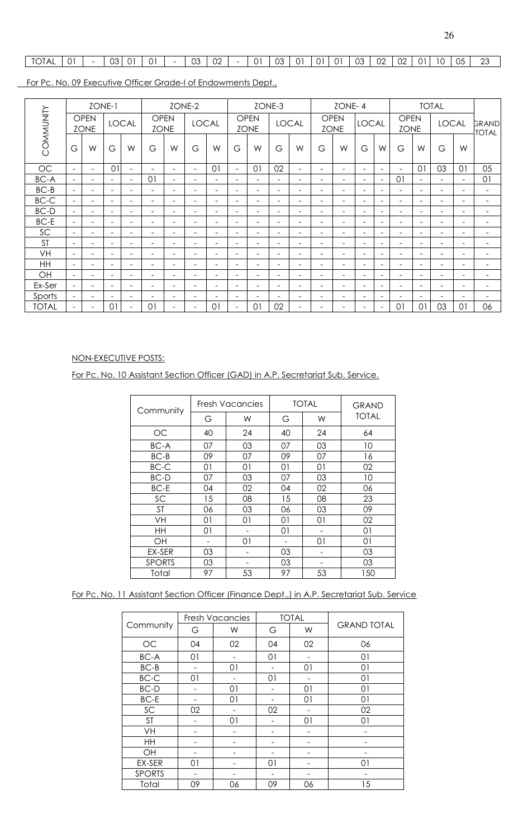# TOTAL 01 - 03 01 01 - 03 02 - 01 03 01 01 01 03 02 02 01 10 05 23

For Pc. No. 09 Executive Officer Grade-I of Endowments Dept.,

|              |                          |                            | ZONE-1                   |                          |                            |                          | ZONE-2                       |                          |                          |                            | ZONE-3   |                              |                          | ZONE-4                     |                          |                          |                            |                          | <b>TOTAL</b>             |                          |                          |
|--------------|--------------------------|----------------------------|--------------------------|--------------------------|----------------------------|--------------------------|------------------------------|--------------------------|--------------------------|----------------------------|----------|------------------------------|--------------------------|----------------------------|--------------------------|--------------------------|----------------------------|--------------------------|--------------------------|--------------------------|--------------------------|
| COMMUNITY    |                          | <b>OPEN</b><br><b>ZONE</b> |                          | <b>LOCAL</b>             | <b>OPEN</b><br><b>ZONE</b> |                          | <b>LOCAL</b>                 |                          |                          | <b>OPEN</b><br><b>ZONE</b> |          | <b>LOCAL</b>                 |                          | <b>OPEN</b><br><b>ZONE</b> | <b>LOCAL</b>             |                          | <b>OPEN</b><br><b>ZONE</b> |                          | <b>LOCAL</b>             |                          | GRAND<br><b>TOTAL</b>    |
|              | G                        | W                          | G                        | W                        | G                          | W                        | G                            | W                        | G                        | W                          | G        | W                            | G                        | W                          | G                        | W                        | G                          | W                        | G                        | W                        |                          |
| OC           | $\overline{\phantom{a}}$ | $\overline{\phantom{0}}$   | 01                       | $\overline{\phantom{0}}$ | $\blacksquare$             | $\overline{\phantom{a}}$ | $\overline{\phantom{a}}$     | 01                       | $\sim$                   | 01                         | 02       | $\overline{\phantom{a}}$     | $\overline{\phantom{0}}$ | $\equiv$                   | $\overline{\phantom{a}}$ | $\overline{\phantom{a}}$ | $\overline{\phantom{a}}$   | 01                       | 03                       | 01                       | 05                       |
| <b>BC-A</b>  | $\equiv$                 | $\equiv$                   |                          | Ξ.                       | 0 <sup>1</sup>             | $\equiv$                 | $\equiv$                     | $\overline{\phantom{0}}$ | $\overline{\phantom{0}}$ | $\overline{\phantom{a}}$   | -        | $\overline{\phantom{0}}$     | $\overline{\phantom{0}}$ | $\overline{\phantom{0}}$   | $\equiv$                 | $\overline{\phantom{0}}$ | $\overline{0}$             | $\overline{\phantom{a}}$ |                          | $\overline{\phantom{a}}$ | 01                       |
| $BC-B$       | $\overline{\phantom{a}}$ | $\overline{\phantom{a}}$   | $\overline{\phantom{a}}$ | $\overline{\phantom{0}}$ | $\overline{\phantom{m}}$   | $\overline{\phantom{a}}$ | $\overline{\phantom{a}}$     | $\overline{\phantom{m}}$ | $\overline{\phantom{a}}$ | $\overline{\phantom{a}}$   | ۰        | $\overline{\phantom{a}}$     | $\overline{\phantom{0}}$ | ۰                          | $\overline{\phantom{a}}$ | ۰                        | $\overline{\phantom{0}}$   | $\overline{\phantom{a}}$ | $\overline{\phantom{a}}$ | $\overline{\phantom{0}}$ | $\overline{\phantom{a}}$ |
| $BC-C$       | $\sim$                   | $\overline{\phantom{0}}$   | $\overline{\phantom{m}}$ | Ξ.                       | $\overline{\phantom{0}}$   | $\overline{\phantom{a}}$ | $\overline{\phantom{0}}$     | $\overline{\phantom{a}}$ | $\overline{\phantom{a}}$ | $\overline{\phantom{a}}$   | Ξ.       | $\overline{\phantom{a}}$     | $\overline{\phantom{a}}$ | $\overline{\phantom{0}}$   | $\overline{\phantom{0}}$ | $\overline{\phantom{0}}$ | $\overline{\phantom{0}}$   | $\overline{\phantom{a}}$ | $\overline{\phantom{a}}$ | $\overline{\phantom{a}}$ | $\overline{\phantom{a}}$ |
| BC-D         | $\equiv$                 | -                          |                          | $\overline{\phantom{0}}$ | $\overline{\phantom{0}}$   | $\overline{\phantom{0}}$ | $\overline{\phantom{0}}$     | $\overline{\phantom{m}}$ | $\overline{\phantom{0}}$ | $\overline{\phantom{0}}$   | -        | $\qquad \qquad \blacksquare$ | $\overline{\phantom{0}}$ | ۰                          | -                        | Ξ.                       | $\overline{\phantom{0}}$   | $\overline{\phantom{a}}$ | $\overline{\phantom{0}}$ | $\overline{\phantom{0}}$ | $\overline{\phantom{0}}$ |
| <b>BC-E</b>  | $\blacksquare$           | $\equiv$                   | $\equiv$                 | $\overline{\phantom{0}}$ | $\blacksquare$             | $\equiv$                 | $\equiv$                     | ÷.                       | $\overline{\phantom{a}}$ | $\overline{\phantom{a}}$   | $\equiv$ | $\overline{\phantom{a}}$     | $\overline{\phantom{a}}$ | $\equiv$                   | $\overline{\phantom{a}}$ | $\overline{\phantom{0}}$ | $\overline{\phantom{0}}$   | $\overline{\phantom{a}}$ | $\overline{\phantom{a}}$ | ۰                        | $\blacksquare$           |
| SC           | $\overline{\phantom{0}}$ | $\overline{\phantom{0}}$   | $\qquad \qquad$          | Ξ.                       | $\overline{\phantom{0}}$   | $\overline{\phantom{a}}$ | $\overline{\phantom{0}}$     | ۰                        | $\overline{\phantom{a}}$ | $\overline{\phantom{0}}$   | Ξ.       | $\overline{\phantom{a}}$     | $\overline{\phantom{0}}$ | $\overline{\phantom{0}}$   | $\overline{\phantom{a}}$ | Ξ.                       | Ξ.                         | $\overline{\phantom{a}}$ | $\overline{\phantom{a}}$ | -                        | $\overline{\phantom{a}}$ |
| <b>ST</b>    | $\equiv$                 |                            |                          |                          | $\blacksquare$             | $\equiv$                 | $\equiv$                     | ÷.                       | $\equiv$                 | $\overline{\phantom{0}}$   | $\equiv$ | $\overline{\phantom{a}}$     | $\overline{\phantom{a}}$ | $\equiv$                   | $\overline{\phantom{a}}$ | $\equiv$                 | $\overline{\phantom{0}}$   | $\equiv$                 | $\overline{\phantom{a}}$ |                          | $\equiv$                 |
| <b>VH</b>    | $\overline{\phantom{a}}$ | $\overline{\phantom{0}}$   | $\overline{\phantom{a}}$ | -                        | $\overline{\phantom{0}}$   | $\overline{\phantom{a}}$ | $\qquad \qquad \blacksquare$ | $\overline{\phantom{m}}$ | $\overline{\phantom{a}}$ | $\overline{\phantom{a}}$   | ۰        | $\overline{\phantom{a}}$     | $\overline{\phantom{a}}$ | Ξ.                         | $\overline{\phantom{a}}$ | Ξ.                       | Ξ.                         | $\overline{\phantom{a}}$ | $\overline{\phantom{a}}$ | -                        | $\overline{\phantom{a}}$ |
| <b>HH</b>    | $\equiv$                 | $\sim$                     | $\equiv$                 | $\equiv$                 | $\equiv$                   | $\equiv$                 | $\equiv$                     | $\equiv$                 | $\sim$                   | $\overline{\phantom{a}}$   | $\equiv$ | $\equiv$                     | $\overline{\phantom{a}}$ | $\equiv$                   | $\equiv$                 | $\equiv$                 | $\equiv$                   | $\sim$                   | $\overline{\phantom{a}}$ | -                        | $\equiv$                 |
| OH           | $\overline{\phantom{a}}$ | $\overline{\phantom{a}}$   | $\overline{\phantom{0}}$ | $\overline{\phantom{a}}$ | $\overline{\phantom{m}}$   | $\overline{\phantom{a}}$ | $\overline{\phantom{a}}$     | $\overline{\phantom{m}}$ | $\overline{\phantom{a}}$ | $\overline{\phantom{a}}$   | ۰        | $\overline{\phantom{a}}$     | $\overline{\phantom{0}}$ | ۰                          | $\overline{\phantom{a}}$ | $\overline{\phantom{0}}$ | $\overline{\phantom{0}}$   | $\overline{\phantom{a}}$ | $\overline{\phantom{a}}$ | ۰                        | $\overline{\phantom{a}}$ |
| Ex-Ser       | $\overline{\phantom{a}}$ | $\overline{\phantom{a}}$   | $\overline{\phantom{0}}$ | $\overline{\phantom{0}}$ | $\overline{\phantom{0}}$   | $\overline{\phantom{a}}$ | $\overline{\phantom{a}}$     | $\overline{\phantom{m}}$ | $\overline{\phantom{a}}$ | $\overline{\phantom{0}}$   | Ξ.       | $\overline{\phantom{0}}$     | $\overline{\phantom{0}}$ | Ξ.                         | $\overline{\phantom{a}}$ | Ξ.                       | Ξ.                         | $\overline{\phantom{a}}$ | $\overline{\phantom{a}}$ | $\overline{\phantom{0}}$ | $\overline{\phantom{a}}$ |
| Sports       | $\overline{\phantom{a}}$ |                            |                          |                          | ۰                          | $\overline{\phantom{0}}$ |                              |                          |                          |                            |          | $\overline{\phantom{0}}$     | $\overline{\phantom{0}}$ | ۰                          | -                        | -                        | $\overline{\phantom{0}}$   | $\overline{\phantom{m}}$ |                          |                          | ۰                        |
| <b>TOTAL</b> | $\overline{\phantom{0}}$ | $\overline{\phantom{a}}$   | 01                       |                          | 0 <sup>1</sup>             | $\blacksquare$           | $\overline{\phantom{0}}$     | 01                       | $\sim$                   | 01                         | 02       | $\overline{\phantom{m}}$     | $\overline{\phantom{a}}$ | $\overline{\phantom{0}}$   | $\overline{\phantom{a}}$ | $\overline{\phantom{0}}$ | $\overline{0}$             | 01                       | 03                       | 0 <sup>1</sup>           | 06                       |

# NON-EXECUTIVE POSTS:

For Pc. No. 10 Assistant Section Officer (GAD) in A.P. Secretariat Sub. Service.

| Community     |    | Fresh Vacancies |    | <b>TOTAL</b> | <b>GRAND</b> |
|---------------|----|-----------------|----|--------------|--------------|
|               | G  | W               | G  | W            | <b>TOTAL</b> |
| OC            | 40 | 24              | 40 | 24           | 64           |
| <b>BC-A</b>   | 07 | 03              | 07 | 03           | 10           |
| $BC-B$        | 09 | 07              | 09 | 07           | 16           |
| BC-C          | 01 | 01              | 01 | 01           | 02           |
| <b>BC-D</b>   | 07 | 03              | 07 | 03           | 10           |
| <b>BC-E</b>   | 04 | 02              | 04 | 02           | 06           |
| SC            | 15 | 08              | 15 | 08           | 23           |
| <b>ST</b>     | 06 | 03              | 06 | 03           | 09           |
| VH            | 01 | 01              | 01 | 01           | 02           |
| HH            | 01 |                 | 01 |              | 01           |
| OН            |    | 01              |    | 01           | 01           |
| EX-SER        | 03 |                 | 03 |              | 03           |
| <b>SPORTS</b> | 03 |                 | 03 |              | 03           |
| Total         | 97 | 53              | 97 | 53           | 150          |

#### For Pc. No. 11 Assistant Section Officer (Finance Dept.,) in A.P. Secretariat Sub. Service

| Community     |    | <b>Fresh Vacancies</b> |    | <b>TOTAL</b> | <b>GRAND TOTAL</b> |
|---------------|----|------------------------|----|--------------|--------------------|
|               | G  | W                      | G  | W            |                    |
| OC            | 04 | 02                     | 04 | 02           | 06                 |
| BC-A          | 01 |                        | 01 |              | 01                 |
| $BC-B$        |    | O <sub>1</sub>         |    | 01           | 01                 |
| $BC-C$        | 01 |                        | 01 |              | 01                 |
| BC-D          |    | 01                     |    | 01           | 01                 |
| $BC-E$        |    | 01                     |    | 01           | 01                 |
| SC            | 02 |                        | 02 |              | 02                 |
| <b>ST</b>     |    | O <sub>1</sub>         |    | 01           | O <sub>1</sub>     |
| VH            |    |                        |    |              |                    |
| HH            |    |                        |    |              |                    |
| OH            |    |                        |    |              |                    |
| EX-SER        | 01 |                        | 01 |              | 01                 |
| <b>SPORTS</b> |    |                        |    |              |                    |
| Total         | 09 | 06                     | 09 | 06           | 15                 |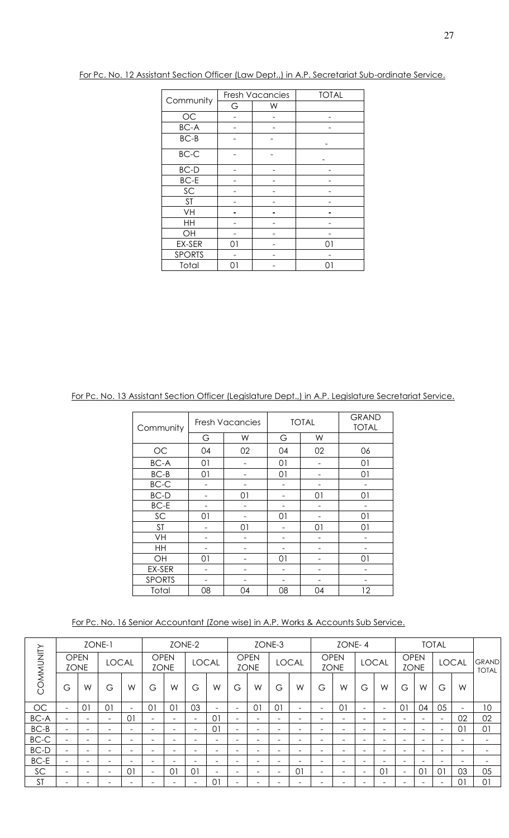|               |    | <b>Fresh Vacancies</b> | <b>TOTAL</b> |
|---------------|----|------------------------|--------------|
| Community     | G  | W                      |              |
| OC            |    |                        |              |
| <b>BC-A</b>   |    |                        |              |
| $BC-B$        |    |                        |              |
| BC-C          |    |                        |              |
| $BC-D$        |    |                        |              |
| $BC-E$        |    |                        |              |
| SC            |    |                        |              |
| <b>ST</b>     |    |                        |              |
| VH            |    |                        |              |
| HH            |    |                        |              |
| OH            |    |                        |              |
| EX-SER        | 01 |                        | 01           |
| <b>SPORTS</b> |    |                        |              |
| Total         | Ω1 |                        | 01           |

For Pc. No. 12 Assistant Section Officer (Law Dept.,) in A.P. Secretariat Sub-ordinate Service.

For Pc. No. 13 Assistant Section Officer (Legislature Dept.,) in A.P. Legislature Secretariat Service.

| Community     |    | <b>Fresh Vacancies</b> |    | <b>TOTAL</b> | <b>GRAND</b><br><b>TOTAL</b> |
|---------------|----|------------------------|----|--------------|------------------------------|
|               | G  | W                      | G  | W            |                              |
| OC            | 04 | 02                     | 04 | 02           | 06                           |
| <b>BC-A</b>   | 01 |                        | 01 |              | 01                           |
| $BC-B$        | 01 |                        | 01 |              | 01                           |
| $BC-C$        |    |                        |    |              |                              |
| <b>BC-D</b>   |    | 01                     |    | 01           | 01                           |
| $BC-E$        |    |                        |    |              |                              |
| SC            | 01 |                        | 01 |              | 01                           |
| <b>ST</b>     |    | 01                     |    | 01           | 01                           |
| VH            |    |                        |    |              |                              |
| HH            |    |                        |    |              |                              |
| OH            | 01 |                        | 01 |              | 01                           |
| EX-SER        |    |                        |    |              |                              |
| <b>SPORTS</b> |    |                        |    |              |                              |
| Total         | 08 | 04                     | 08 | 04           | 12                           |

For Pc. No. 16 Senior Accountant (Zone wise) in A.P. Works & Accounts Sub Service.

|           |                          | ZONE-1                     |                          |                          |                            |                              | ZONE-2       |                          |                          |                            | ZONE-3                   |                          |                          | ZONE-4                     |                          |                          |                            |                              | <b>TOTAL</b>             |                          |                          |
|-----------|--------------------------|----------------------------|--------------------------|--------------------------|----------------------------|------------------------------|--------------|--------------------------|--------------------------|----------------------------|--------------------------|--------------------------|--------------------------|----------------------------|--------------------------|--------------------------|----------------------------|------------------------------|--------------------------|--------------------------|--------------------------|
| COMMUNITY |                          | <b>OPEN</b><br><b>ZONE</b> | <b>LOCAL</b>             |                          | <b>OPEN</b><br><b>ZONE</b> |                              | <b>LOCAL</b> |                          |                          | <b>OPEN</b><br><b>ZONE</b> |                          | <b>LOCAL</b>             |                          | <b>OPEN</b><br><b>ZONE</b> |                          | <b>LOCAL</b>             | <b>OPEN</b><br><b>ZONE</b> |                              |                          | <b>LOCAL</b>             | <b>GRAND</b><br>TOTAL    |
|           | G                        | W                          | G                        | W                        | G                          | W                            | G            | W                        | G                        | W                          | G                        | W                        | G                        | W                          | G                        | W                        | G                          | W                            | G                        | W                        |                          |
| OC        | $\overline{\phantom{a}}$ | 0                          | $\Omega$                 | $\overline{\phantom{0}}$ | $\Omega$                   | 0 <sup>1</sup>               | 03           | $\overline{\phantom{a}}$ | $\overline{\phantom{a}}$ | $\Omega$                   | $\Omega$                 | $\overline{\phantom{0}}$ | $\overline{\phantom{a}}$ | 01                         | $\overline{\phantom{a}}$ | $\overline{\phantom{a}}$ | $\Omega$                   | 04                           | 05                       | $\overline{\phantom{a}}$ | 10                       |
| BC-A      | $\overline{\phantom{a}}$ | -                          | $\overline{\phantom{0}}$ | 01                       | $\overline{\phantom{a}}$   | $\qquad \qquad \blacksquare$ | -            | $\Omega$                 | $\overline{\phantom{a}}$ | $\overline{\phantom{a}}$   | -                        | $\overline{\phantom{0}}$ | $\overline{\phantom{0}}$ | $\overline{\phantom{0}}$   | $\overline{\phantom{0}}$ | -                        | $\overline{\phantom{a}}$   | $\overline{\phantom{a}}$     | $\overline{\phantom{a}}$ | 02                       | 02                       |
| $BC-B$    | $\overline{\phantom{0}}$ | -                          | -                        | -                        | $\overline{\phantom{0}}$   | -                            | -            | $\Omega$                 | $\overline{\phantom{0}}$ | -                          | -                        | -                        | $\overline{\phantom{0}}$ | $\overline{\phantom{0}}$   | -                        | -                        | -                          | $\overline{\phantom{a}}$     | $\overline{\phantom{a}}$ | $\Omega$                 | 01                       |
| $BC-C$    |                          | -                          | $\overline{\phantom{0}}$ | -                        | -                          | -                            | -            | $\overline{\phantom{0}}$ | $\overline{\phantom{0}}$ | -                          | -                        | -                        |                          | $\overline{\phantom{0}}$   | -                        | $\overline{\phantom{0}}$ |                            | $\overline{\phantom{a}}$     | $\overline{\phantom{0}}$ |                          | $\overline{\phantom{0}}$ |
| BC-D      | $\overline{\phantom{a}}$ | -                          | $\overline{\phantom{0}}$ | -                        | $\overline{\phantom{0}}$   | -                            | -            | -                        | $\overline{\phantom{0}}$ | $\overline{\phantom{0}}$   | -                        | $\overline{\phantom{0}}$ | $\overline{\phantom{0}}$ | $\overline{\phantom{0}}$   | $\overline{\phantom{0}}$ | $\overline{\phantom{0}}$ | $\overline{\phantom{a}}$   | $\qquad \qquad \blacksquare$ | $\overline{\phantom{0}}$ | -                        | $\overline{\phantom{0}}$ |
| BC-E      | $\overline{\phantom{0}}$ | -                          | $\overline{\phantom{0}}$ | $\overline{\phantom{0}}$ | -                          | $\qquad \qquad$              | -            | $\overline{\phantom{0}}$ | $\overline{\phantom{0}}$ | $\overline{\phantom{0}}$   | -                        | -                        | $\overline{\phantom{a}}$ | $\overline{\phantom{0}}$   | -                        | $\overline{\phantom{0}}$ | -                          | $\qquad \qquad \blacksquare$ | -                        |                          | $\overline{\phantom{0}}$ |
| SC        | $\overline{\phantom{a}}$ | -                          | $\overline{\phantom{m}}$ | 01                       | $\overline{\phantom{a}}$   | 01                           | 01           | $\overline{\phantom{a}}$ | -                        | $\overline{\phantom{0}}$   | $\overline{\phantom{0}}$ | 01                       | $\overline{\phantom{a}}$ | $\overline{\phantom{m}}$   | $\overline{\phantom{a}}$ | 01                       | $\overline{\phantom{a}}$   | 01                           | 0 <sup>1</sup>           | 03                       | 05                       |
| <b>ST</b> |                          |                            |                          |                          |                            | -                            |              | 01                       | $\overline{\phantom{0}}$ |                            |                          |                          |                          |                            |                          | -                        |                            | $\overline{\phantom{0}}$     | $\overline{\phantom{0}}$ | $\Omega$                 | 01                       |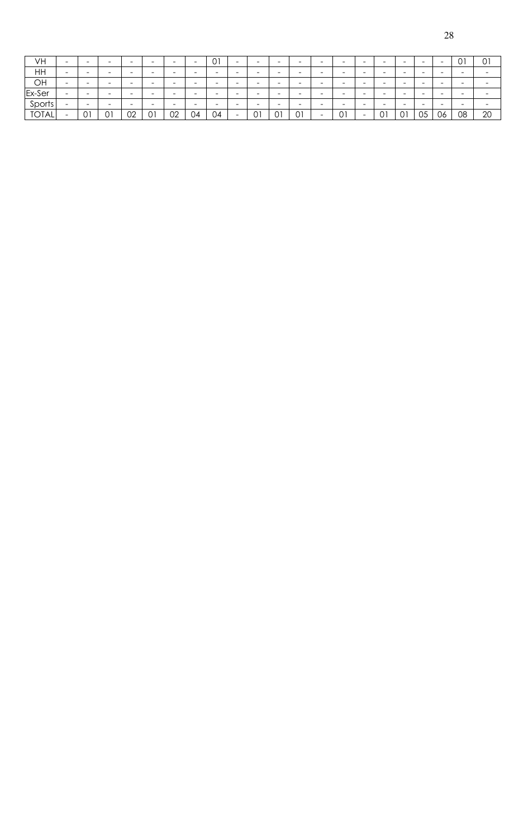| × |        |
|---|--------|
|   |        |
|   | I      |
|   | w<br>۹ |

| VH           | $\overline{\phantom{0}}$ |   | $\overline{\phantom{a}}$ | $\overline{\phantom{a}}$ | -                        | $\overline{\phantom{0}}$ | $\overline{\phantom{a}}$ | ∩1<br>υı                 | $\overline{\phantom{a}}$ | $\overline{\phantom{0}}$ | $\overline{\phantom{a}}$ | $\overline{\phantom{0}}$ | $\overline{\phantom{0}}$ | -  | $\overline{\phantom{a}}$ | $\overline{\phantom{a}}$ | $\overline{\phantom{a}}$ | $\overline{\phantom{0}}$ |                          | 01                       | 01                       |
|--------------|--------------------------|---|--------------------------|--------------------------|--------------------------|--------------------------|--------------------------|--------------------------|--------------------------|--------------------------|--------------------------|--------------------------|--------------------------|----|--------------------------|--------------------------|--------------------------|--------------------------|--------------------------|--------------------------|--------------------------|
| HH           | $\overline{\phantom{0}}$ |   | -                        | $\overline{\phantom{a}}$ | $\overline{\phantom{a}}$ | $\overline{\phantom{a}}$ | $\overline{\phantom{a}}$ | $\overline{\phantom{a}}$ | $\overline{\phantom{a}}$ | $\overline{\phantom{0}}$ |                          | -                        | $\overline{\phantom{0}}$ |    |                          |                          | -                        | $\overline{\phantom{a}}$ |                          | $\overline{\phantom{0}}$ | $\overline{\phantom{a}}$ |
| OH           | $\overline{\phantom{0}}$ |   | $\overline{\phantom{0}}$ | $\overline{\phantom{a}}$ | -                        | $\overline{\phantom{0}}$ | -                        | -                        | $\overline{\phantom{a}}$ | $\overline{\phantom{a}}$ | $\overline{\phantom{0}}$ | $\overline{\phantom{0}}$ | $\sim$                   | -  | -                        | -                        | $\overline{\phantom{a}}$ | $\overline{\phantom{0}}$ | $\overline{\phantom{a}}$ | $\sim$                   | -                        |
| Ex-Ser       | $\overline{\phantom{0}}$ |   | -                        | $\overline{\phantom{0}}$ | -                        | $\overline{\phantom{a}}$ | $\overline{\phantom{0}}$ | $\overline{\phantom{a}}$ | $\overline{\phantom{a}}$ | $\overline{\phantom{0}}$ | -                        | $\overline{\phantom{a}}$ | $\overline{\phantom{0}}$ |    | $\overline{\phantom{a}}$ | $\overline{\phantom{a}}$ | -                        | $\overline{\phantom{a}}$ | -                        | $\overline{\phantom{0}}$ | $\overline{\phantom{0}}$ |
| Sports       | -                        |   | $\overline{\phantom{0}}$ | $\overline{\phantom{a}}$ | -                        | $\overline{\phantom{0}}$ | -                        | -                        | $\overline{\phantom{a}}$ | $\overline{\phantom{a}}$ | -                        | -                        | $\overline{\phantom{0}}$ | -  | $-$                      | -                        | $\overline{\phantom{0}}$ | $\overline{\phantom{a}}$ | $\overline{\phantom{a}}$ | $\overline{\phantom{0}}$ | -                        |
| <b>TOTAL</b> | -                        | ັ | 01                       | 02                       | 01                       | 02                       | 04                       | 04                       | -                        | 01                       | $\sim$ $\sim$            | 01                       | $\overline{\phantom{0}}$ | 01 | -                        | $\sim$ 1<br>◡            | 01                       | 05                       | 06                       | 08                       | 20                       |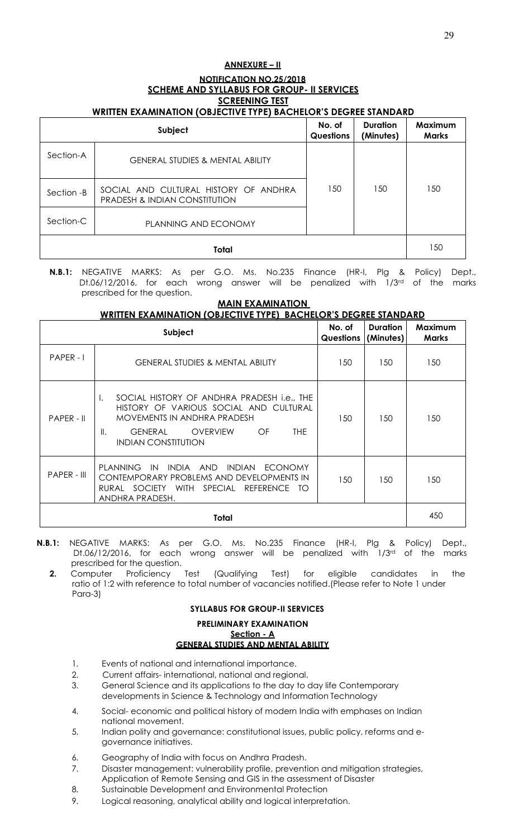# **ANNEXURE – II NOTIFICATION NO.25/2018 SCHEME AND SYLLABUS FOR GROUP- II SERVICES SCREENING TEST**

# **WRITTEN EXAMINATION (OBJECTIVE TYPE) BACHELOR'S DEGREE STANDARD**

|            | Subject                                                                           | No. of<br>Questions | <b>Duration</b><br>(Minutes) | Maximum<br><b>Marks</b> |
|------------|-----------------------------------------------------------------------------------|---------------------|------------------------------|-------------------------|
| Section-A  | <b>GENERAL STUDIES &amp; MENTAL ABILITY</b>                                       |                     |                              |                         |
| Section -B | SOCIAL AND CULTURAL HISTORY OF ANDHRA<br><b>PRADESH &amp; INDIAN CONSTITUTION</b> | 150                 | 150                          | 150                     |
| Section-C  | PLANNING AND ECONOMY                                                              |                     |                              |                         |
|            | Total                                                                             |                     |                              | 150                     |

**N.B.1:** NEGATIVE MARKS: As per G.O. Ms. No.235 Finance (HR-I, Plg & Policy) Dept., Dt.06/12/2016, for each wrong answer will be penalized with 1/3rd of the marks prescribed for the question.

# **MAIN EXAMINATION**

**WRITTEN EXAMINATION (OBJECTIVE TYPE) BACHELOR'S DEGREE STANDARD** 

|              | Subject                                                                                                                                                                                                                   | No. of<br>Questions | <b>Duration</b><br>(Minutes) | Maximum<br><b>Marks</b> |
|--------------|---------------------------------------------------------------------------------------------------------------------------------------------------------------------------------------------------------------------------|---------------------|------------------------------|-------------------------|
| $PAPER - I$  | <b>GENERAL STUDIES &amp; MENTAL ABILITY</b>                                                                                                                                                                               | 150                 | 150                          | 150                     |
| $PAPER - II$ | SOCIAL HISTORY OF ANDHRA PRADESH <i>i.e.</i> , THE<br>Ι.<br>HISTORY OF VARIOUS SOCIAL AND CULTURAL<br>MOVEMENTS IN ANDHRA PRADESH<br>II.<br><b>GENERAL</b><br><b>OVERVIEW</b><br>OF<br>THE.<br><b>INDIAN CONSTITUTION</b> | 150                 | 150                          | 150                     |
| PAPER - III  | PLANNING IN INDIA AND INDIAN ECONOMY<br>CONTEMPORARY PROBLEMS AND DEVELOPMENTS IN<br>RURAL SOCIETY WITH SPECIAL REFERENCE TO<br>ANDHRA PRADESH.                                                                           | 150                 | 150                          | 150                     |
|              | Total                                                                                                                                                                                                                     |                     |                              | 450                     |

- **N.B.1:** NEGATIVE MARKS: As per G.O. Ms. No.235 Finance (HR-I, Plg & Policy) Dept., Dt.06/12/2016, for each wrong answer will be penalized with 1/3<sup>rd</sup> of the marks prescribed for the question.
	- **2.** Computer Proficiency Test (Qualifying Test) for eligible candidates in the ratio of 1:2 with reference to total number of vacancies notified.(Please refer to Note 1 under Para-3)

# **SYLLABUS FOR GROUP-II SERVICES**

#### **PRELIMINARY EXAMINATION Section - A GENERAL STUDIES AND MENTAL ABILITY**

- 1. Events of national and international importance.
- 2. Current affairs- international, national and regional.
- 3. General Science and its applications to the day to day life Contemporary developments in Science & Technology and Information Technology
- 4. Social- economic and political history of modern India with emphases on Indian national movement.
- 5. Indian polity and governance: constitutional issues, public policy, reforms and egovernance initiatives.
- 6. Geography of India with focus on Andhra Pradesh.
- 7. Disaster management: vulnerability profile, prevention and mitigation strategies, Application of Remote Sensing and GIS in the assessment of Disaster
- 8. Sustainable Development and Environmental Protection
- 9. Logical reasoning, analytical ability and logical interpretation.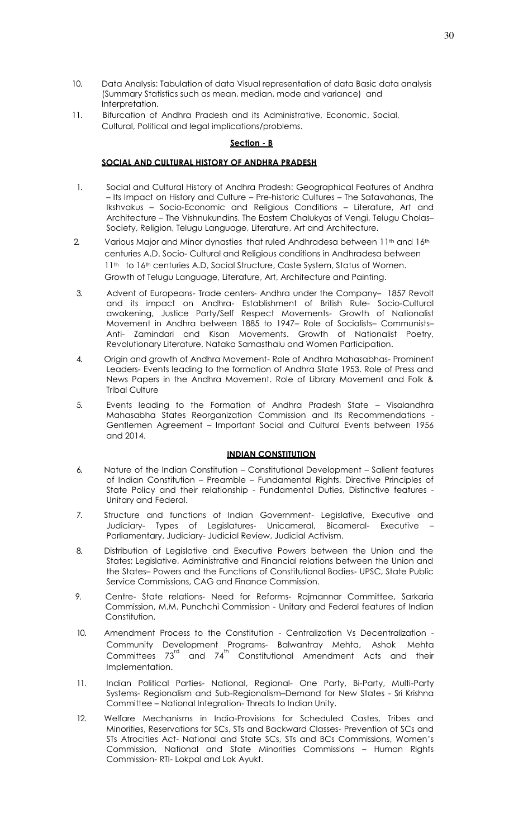- 10. Data Analysis: Tabulation of data Visual representation of data Basic data analysis (Summary Statistics such as mean, median, mode and variance) and Interpretation.
- 11. Bifurcation of Andhra Pradesh and its Administrative, Economic, Social, Cultural, Political and legal implications/problems.

#### **Section - B**

# **SOCIAL AND CULTURAL HISTORY OF ANDHRA PRADESH**

- 1. Social and Cultural History of Andhra Pradesh: Geographical Features of Andhra – Its Impact on History and Culture – Pre-historic Cultures – The Satavahanas, The Ikshvakus – Socio-Economic and Religious Conditions – Literature, Art and Architecture – The Vishnukundins, The Eastern Chalukyas of Vengi, Telugu Cholas– Society, Religion, Telugu Language, Literature, Art and Architecture.
- 2. Various Major and Minor dynasties that ruled Andhradesa between 11<sup>th</sup> and 16<sup>th</sup> centuries A.D. Socio- Cultural and Religious conditions in Andhradesa between 11<sup>th</sup> to 16<sup>th</sup> centuries A.D, Social Structure, Caste System, Status of Women. Growth of Telugu Language, Literature, Art, Architecture and Painting.
- 3. Advent of Europeans- Trade centers- Andhra under the Company– 1857 Revolt and its impact on Andhra- Establishment of British Rule- Socio-Cultural awakening, Justice Party/Self Respect Movements- Growth of Nationalist Movement in Andhra between 1885 to 1947– Role of Socialists– Communists– Anti- Zamindari and Kisan Movements. Growth of Nationalist Poetry, Revolutionary Literature, Nataka Samasthalu and Women Participation.
- 4. Origin and growth of Andhra Movement- Role of Andhra Mahasabhas- Prominent Leaders- Events leading to the formation of Andhra State 1953. Role of Press and News Papers in the Andhra Movement. Role of Library Movement and Folk & Tribal Culture
- 5. Events leading to the Formation of Andhra Pradesh State Visalandhra Mahasabha States Reorganization Commission and Its Recommendations - Gentlemen Agreement – Important Social and Cultural Events between 1956 and 2014.

# **INDIAN CONSTITUTION**

- 6. Nature of the Indian Constitution Constitutional Development Salient features of Indian Constitution – Preamble – Fundamental Rights, Directive Principles of State Policy and their relationship - Fundamental Duties, Distinctive features - Unitary and Federal.
- 7. Structure and functions of Indian Government- Legislative, Executive and Judiciary- Types of Legislatures- Unicameral, Bicameral- Executive – Parliamentary, Judiciary- Judicial Review, Judicial Activism.
- 8. Distribution of Legislative and Executive Powers between the Union and the States; Legislative, Administrative and Financial relations between the Union and the States– Powers and the Functions of Constitutional Bodies- UPSC, State Public Service Commissions, CAG and Finance Commission.
- 9. Centre- State relations- Need for Reforms- Rajmannar Committee, Sarkaria Commission, M.M. Punchchi Commission - Unitary and Federal features of Indian Constitution.
- 10. Amendment Process to the Constitution Centralization Vs Decentralization -Community Development Programs- Balwantray Mehta, Ashok Mehta Committees  $73^{\text{rd}}$  and  $74^{\text{th}}$  Constitutional Amendment Acts and their Implementation.
- 11. Indian Political Parties- National, Regional- One Party, Bi-Party, Multi-Party Systems- Regionalism and Sub-Regionalism–Demand for New States - Sri Krishna Committee – National Integration- Threats to Indian Unity.
- 12. Welfare Mechanisms in India-Provisions for Scheduled Castes, Tribes and Minorities, Reservations for SCs, STs and Backward Classes- Prevention of SCs and STs Atrocities Act- National and State SCs, STs and BCs Commissions, Women's Commission, National and State Minorities Commissions – Human Rights Commission- RTI- Lokpal and Lok Ayukt.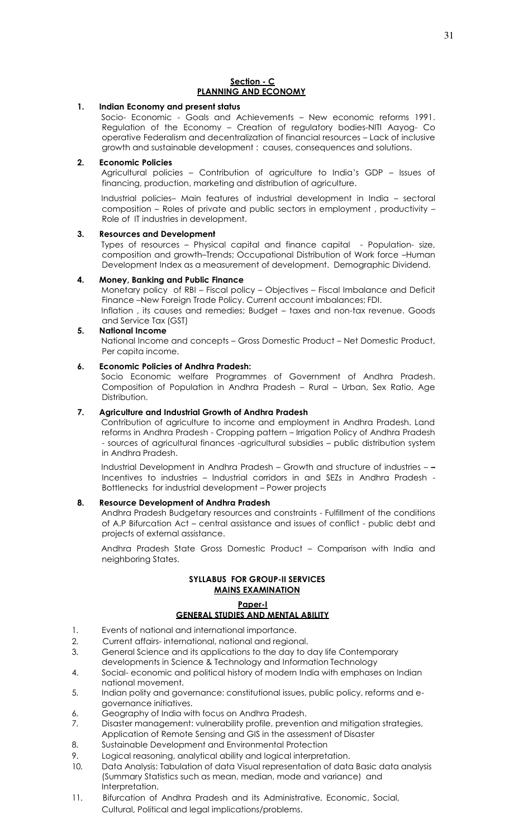#### **Section - C PLANNING AND ECONOMY**

#### **1. Indian Economy and present status**

Socio- Economic - Goals and Achievements – New economic reforms 1991. Regulation of the Economy – Creation of regulatory bodies-NITI Aayog- Co operative Federalism and decentralization of financial resources – Lack of inclusive growth and sustainable development : causes, consequences and solutions.

#### **2. Economic Policies**

Agricultural policies – Contribution of agriculture to India's GDP – Issues of financing, production, marketing and distribution of agriculture.

Industrial policies– Main features of industrial development in India – sectoral composition – Roles of private and public sectors in employment , productivity – Role of IT industries in development.

#### **3. Resources and Development**

Types of resources – Physical capital and finance capital - Population- size, composition and growth–Trends; Occupational Distribution of Work force –Human Development Index as a measurement of development. Demographic Dividend.

#### **4. Money, Banking and Public Finance**

Monetary policy of RBI – Fiscal policy – Objectives – Fiscal Imbalance and Deficit Finance –New Foreign Trade Policy. Current account imbalances; FDI. Inflation , its causes and remedies; Budget – taxes and non-tax revenue. Goods and Service Tax (GST)

#### **5. National Income**  National Income and concepts – Gross Domestic Product – Net Domestic Product, Per capita income.

#### **6. Economic Policies of Andhra Pradesh:**

Socio Economic welfare Programmes of Government of Andhra Pradesh. Composition of Population in Andhra Pradesh – Rural – Urban, Sex Ratio, Age Distribution.

# **7. Agriculture and Industrial Growth of Andhra Pradesh**

Contribution of agriculture to income and employment in Andhra Pradesh. Land reforms in Andhra Pradesh - Cropping pattern – Irrigation Policy of Andhra Pradesh - sources of agricultural finances -agricultural subsidies – public distribution system in Andhra Pradesh.

Industrial Development in Andhra Pradesh – Growth and structure of industries – **–** Incentives to industries – Industrial corridors in and SEZs in Andhra Pradesh - Bottlenecks for industrial development – Power projects

# **8. Resource Development of Andhra Pradesh**

Andhra Pradesh Budgetary resources and constraints - Fulfillment of the conditions of A.P Bifurcation Act – central assistance and issues of conflict - public debt and projects of external assistance.

Andhra Pradesh State Gross Domestic Product – Comparison with India and neighboring States.

# **SYLLABUS FOR GROUP-II SERVICES MAINS EXAMINATION**

#### **Paper-I GENERAL STUDIES AND MENTAL ABILITY**

- 1. Events of national and international importance.
- 2. Current affairs- international, national and regional.
- 3. General Science and its applications to the day to day life Contemporary
- developments in Science & Technology and Information Technology
- 4. Social- economic and political history of modern India with emphases on Indian national movement.
- 5. Indian polity and governance: constitutional issues, public policy, reforms and egovernance initiatives.
- 6. Geography of India with focus on Andhra Pradesh.
- 7. Disaster management: vulnerability profile, prevention and mitigation strategies,
- Application of Remote Sensing and GIS in the assessment of Disaster
- 8. Sustainable Development and Environmental Protection
- 9. Logical reasoning, analytical ability and logical interpretation.
- 10. Data Analysis: Tabulation of data Visual representation of data Basic data analysis (Summary Statistics such as mean, median, mode and variance) and Interpretation.
- 11. Bifurcation of Andhra Pradesh and its Administrative, Economic, Social, Cultural, Political and legal implications/problems.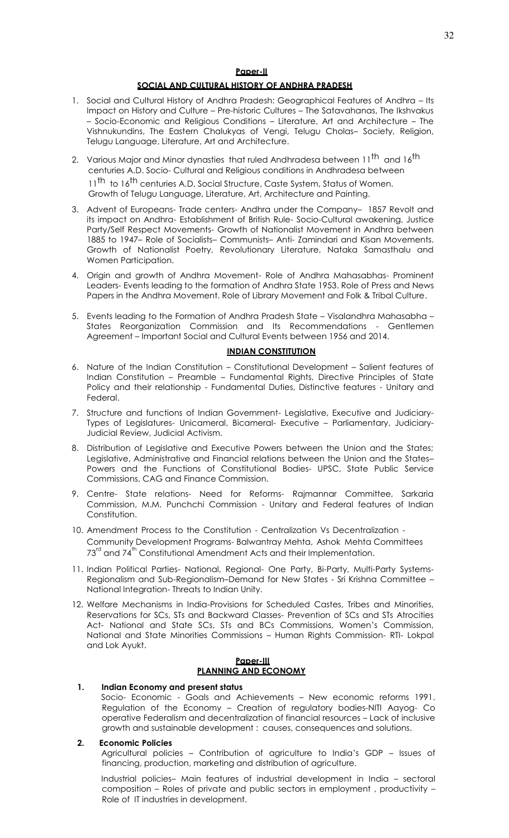#### **SOCIAL AND CULTURAL HISTORY OF ANDHRA PRADESH**

- 1. Social and Cultural History of Andhra Pradesh: Geographical Features of Andhra Its Impact on History and Culture – Pre-historic Cultures – The Satavahanas, The Ikshvakus – Socio-Economic and Religious Conditions – Literature, Art and Architecture – The Vishnukundins, The Eastern Chalukyas of Vengi, Telugu Cholas– Society, Religion, Telugu Language, Literature, Art and Architecture.
- 2. Various Major and Minor dynasties that ruled Andhradesa between 11<sup>th</sup> and 16<sup>th</sup> centuries A.D. Socio- Cultural and Religious conditions in Andhradesa between 11<sup>th</sup> to 16<sup>th</sup> centuries A.D, Social Structure, Caste System, Status of Women. Growth of Telugu Language, Literature, Art, Architecture and Painting.
- 3. Advent of Europeans- Trade centers- Andhra under the Company– 1857 Revolt and its impact on Andhra- Establishment of British Rule- Socio-Cultural awakening, Justice Party/Self Respect Movements- Growth of Nationalist Movement in Andhra between 1885 to 1947– Role of Socialists– Communists– Anti- Zamindari and Kisan Movements. Growth of Nationalist Poetry, Revolutionary Literature, Nataka Samasthalu and Women Participation.
- 4. Origin and growth of Andhra Movement- Role of Andhra Mahasabhas- Prominent Leaders- Events leading to the formation of Andhra State 1953. Role of Press and News Papers in the Andhra Movement. Role of Library Movement and Folk & Tribal Culture.
- 5. Events leading to the Formation of Andhra Pradesh State Visalandhra Mahasabha States Reorganization Commission and Its Recommendations - Gentlemen Agreement – Important Social and Cultural Events between 1956 and 2014.

#### **INDIAN CONSTITUTION**

- 6. Nature of the Indian Constitution Constitutional Development Salient features of Indian Constitution – Preamble – Fundamental Rights, Directive Principles of State Policy and their relationship - Fundamental Duties, Distinctive features - Unitary and Federal.
- 7. Structure and functions of Indian Government- Legislative, Executive and Judiciary-Types of Legislatures- Unicameral, Bicameral- Executive – Parliamentary, Judiciary-Judicial Review, Judicial Activism.
- 8. Distribution of Legislative and Executive Powers between the Union and the States; Legislative, Administrative and Financial relations between the Union and the States– Powers and the Functions of Constitutional Bodies- UPSC, State Public Service Commissions, CAG and Finance Commission.
- 9. Centre- State relations- Need for Reforms- Rajmannar Committee, Sarkaria Commission, M.M. Punchchi Commission - Unitary and Federal features of Indian Constitution.
- 10. Amendment Process to the Constitution Centralization Vs Decentralization Community Development Programs- Balwantray Mehta, Ashok Mehta Committees  $73<sup>rd</sup>$  and  $74<sup>th</sup>$  Constitutional Amendment Acts and their Implementation.
- 11. Indian Political Parties- National, Regional- One Party, Bi-Party, Multi-Party Systems-Regionalism and Sub-Regionalism–Demand for New States - Sri Krishna Committee – National Integration- Threats to Indian Unity.
- 12. Welfare Mechanisms in India-Provisions for Scheduled Castes, Tribes and Minorities, Reservations for SCs, STs and Backward Classes- Prevention of SCs and STs Atrocities Act- National and State SCs, STs and BCs Commissions, Women's Commission, National and State Minorities Commissions – Human Rights Commission- RTI- Lokpal and Lok Ayukt.

#### **Paper-III PLANNING AND ECONOMY**

#### **1. Indian Economy and present status**

Socio- Economic - Goals and Achievements – New economic reforms 1991. Regulation of the Economy – Creation of regulatory bodies-NITI Aayog- Co operative Federalism and decentralization of financial resources – Lack of inclusive growth and sustainable development : causes, consequences and solutions.

#### **2. Economic Policies**

Agricultural policies – Contribution of agriculture to India's GDP – Issues of financing, production, marketing and distribution of agriculture.

Industrial policies– Main features of industrial development in India – sectoral composition – Roles of private and public sectors in employment , productivity – Role of IT industries in development.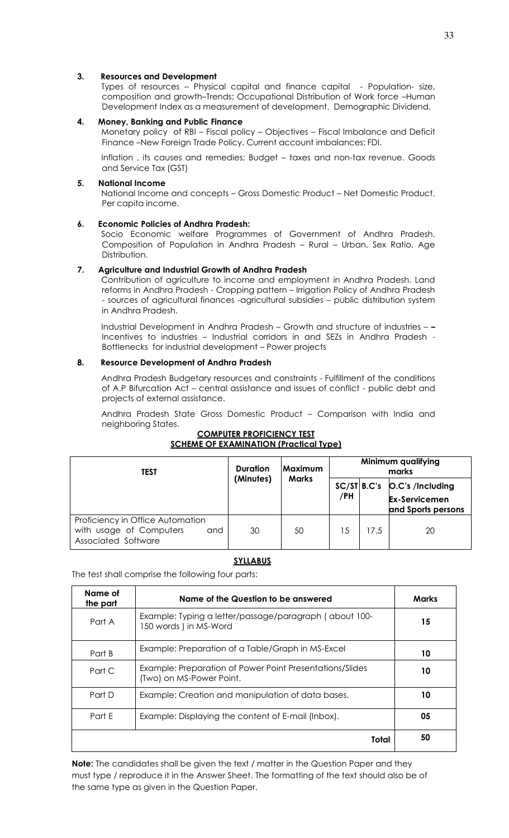#### **3. Resources and Development**

Types of resources – Physical capital and finance capital - Population- size, composition and growth–Trends; Occupational Distribution of Work force –Human Development Index as a measurement of development. Demographic Dividend.

#### **4. Money, Banking and Public Finance**

Monetary policy of RBI – Fiscal policy – Objectives – Fiscal Imbalance and Deficit Finance –New Foreign Trade Policy. Current account imbalances; FDI.

Inflation , its causes and remedies; Budget – taxes and non-tax revenue. Goods and Service Tax (GST)

#### **5. National Income**

National Income and concepts – Gross Domestic Product – Net Domestic Product, Per capita income.

#### **6. Economic Policies of Andhra Pradesh:**

Socio Economic welfare Programmes of Government of Andhra Pradesh. Composition of Population in Andhra Pradesh – Rural – Urban, Sex Ratio, Age Distribution.

#### **7. Agriculture and Industrial Growth of Andhra Pradesh**

Contribution of agriculture to income and employment in Andhra Pradesh. Land reforms in Andhra Pradesh - Cropping pattern – Irrigation Policy of Andhra Pradesh - sources of agricultural finances -agricultural subsidies – public distribution system in Andhra Pradesh.

Industrial Development in Andhra Pradesh – Growth and structure of industries – **–** Incentives to industries – Industrial corridors in and SEZs in Andhra Pradesh - Bottlenecks for industrial development – Power projects

#### **8. Resource Development of Andhra Pradesh**

Andhra Pradesh Budgetary resources and constraints - Fulfillment of the conditions of A.P Bifurcation Act – central assistance and issues of conflict - public debt and projects of external assistance.

Andhra Pradesh State Gross Domestic Product – Comparison with India and neighboring States.

#### **COMPUTER PROFICIENCY TEST SCHEME OF EXAMINATION (Practical Type)**

| TEST                                                                                      | <b>Duration</b> | Maximum      | Minimum qualifying<br>marks |      |                                                                            |  |  |  |  |
|-------------------------------------------------------------------------------------------|-----------------|--------------|-----------------------------|------|----------------------------------------------------------------------------|--|--|--|--|
|                                                                                           | (Minutes)       | <b>Marks</b> | /PH                         |      | SC/ST B.C's O.C's /Including<br><b>Ex-Servicemen</b><br>and Sports persons |  |  |  |  |
| Proficiency in Office Automation<br>with usage of Computers<br>and<br>Associated Software | 30              | 50           | 15                          | 17.5 | 20                                                                         |  |  |  |  |

# **SYLLABUS**

The test shall comprise the following four parts:

| Name of<br>the part | Name of the Question to be answered                                                  | <b>Marks</b> |
|---------------------|--------------------------------------------------------------------------------------|--------------|
| Part A              | Example: Typing a letter/passage/paragraph (about 100-<br>150 words ) in MS-Word     | 15           |
| Part B              | Example: Preparation of a Table/Graph in MS-Excel                                    | 10           |
| Part C              | Example: Preparation of Power Point Presentations/Slides<br>(Two) on MS-Power Point. | 10           |
| Part D              | Example: Creation and manipulation of data bases.                                    | 10           |
| Part E              | Example: Displaying the content of E-mail (Inbox).                                   | 05           |
|                     | Total                                                                                | 50           |

**Note:** The candidates shall be given the text / matter in the Question Paper and they must type / reproduce it in the Answer Sheet. The formatting of the text should also be of the same type as given in the Question Paper.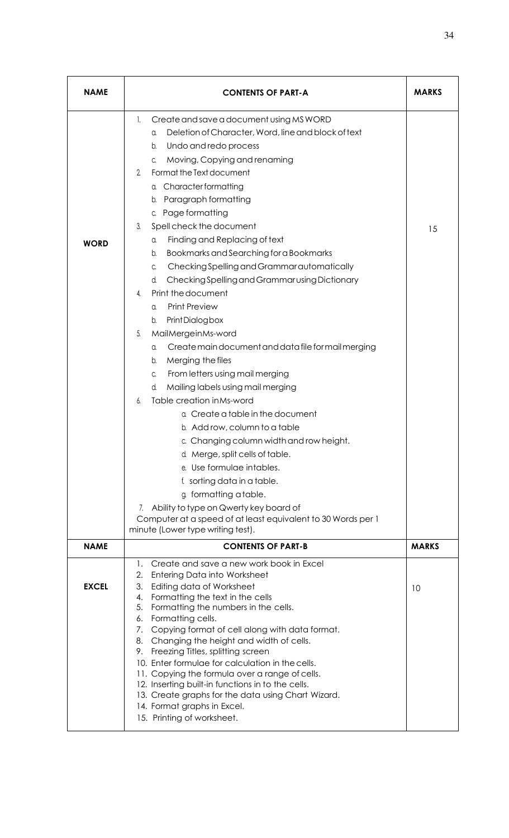| <b>NAME</b>  | <b>CONTENTS OF PART-A</b>                                                                                                                                                                                                                                                                                                                                                                                                                                                                                                                                                                                                                                                                                                                                                                                                                                                                                                                                                                                                                                                                                                       | <b>MARKS</b> |
|--------------|---------------------------------------------------------------------------------------------------------------------------------------------------------------------------------------------------------------------------------------------------------------------------------------------------------------------------------------------------------------------------------------------------------------------------------------------------------------------------------------------------------------------------------------------------------------------------------------------------------------------------------------------------------------------------------------------------------------------------------------------------------------------------------------------------------------------------------------------------------------------------------------------------------------------------------------------------------------------------------------------------------------------------------------------------------------------------------------------------------------------------------|--------------|
| <b>WORD</b>  | Create and save a document using MS WORD<br>1.<br>Deletion of Character, Word, line and block of text<br>a.<br>Undo and redo process<br>b.<br>Moving, Copying and renaming<br>C.<br>Format the Text document<br>2.<br><b>Character formatting</b><br>α.<br>Paragraph formatting<br>b.<br>Page formatting<br>C.<br>Spell check the document<br>3.<br>Finding and Replacing of text<br>a.<br>Bookmarks and Searching for a Bookmarks<br>b.<br>Checking Spelling and Grammar automatically<br>C.<br>Checking Spelling and Grammar using Dictionary<br>d.<br>Print the document<br>4.<br><b>Print Preview</b><br>a.<br>Print Dialog box<br>b.<br>5.<br>MailMergeinMs-word<br>Create main document and data file for mail merging<br>a.<br>Merging the files<br>b.<br>From letters using mail merging<br>C.<br>Mailing labels using mail merging<br>d.<br>Table creation in Ms-word<br>6.<br>a. Create a table in the document<br>b. Add row, column to a table<br>c. Changing column width and row height.<br>d. Merge, split cells of table.<br>e. Use formulae intables.<br>f. sorting data in a table.<br>g. formatting a table. | 15           |
|              | Ability to type on Qwerty key board of<br>7.<br>Computer at a speed of at least equivalent to 30 Words per 1<br>minute (Lower type writing test).                                                                                                                                                                                                                                                                                                                                                                                                                                                                                                                                                                                                                                                                                                                                                                                                                                                                                                                                                                               |              |
| <b>NAME</b>  | <b>CONTENTS OF PART-B</b>                                                                                                                                                                                                                                                                                                                                                                                                                                                                                                                                                                                                                                                                                                                                                                                                                                                                                                                                                                                                                                                                                                       | <b>MARKS</b> |
| <b>EXCEL</b> | Create and save a new work book in Excel<br>1.<br>2.<br>Entering Data into Worksheet<br>3.<br>Editing data of Worksheet<br>Formatting the text in the cells<br>4.<br>Formatting the numbers in the cells.<br>5.<br>Formatting cells.<br>6.<br>Copying format of cell along with data format.<br>7.<br>Changing the height and width of cells.<br>8.<br>Freezing Titles, splitting screen<br>9.<br>10. Enter formulae for calculation in the cells.<br>11. Copying the formula over a range of cells.<br>12. Inserting built-in functions in to the cells.                                                                                                                                                                                                                                                                                                                                                                                                                                                                                                                                                                       | 10           |
|              | 13. Create graphs for the data using Chart Wizard.<br>14. Format graphs in Excel.<br>15. Printing of worksheet.                                                                                                                                                                                                                                                                                                                                                                                                                                                                                                                                                                                                                                                                                                                                                                                                                                                                                                                                                                                                                 |              |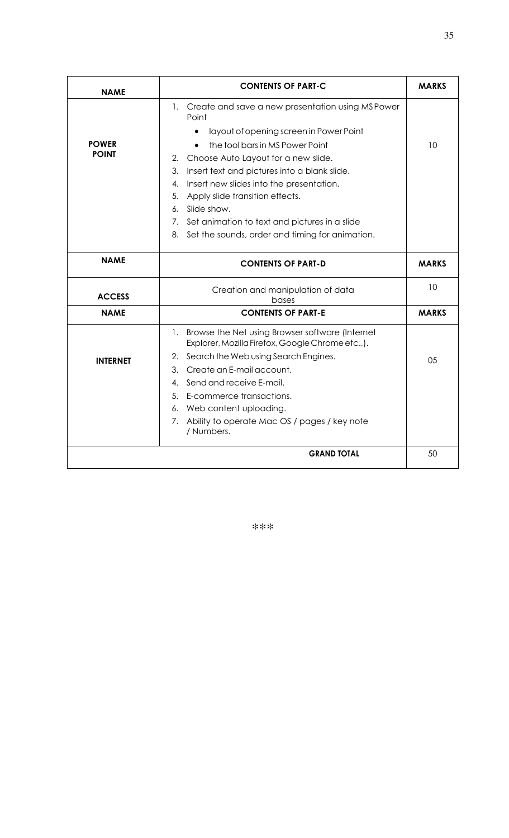| <b>NAME</b>     | <b>CONTENTS OF PART-C</b>                                                                              | <b>MARKS</b> |
|-----------------|--------------------------------------------------------------------------------------------------------|--------------|
|                 | 1. Create and save a new presentation using MS Power<br>Point                                          |              |
|                 | layout of opening screen in Power Point                                                                |              |
| <b>POWER</b>    | the tool bars in MS Power Point                                                                        | 10           |
| <b>POINT</b>    | Choose Auto Layout for a new slide.<br>2.                                                              |              |
|                 | 3.<br>Insert text and pictures into a blank slide.                                                     |              |
|                 | Insert new slides into the presentation.<br>4.                                                         |              |
|                 | 5.<br>Apply slide transition effects.                                                                  |              |
|                 | Slide show.<br>6.                                                                                      |              |
|                 | 7. Set animation to text and pictures in a slide                                                       |              |
|                 | 8. Set the sounds, order and timing for animation.                                                     |              |
| <b>NAME</b>     | <b>CONTENTS OF PART-D</b>                                                                              | <b>MARKS</b> |
| <b>ACCESS</b>   | Creation and manipulation of data<br>bases                                                             | 10           |
| <b>NAME</b>     | <b>CONTENTS OF PART-E</b>                                                                              | <b>MARKS</b> |
|                 | 1. Browse the Net using Browser software (Internet<br>Explorer, Mozilla Firefox, Google Chrome etc.,). |              |
| <b>INTERNET</b> | 2. Search the Web using Search Engines.                                                                | 05           |
|                 | Create an E-mail account.<br>3.                                                                        |              |
|                 | Send and receive E-mail.<br>4.                                                                         |              |
|                 | 5. E-commerce transactions.                                                                            |              |
|                 | 6. Web content uploading.                                                                              |              |
|                 | 7. Ability to operate Mac OS / pages / key note<br>/ Numbers.                                          |              |
|                 | <b>GRAND TOTAL</b>                                                                                     | 50           |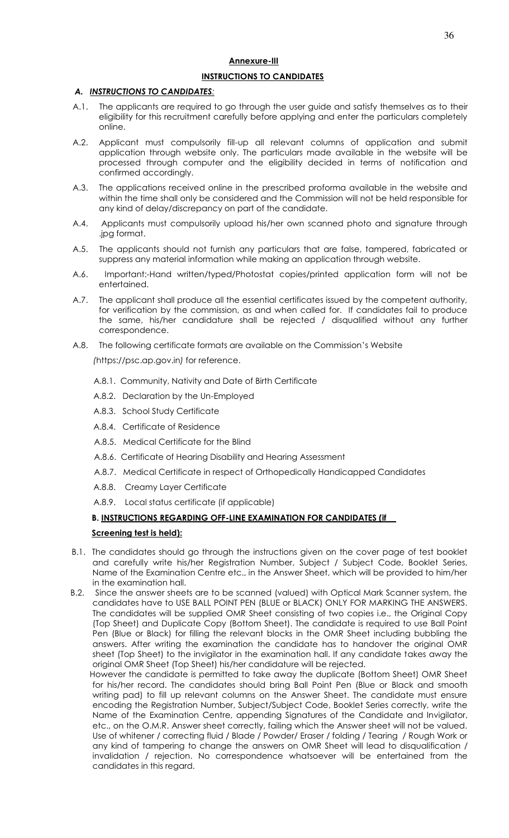# **Annexure-III INSTRUCTIONS TO CANDIDATES**

## *A. INSTRUCTIONS TO CANDIDATES:*

- A.1. The applicants are required to go through the user guide and satisfy themselves as to their eligibility for this recruitment carefully before applying and enter the particulars completely online.
- A.2. Applicant must compulsorily fill-up all relevant columns of application and submit application through website only. The particulars made available in the website will be processed through computer and the eligibility decided in terms of notification and confirmed accordingly.
- A.3. The applications received online in the prescribed proforma available in the website and within the time shall only be considered and the Commission will not be held responsible for any kind of delay/discrepancy on part of the candidate.
- A.4. Applicants must compulsorily upload his/her own scanned photo and signature through .jpg format.
- A.5. The applicants should not furnish any particulars that are false, tampered, fabricated or suppress any material information while making an application through website.
- A.6. Important:-Hand written/typed/Photostat copies/printed application form will not be entertained.
- A.7. The applicant shall produce all the essential certificates issued by the competent authority, for verification by the commission, as and when called for. If candidates fail to produce the same, his/her candidature shall be rejected / disqualified without any further correspondence.
- A.8. The following certificate formats are available on the Commission's Website

*(*https://psc.ap.gov.in*)* for reference.

- A.8.1. Community, Nativity and Date of Birth Certificate
- A.8.2. Declaration by the Un-Employed
- A.8.3. School Study Certificate
- A.8.4. Certificate of Residence
- A.8.5. Medical Certificate for the Blind
- A.8.6. Certificate of Hearing Disability and Hearing Assessment
- A.8.7. Medical Certificate in respect of Orthopedically Handicapped Candidates
- A.8.8. Creamy Layer Certificate
- A.8.9. Local status certificate (if applicable)

#### **B. INSTRUCTIONS REGARDING OFF-LINE EXAMINATION FOR CANDIDATES (if**

#### **Screening test is held):**

- B.1. The candidates should go through the instructions given on the cover page of test booklet and carefully write his/her Registration Number, Subject / Subject Code, Booklet Series, Name of the Examination Centre etc., in the Answer Sheet, which will be provided to him/her in the examination hall.
- B.2. Since the answer sheets are to be scanned (valued) with Optical Mark Scanner system, the candidates have to USE BALL POINT PEN (BLUE or BLACK) ONLY FOR MARKING THE ANSWERS. The candidates will be supplied OMR Sheet consisting of two copies i.e., the Original Copy (Top Sheet) and Duplicate Copy (Bottom Sheet). The candidate is required to use Ball Point Pen (Blue or Black) for filling the relevant blocks in the OMR Sheet including bubbling the answers. After writing the examination the candidate has to handover the original OMR sheet (Top Sheet) to the invigilator in the examination hall. If any candidate takes away the original OMR Sheet (Top Sheet) his/her candidature will be rejected.

 However the candidate is permitted to take away the duplicate (Bottom Sheet) OMR Sheet for his/her record. The candidates should bring Ball Point Pen (Blue or Black and smooth writing pad) to fill up relevant columns on the Answer Sheet. The candidate must ensure encoding the Registration Number, Subject/Subject Code, Booklet Series correctly, write the Name of the Examination Centre, appending Signatures of the Candidate and Invigilator, etc., on the O.M.R. Answer sheet correctly, failing which the Answer sheet will not be valued. Use of whitener / correcting fluid / Blade / Powder/ Eraser / folding / Tearing / Rough Work or any kind of tampering to change the answers on OMR Sheet will lead to disqualification / invalidation / rejection. No correspondence whatsoever will be entertained from the candidates in this regard.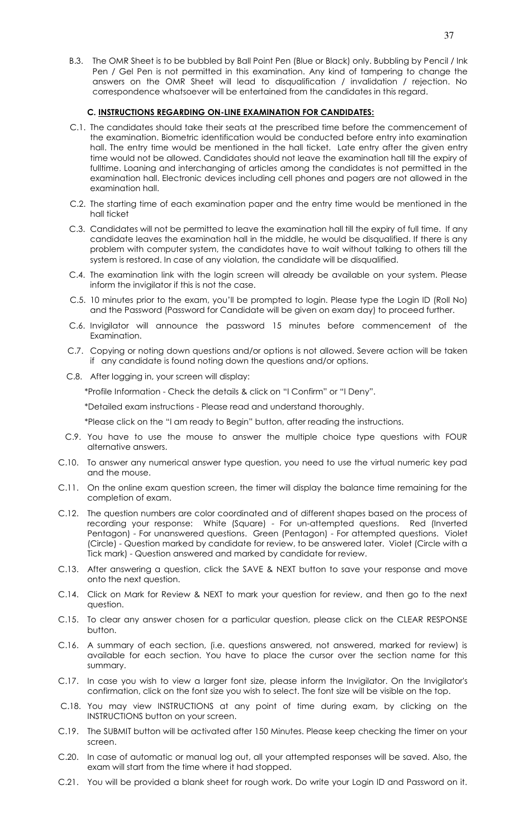B.3. The OMR Sheet is to be bubbled by Ball Point Pen (Blue or Black) only. Bubbling by Pencil / Ink Pen / Gel Pen is not permitted in this examination. Any kind of tampering to change the

# **C. INSTRUCTIONS REGARDING ON-LINE EXAMINATION FOR CANDIDATES:**

C.1. The candidates should take their seats at the prescribed time before the commencement of the examination. Biometric identification would be conducted before entry into examination hall. The entry time would be mentioned in the hall ticket. Late entry after the given entry time would not be allowed. Candidates should not leave the examination hall till the expiry of fulltime. Loaning and interchanging of articles among the candidates is not permitted in the examination hall. Electronic devices including cell phones and pagers are not allowed in the examination hall.

correspondence whatsoever will be entertained from the candidates in this regard.

answers on the OMR Sheet will lead to disqualification / invalidation / rejection. No

- C.2. The starting time of each examination paper and the entry time would be mentioned in the hall ticket
- C.3. Candidates will not be permitted to leave the examination hall till the expiry of full time. If any candidate leaves the examination hall in the middle, he would be disqualified. If there is any problem with computer system, the candidates have to wait without talking to others till the system is restored. In case of any violation, the candidate will be disqualified.
- C.4. The examination link with the login screen will already be available on your system. Please inform the invigilator if this is not the case.
- C.5. 10 minutes prior to the exam, you'll be prompted to login. Please type the Login ID (Roll No) and the Password (Password for Candidate will be given on exam day) to proceed further.
- C.6. Invigilator will announce the password 15 minutes before commencement of the Examination.
- C.7. Copying or noting down questions and/or options is not allowed. Severe action will be taken if any candidate is found noting down the questions and/or options.
- C.8. After logging in, your screen will display:

\*Profile Information - Check the details & click on "I Confirm" or "I Deny".

\*Detailed exam instructions - Please read and understand thoroughly.

\*Please click on the "I am ready to Begin" button, after reading the instructions.

- C.9. You have to use the mouse to answer the multiple choice type questions with FOUR alternative answers.
- C.10. To answer any numerical answer type question, you need to use the virtual numeric key pad and the mouse.
- C.11. On the online exam question screen, the timer will display the balance time remaining for the completion of exam.
- C.12. The question numbers are color coordinated and of different shapes based on the process of recording your response: White (Square) - For un-attempted questions. Red (Inverted Pentagon) - For unanswered questions. Green (Pentagon) - For attempted questions. Violet (Circle) - Question marked by candidate for review, to be answered later. Violet (Circle with a Tick mark) - Question answered and marked by candidate for review.
- C.13. After answering a question, click the SAVE & NEXT button to save your response and move onto the next question.
- C.14. Click on Mark for Review & NEXT to mark your question for review, and then go to the next question.
- C.15. To clear any answer chosen for a particular question, please click on the CLEAR RESPONSE button.
- C.16. A summary of each section, (i.e. questions answered, not answered, marked for review) is available for each section. You have to place the cursor over the section name for this summary.
- C.17. In case you wish to view a larger font size, please inform the Invigilator. On the Invigilator's confirmation, click on the font size you wish to select. The font size will be visible on the top.
- C.18. You may view INSTRUCTIONS at any point of time during exam, by clicking on the INSTRUCTIONS button on your screen.
- C.19. The SUBMIT button will be activated after 150 Minutes. Please keep checking the timer on your screen.
- C.20. In case of automatic or manual log out, all your attempted responses will be saved. Also, the exam will start from the time where it had stopped.
- C.21. You will be provided a blank sheet for rough work. Do write your Login ID and Password on it.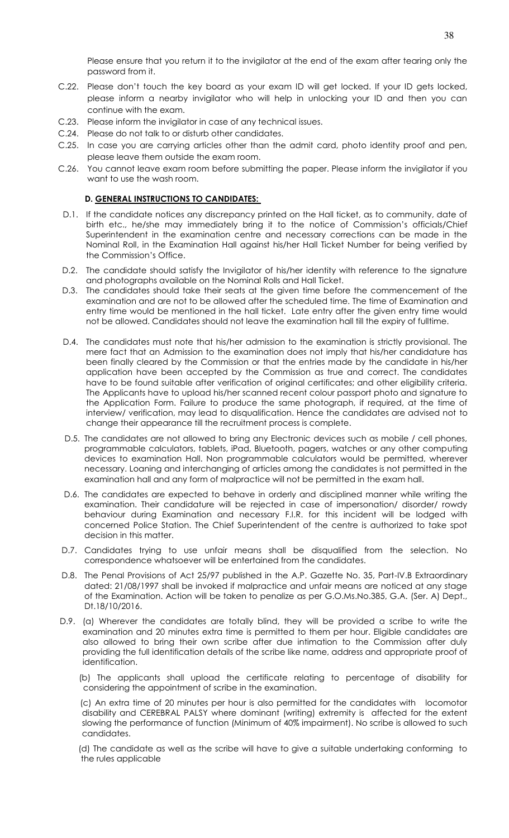Please ensure that you return it to the invigilator at the end of the exam after tearing only the password from it.

- C.22. Please don't touch the key board as your exam ID will get locked. If your ID gets locked, please inform a nearby invigilator who will help in unlocking your ID and then you can continue with the exam.
- C.23. Please inform the invigilator in case of any technical issues.
- C.24. Please do not talk to or disturb other candidates.
- C.25. In case you are carrying articles other than the admit card, photo identity proof and pen, please leave them outside the exam room.
- C.26. You cannot leave exam room before submitting the paper. Please inform the invigilator if you want to use the wash room.

#### **D. GENERAL INSTRUCTIONS TO CANDIDATES:**

- D.1. If the candidate notices any discrepancy printed on the Hall ticket, as to community, date of birth etc., he/she may immediately bring it to the notice of Commission's officials/Chief Superintendent in the examination centre and necessary corrections can be made in the Nominal Roll, in the Examination Hall against his/her Hall Ticket Number for being verified by the Commission's Office.
- D.2. The candidate should satisfy the Invigilator of his/her identity with reference to the signature and photographs available on the Nominal Rolls and Hall Ticket.
- D.3. The candidates should take their seats at the given time before the commencement of the examination and are not to be allowed after the scheduled time. The time of Examination and entry time would be mentioned in the hall ticket. Late entry after the given entry time would not be allowed. Candidates should not leave the examination hall till the expiry of fulltime.
- D.4. The candidates must note that his/her admission to the examination is strictly provisional. The mere fact that an Admission to the examination does not imply that his/her candidature has been finally cleared by the Commission or that the entries made by the candidate in his/her application have been accepted by the Commission as true and correct. The candidates have to be found suitable after verification of original certificates; and other eligibility criteria. The Applicants have to upload his/her scanned recent colour passport photo and signature to the Application Form. Failure to produce the same photograph, if required, at the time of interview/ verification, may lead to disqualification. Hence the candidates are advised not to change their appearance till the recruitment process is complete.
- D.5. The candidates are not allowed to bring any Electronic devices such as mobile / cell phones, programmable calculators, tablets, iPad, Bluetooth, pagers, watches or any other computing devices to examination Hall. Non programmable calculators would be permitted, wherever necessary. Loaning and interchanging of articles among the candidates is not permitted in the examination hall and any form of malpractice will not be permitted in the exam hall.
- D.6. The candidates are expected to behave in orderly and disciplined manner while writing the examination. Their candidature will be rejected in case of impersonation/ disorder/ rowdy behaviour during Examination and necessary F.I.R. for this incident will be lodged with concerned Police Station. The Chief Superintendent of the centre is authorized to take spot decision in this matter.
- D.7. Candidates trying to use unfair means shall be disqualified from the selection. No correspondence whatsoever will be entertained from the candidates.
- D.8. The Penal Provisions of Act 25/97 published in the A.P. Gazette No. 35, Part-IV.B Extraordinary dated: 21/08/1997 shall be invoked if malpractice and unfair means are noticed at any stage of the Examination. Action will be taken to penalize as per G.O.Ms.No.385, G.A. (Ser. A) Dept., Dt.18/10/2016.
- D.9. (a) Wherever the candidates are totally blind, they will be provided a scribe to write the examination and 20 minutes extra time is permitted to them per hour. Eligible candidates are also allowed to bring their own scribe after due intimation to the Commission after duly providing the full identification details of the scribe like name, address and appropriate proof of identification.

 (b) The applicants shall upload the certificate relating to percentage of disability for considering the appointment of scribe in the examination.

 (c) An extra time of 20 minutes per hour is also permitted for the candidates with locomotor disability and CEREBRAL PALSY where dominant (writing) extremity is affected for the extent slowing the performance of function (Minimum of 40% impairment). No scribe is allowed to such candidates.

 (d) The candidate as well as the scribe will have to give a suitable undertaking conforming to the rules applicable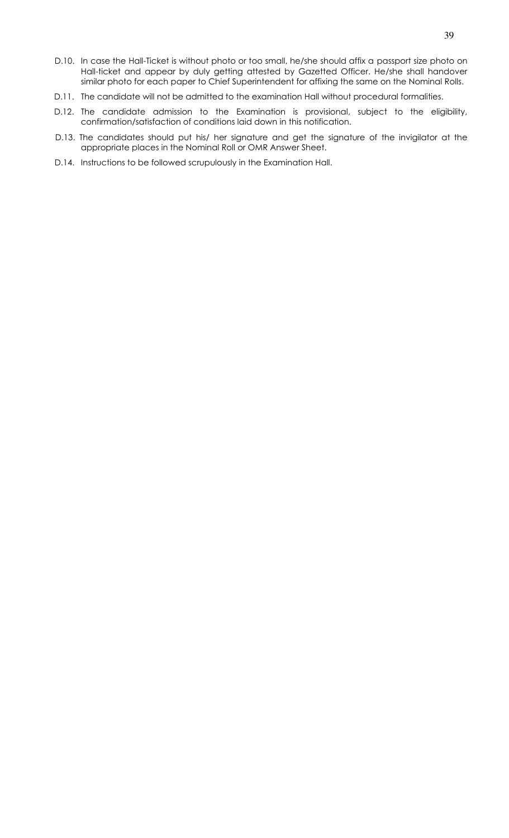- D.10. In case the Hall-Ticket is without photo or too small, he/she should affix a passport size photo on Hall-ticket and appear by duly getting attested by Gazetted Officer. He/she shall handover similar photo for each paper to Chief Superintendent for affixing the same on the Nominal Rolls.
- D.11. The candidate will not be admitted to the examination Hall without procedural formalities.
- D.12. The candidate admission to the Examination is provisional, subject to the eligibility, confirmation/satisfaction of conditions laid down in this notification.
- D.13. The candidates should put his/ her signature and get the signature of the invigilator at the appropriate places in the Nominal Roll or OMR Answer Sheet.
- D.14. Instructions to be followed scrupulously in the Examination Hall.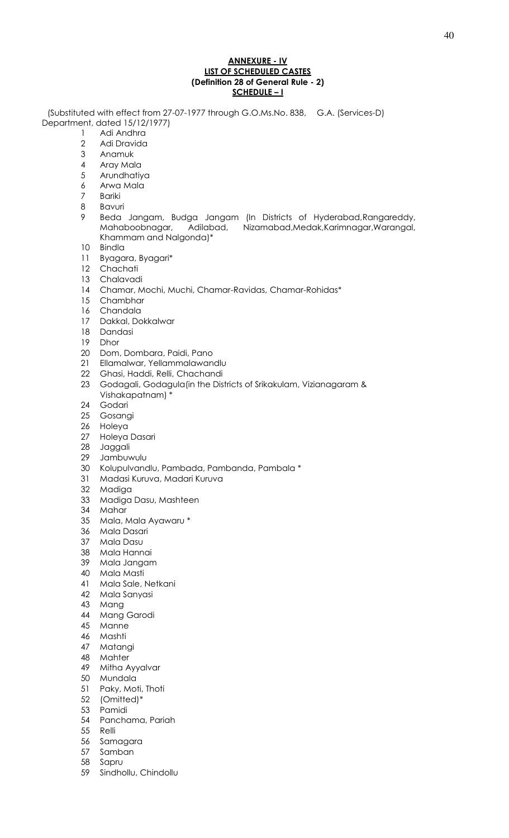#### **ANNEXURE - IV LIST OF SCHEDULED CASTES (Definition 28 of General Rule - 2) SCHEDULE – I**

 (Substituted with effect from 27-07-1977 through G.O.Ms.No. 838, G.A. (Services-D) Department, dated 15/12/1977)

- 1 Adi Andhra<br>2 Adi Dravida
	- Adi Dravida
- Anamuk
- Aray Mala
- Arundhatiya
- Arwa Mala
- Bariki
- Bavuri
- Beda Jangam, Budga Jangam (In Districts of Hyderabad,Rangareddy, Mahaboobnagar, Adilabad, Nizamabad,Medak,Karimnagar,Warangal, Khammam and Nalgonda)\*
- Bindla
- Byagara, Byagari\*
- Chachati
- Chalavadi
- Chamar, Mochi, Muchi, Chamar-Ravidas, Chamar-Rohidas\*
- Chambhar
- Chandala
- Dakkal, Dokkalwar
- 18 Dandasi<br>19 Dhor
- **Dhor**
- Dom, Dombara, Paidi, Pano
- Ellamalwar, Yellammalawandlu
- Ghasi, Haddi, Relli, Chachandi
- Godagali, Godagula(in the Districts of Srikakulam, Vizianagaram & Vishakapatnam) \*
- Godari
- Gosangi
- Holeya
- Holeya Dasari
- Jaggali
- Jambuwulu
- Kolupulvandlu, Pambada, Pambanda, Pambala \*
- Madasi Kuruva, Madari Kuruva
- Madiga
- Madiga Dasu, Mashteen
- Mahar
- Mala, Mala Ayawaru \*
- Mala Dasari
- Mala Dasu
- Mala Hannai
- Mala Jangam
- Mala Masti
- Mala Sale, Netkani
- Mala Sanyasi
- Mang
- Mang Garodi
- Manne
- 
- 46 Mashti<br>47 Matan Matangi
- Mahter
- Mitha Ayyalvar
- Mundala
- Paky, Moti, Thoti
- (Omitted)\*
- Pamidi
- Panchama, Pariah
- Relli
- Samagara
- Samban
- Sapru
- Sindhollu, Chindollu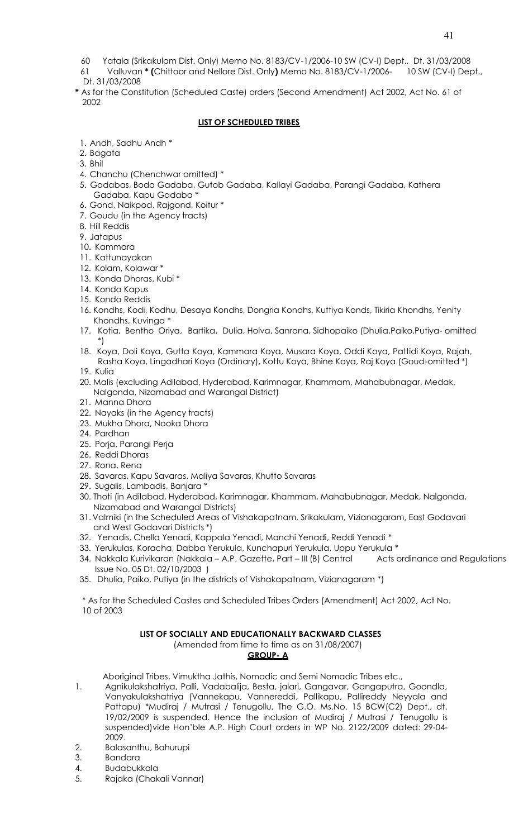- 60 Yatala (Srikakulam Dist. Only) Memo No. 8183/CV-1/2006-10 SW (CV-I) Dept., Dt. 31/03/2008
- 61 Valluvan **\* (**Chittoor and Nellore Dist. Only**)** Memo No. 8183/CV-1/2006- 10 SW (CV-I) Dept., Dt. 31/03/2008
- **\*** As for the Constitution (Scheduled Caste) orders (Second Amendment) Act 2002, Act No. 61 of 2002

#### **LIST OF SCHEDULED TRIBES**

- 1. Andh, Sadhu Andh \*
- 2. Bagata
- 3. Bhil
- 4. Chanchu (Chenchwar omitted) \*
- 5. Gadabas, Boda Gadaba, Gutob Gadaba, Kallayi Gadaba, Parangi Gadaba, Kathera Gadaba, Kapu Gadaba \*
- 6. Gond, Naikpod, Rajgond, Koitur \*
- 7. Goudu (in the Agency tracts)
- 8. Hill Reddis
- 9. Jatapus
- 10. Kammara
- 11. Kattunayakan
- 12. Kolam, Kolawar \*
- 13. Konda Dhoras, Kubi \*
- 14. Konda Kapus
- 15. Konda Reddis
- 16. Kondhs, Kodi, Kodhu, Desaya Kondhs, Dongria Kondhs, Kuttiya Konds, Tikiria Khondhs, Yenity Khondhs, Kuvinga \*
- 17. Kotia, Bentho Oriya, Bartika, Dulia, Holva, Sanrona, Sidhopaiko (Dhulia,Paiko,Putiya- omitted \*)
- 18. Koya, Doli Koya, Gutta Koya, Kammara Koya, Musara Koya, Oddi Koya, Pattidi Koya, Rajah, Rasha Koya, Lingadhari Koya (Ordinary), Kottu Koya, Bhine Koya, Raj Koya (Goud-omitted \*)
- 19. Kulia
- 20. Malis (excluding Adilabad, Hyderabad, Karimnagar, Khammam, Mahabubnagar, Medak, Nalgonda, Nizamabad and Warangal District)
- 21. Manna Dhora
- 22. Nayaks (in the Agency tracts)
- 23. Mukha Dhora, Nooka Dhora
- 24. Pardhan
- 25. Porja, Parangi Perja
- 26. Reddi Dhoras
- 27. Rona, Rena
- 28. Savaras, Kapu Savaras, Maliya Savaras, Khutto Savaras
- 29. Sugalis, Lambadis, Banjara \*
- 30. Thoti (in Adilabad, Hyderabad, Karimnagar, Khammam, Mahabubnagar, Medak, Nalgonda, Nizamabad and Warangal Districts)
- 31. Valmiki (in the Scheduled Areas of Vishakapatnam, Srikakulam, Vizianagaram, East Godavari and West Godavari Districts \*)
- 32. Yenadis, Chella Yenadi, Kappala Yenadi, Manchi Yenadi, Reddi Yenadi \*
- 33. Yerukulas, Koracha, Dabba Yerukula, Kunchapuri Yerukula, Uppu Yerukula \*
- 34. Nakkala Kurivikaran (Nakkala A.P. Gazette, Part III (B) Central acts ordinance and Regulations Issue No. 05 Dt. 02/10/2003 )
- 35. Dhulia, Paiko, Putiya (in the districts of Vishakapatnam, Vizianagaram \*)

 \* As for the Scheduled Castes and Scheduled Tribes Orders (Amendment) Act 2002, Act No. 10 of 2003

# **LIST OF SOCIALLY AND EDUCATIONALLY BACKWARD CLASSES**

(Amended from time to time as on 31/08/2007)

#### **GROUP- A**

Aboriginal Tribes, Vimuktha Jathis, Nomadic and Semi Nomadic Tribes etc.,

- 1. Agnikulakshatriya, Palli, Vadabalija, Besta, jalari, Gangavar, Gangaputra, Goondla, Vanyakulakshatriya (Vannekapu, Vannereddi, Pallikapu, Pallireddy Neyyala and Pattapu) \*Mudiraj / Mutrasi / Tenugollu, The G.O. Ms.No. 15 BCW(C2) Dept., dt. 19/02/2009 is suspended. Hence the inclusion of Mudiraj / Mutrasi / Tenugollu is suspended)vide Hon'ble A.P. High Court orders in WP No. 2122/2009 dated: 29-04- 2009.
- 2. Balasanthu, Bahurupi
- 3. Bandara
- 4. Budabukkala
- 5. Rajaka (Chakali Vannar)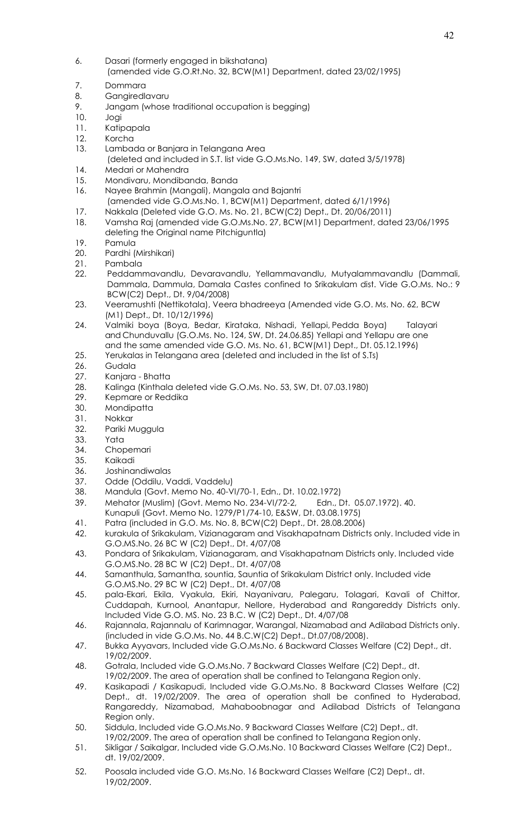- 6. Dasari (formerly engaged in bikshatana) (amended vide G.O.Rt.No. 32, BCW(M1) Department, dated 23/02/1995)
- 7. Dommara
- 8. Gangiredlavaru
- 9. Jangam (whose traditional occupation is begging)
- 10. Jogi
- 11. Katipapala
- 12. Korcha
- 13. Lambada or Banjara in Telangana Area
- (deleted and included in S.T. list vide G.O.Ms.No. 149, SW, dated 3/5/1978) 14. Medari or Mahendra
- 15. Mondivaru, Mondibanda, Banda
- 16. Nayee Brahmin (Mangali), Mangala and Bajantri (amended vide G.O.Ms.No. 1, BCW(M1) Department, dated 6/1/1996)
- 17. Nakkala (Deleted vide G.O. Ms. No. 21, BCW(C2) Dept., Dt. 20/06/2011)
- 18. Vamsha Raj (amended vide G.O.Ms.No. 27, BCW(M1) Department, dated 23/06/1995 deleting the Original name Pitchiguntla)
- 
- 19. Pamula<br>20. Pardhi ( Pardhi (Mirshikari)
- 21. Pambala
- 22. Peddammavandlu, Devaravandlu, Yellammavandlu, Mutyalammavandlu (Dammali, Dammala, Dammula, Damala Castes confined to Srikakulam dist. Vide G.O.Ms. No.: 9 BCW(C2) Dept., Dt. 9/04/2008)
- 23. Veeramushti (Nettikotala), Veera bhadreeya (Amended vide G.O. Ms. No. 62, BCW (M1) Dept., Dt. 10/12/1996)
- 24. Valmiki boya (Boya, Bedar, Kirataka, Nishadi, Yellapi, Pedda Boya) Talayari and Chunduvallu (G.O.Ms. No. 124, SW, Dt. 24.06.85) Yellapi and Yellapu are one and the same amended vide G.O. Ms. No. 61, BCW(M1) Dept., Dt. 05.12.1996)
- 25. Yerukalas in Telangana area (deleted and included in the list of S.Ts)
- 26. Gudala
- 27. Kanjara Bhatta
- 28. Kalinga (Kinthala deleted vide G.O.Ms. No. 53, SW, Dt. 07.03.1980)
- 29. Kepmare or Reddika
- 30. Mondipatta
- 31. Nokkar
- 32. Pariki Muggula
- 33. Yata
- 34. Chopemari
- 35. Kaikadi
- 36. Joshinandiwalas<br>37. Odde (Oddilu, V
- Odde (Oddilu, Vaddi, Vaddelu)
- 38. Mandula (Govt. Memo No. 40-VI/70-1, Edn., Dt. 10.02.1972)
- 39. Mehator (Muslim) (Govt. Memo No. 234-VI/72-2, Edn., Dt. 05.07.1972). 40. Kunapuli (Govt. Memo No. 1279/P1/74-10, E&SW, Dt. 03.08.1975)
- 41. Patra (included in G.O. Ms. No. 8, BCW(C2) Dept., Dt. 28.08.2006)
- 42. kurakula of Srikakulam, Vizianagaram and Visakhapatnam Districts only. Included vide in G.O.MS.No. 26 BC W (C2) Dept., Dt. 4/07/08
- 43. Pondara of Srikakulam, Vizianagaram, and Visakhapatnam Districts only. Included vide G.O.MS.No. 28 BC W (C2) Dept., Dt. 4/07/08
- 44. Samanthula, Samantha, sountia, Sauntia of Srikakulam District only. Included vide G.O.MS.No. 29 BC W (C2) Dept., Dt. 4/07/08
- 45. pala-Ekari, Ekila, Vyakula, Ekiri, Nayanivaru, Palegaru, Tolagari, Kavali of Chittor, Cuddapah, Kurnool, Anantapur, Nellore, Hyderabad and Rangareddy Districts only. Included Vide G.O. MS. No. 23 B.C. W (C2) Dept., Dt. 4/07/08
- 46. Rajannala, Rajannalu of Karimnagar, Warangal, Nizamabad and Adilabad Districts only. (included in vide G.O.Ms. No. 44 B.C.W(C2) Dept., Dt.07/08/2008).
- 47. Bukka Ayyavars, Included vide G.O.Ms.No. 6 Backward Classes Welfare (C2) Dept., dt. 19/02/2009.
- 48. Gotrala, Included vide G.O.Ms.No. 7 Backward Classes Welfare (C2) Dept., dt. 19/02/2009. The area of operation shall be confined to Telangana Region only.
- 49. Kasikapadi / Kasikapudi, Included vide G.O.Ms.No. 8 Backward Classes Welfare (C2) Dept., dt. 19/02/2009. The area of operation shall be confined to Hyderabad, Rangareddy, Nizamabad, Mahaboobnagar and Adilabad Districts of Telangana Region only.
- 50. Siddula, Included vide G.O.Ms.No. 9 Backward Classes Welfare (C2) Dept., dt. 19/02/2009. The area of operation shall be confined to Telangana Region only.
- 51. Sikligar / Saikalgar, Included vide G.O.Ms.No. 10 Backward Classes Welfare (C2) Dept., dt. 19/02/2009.
- 52. Poosala included vide G.O. Ms.No. 16 Backward Classes Welfare (C2) Dept., dt. 19/02/2009.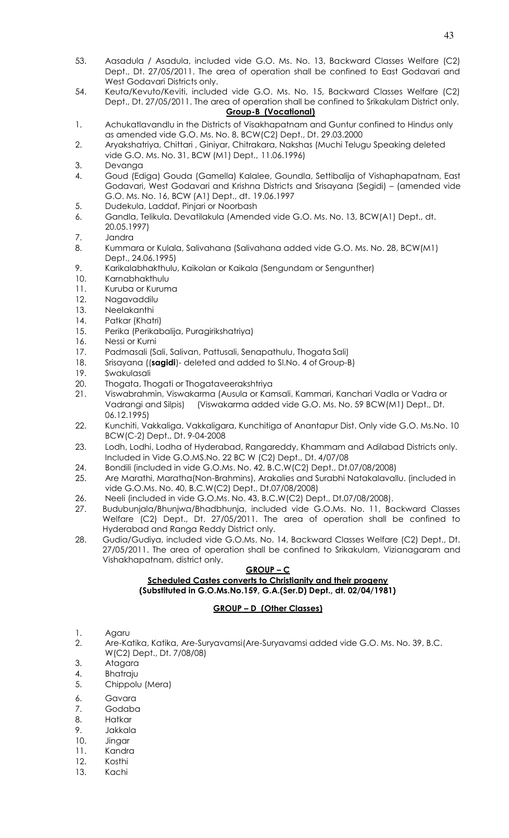- 53. Aasadula / Asadula, included vide G.O. Ms. No. 13, Backward Classes Welfare (C2) Dept., Dt. 27/05/2011. The area of operation shall be confined to East Godavari and West Godavari Districts only.
- 54. Keuta/Kevuto/Keviti, included vide G.O. Ms. No. 15, Backward Classes Welfare (C2) Dept., Dt. 27/05/2011. The area of operation shall be confined to Srikakulam District only. **Group-B (Vocational)**

# 1. Achukatlavandlu in the Districts of Visakhapatnam and Guntur confined to Hindus only as amended vide G.O. Ms. No. 8, BCW(C2) Dept., Dt. 29.03.2000

- 2. Aryakshatriya, Chittari , Giniyar, Chitrakara, Nakshas (Muchi Telugu Speaking deleted vide G.O. Ms. No. 31, BCW (M1) Dept., 11.06.1996)
- 3. Devanga
- 4. Goud (Ediga) Gouda (Gamella) Kalalee, Goundla, Settibalija of Vishaphapatnam, East Godavari, West Godavari and Krishna Districts and Srisayana (Segidi) – (amended vide G.O. Ms. No. 16, BCW (A1) Dept., dt. 19.06.1997
- 5. Dudekula, Laddaf, Pinjari or Noorbash
- 6. Gandla, Telikula, Devatilakula (Amended vide G.O. Ms. No. 13, BCW(A1) Dept., dt. 20.05.1997)
- 7. Jandra
- 8. Kummara or Kulala, Salivahana (Salivahana added vide G.O. Ms. No. 28, BCW(M1) Dept., 24.06.1995)
- 9. Karikalabhakthulu, Kaikolan or Kaikala (Sengundam or Sengunther)
- 10. Karnabhakthulu
- 11. Kuruba or Kuruma
- 12. Nagavaddilu
- 13. Neelakanthi
- 14. Patkar (Khatri)
- 15. Perika (Perikabalija, Puragirikshatriya)
- 16. Nessi or Kurni
- 17. Padmasali (Sali, Salivan, Pattusali, Senapathulu, Thogata Sali)
- 18. Srisayana ((**sagidi**)- deleted and added to Sl.No. 4 of Group-B)
- 19. Swakulasali
- 20. Thogata, Thogati or Thogataveerakshtriya
- 21. Viswabrahmin, Viswakarma (Ausula or Kamsali, Kammari, Kanchari Vadla or Vadra or Vadrangi and Silpis) (Viswakarma added vide G.O. Ms. No. 59 BCW(M1) Dept., Dt. 06.12.1995)
- 22. Kunchiti, Vakkaliga, Vakkaligara, Kunchitiga of Anantapur Dist. Only vide G.O. Ms.No. 10 BCW(C-2) Dept., Dt. 9-04-2008
- 23. Lodh, Lodhi, Lodha of Hyderabad, Rangareddy, Khammam and Adilabad Districts only. Included in Vide G.O.MS.No. 22 BC W (C2) Dept., Dt. 4/07/08
- 24. Bondili (included in vide G.O.Ms. No. 42, B.C.W(C2) Dept., Dt.07/08/2008)
- 25. Are Marathi, Maratha(Non-Brahmins), Arakalies and Surabhi Natakalavallu. (included in vide G.O.Ms. No. 40, B.C.W(C2) Dept., Dt.07/08/2008)
- 26. Neeli (included in vide G.O.Ms. No. 43, B.C.W(C2) Dept., Dt.07/08/2008).
- 27. Budubunjala/Bhunjwa/Bhadbhunja, included vide G.O.Ms. No. 11, Backward Classes Welfare (C2) Dept., Dt. 27/05/2011. The area of operation shall be confined to Hyderabad and Ranga Reddy District only.
- 28. Gudia/Gudiya, included vide G.O.Ms. No. 14, Backward Classes Welfare (C2) Dept., Dt. 27/05/2011. The area of operation shall be confined to Srikakulam, Vizianagaram and Vishakhapatnam, district only.

# **GROUP – C**

# **Scheduled Castes converts to Christianity and their progeny (Substituted in G.O.Ms.No.159, G.A.(Ser.D) Dept., dt. 02/04/1981)**

# **GROUP – D (Other Classes)**

- 1. Agaru
- 2. Are-Katika, Katika, Are-Suryavamsi(Are-Suryavamsi added vide G.O. Ms. No. 39, B.C. W(C2) Dept., Dt. 7/08/08)
- 3. Atagara
- 4. Bhatraju
- 5. Chippolu (Mera)
- 6. Gavara
- 7. Godaba
- 8. Hatkar
- 9. Jakkala
- 10. Jingar
- 11. Kandra
- 12. Kosthi
- 13. Kachi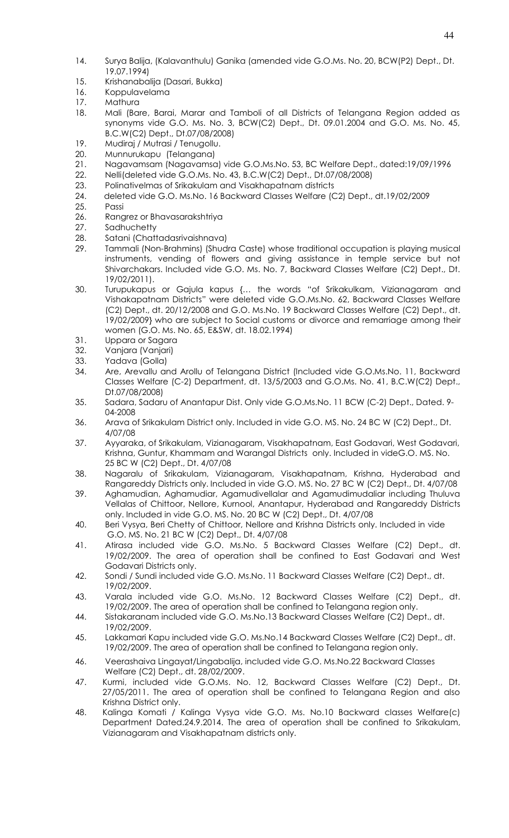- 14. Surya Balija, (Kalavanthulu) Ganika (amended vide G.O.Ms. No. 20, BCW(P2) Dept., Dt. 19.07.1994)
- 15. Krishanabalija (Dasari, Bukka)
- 16. Koppulavelama
- 17. Mathura
- 18. Mali (Bare, Barai, Marar and Tamboli of all Districts of Telangana Region added as synonyms vide G.O. Ms. No. 3, BCW(C2) Dept., Dt. 09.01.2004 and G.O. Ms. No. 45, B.C.W(C2) Dept., Dt.07/08/2008)
- 19. Mudiraj / Mutrasi / Tenugollu.
- 20. Munnurukapu (Telangana)
- 21. Nagavamsam (Nagavamsa) vide G.O.Ms.No. 53, BC Welfare Dept., dated:19/09/1996
- 22. Nelli(deleted vide G.O.Ms. No. 43, B.C.W(C2) Dept., Dt.07/08/2008)
- 23. Polinativelmas of Srikakulam and Visakhapatnam districts
- 24. deleted vide G.O. Ms.No. 16 Backward Classes Welfare (C2) Dept., dt.19/02/2009
- 25. Passi
- 26. Rangrez or Bhavasarakshtriya
- 27. Sadhuchetty
- 28. Satani (Chattadasrivaishnava)
- 29. Tammali (Non-Brahmins) (Shudra Caste) whose traditional occupation is playing musical instruments, vending of flowers and giving assistance in temple service but not Shivarchakars. Included vide G.O. Ms. No. 7, Backward Classes Welfare (C2) Dept., Dt. 19/02/2011).
- 30. Turupukapus or Gajula kapus {… the words "of Srikakulkam, Vizianagaram and Vishakapatnam Districts" were deleted vide G.O.Ms.No. 62, Backward Classes Welfare (C2) Dept., dt. 20/12/2008 and G.O. Ms.No. 19 Backward Classes Welfare (C2) Dept., dt. 19/02/2009} who are subject to Social customs or divorce and remarriage among their women (G.O. Ms. No. 65, E&SW, dt. 18.02.1994)
- 31. Uppara or Sagara
- 32. Vanjara (Vanjari)
- 33. Yadava (Golla)
- 34. Are, Arevallu and Arollu of Telangana District (Included vide G.O.Ms.No. 11, Backward Classes Welfare (C-2) Department, dt. 13/5/2003 and G.O.Ms. No. 41, B.C.W(C2) Dept., Dt.07/08/2008)
- 35. Sadara, Sadaru of Anantapur Dist. Only vide G.O.Ms.No. 11 BCW (C-2) Dept., Dated. 9- 04-2008
- 36. Arava of Srikakulam District only. Included in vide G.O. MS. No. 24 BC W (C2) Dept., Dt. 4/07/08
- 37. Ayyaraka, of Srikakulam, Vizianagaram, Visakhapatnam, East Godavari, West Godavari, Krishna, Guntur, Khammam and Warangal Districts only. Included in videG.O. MS. No. 25 BC W (C2) Dept., Dt. 4/07/08
- 38. Nagaralu of Srikakulam, Vizianagaram, Visakhapatnam, Krishna, Hyderabad and Rangareddy Districts only. Included in vide G.O. MS. No. 27 BC W (C2) Dept., Dt. 4/07/08
- 39. Aghamudian, Aghamudiar, Agamudivellalar and Agamudimudaliar including Thuluva Vellalas of Chittoor, Nellore, Kurnool, Anantapur, Hyderabad and Rangareddy Districts only. Included in vide G.O. MS. No. 20 BC W (C2) Dept., Dt. 4/07/08
- 40. Beri Vysya, Beri Chetty of Chittoor, Nellore and Krishna Districts only. Included in vide G.O. MS. No. 21 BC W (C2) Dept., Dt. 4/07/08
- 41. Atirasa included vide G.O. Ms.No. 5 Backward Classes Welfare (C2) Dept., dt. 19/02/2009. The area of operation shall be confined to East Godavari and West Godavari Districts only.
- 42. Sondi / Sundi included vide G.O. Ms.No. 11 Backward Classes Welfare (C2) Dept., dt. 19/02/2009.
- 43. Varala included vide G.O. Ms.No. 12 Backward Classes Welfare (C2) Dept., dt. 19/02/2009. The area of operation shall be confined to Telangana region only.
- 44. Sistakaranam included vide G.O. Ms.No.13 Backward Classes Welfare (C2) Dept., dt. 19/02/2009.
- 45. Lakkamari Kapu included vide G.O. Ms.No.14 Backward Classes Welfare (C2) Dept., dt. 19/02/2009. The area of operation shall be confined to Telangana region only.
- 46. Veerashaiva Lingayat/Lingabalija, included vide G.O. Ms.No.22 Backward Classes Welfare (C2) Dept., dt. 28/02/2009.
- 47. Kurmi, included vide G.O.Ms. No. 12, Backward Classes Welfare (C2) Dept., Dt. 27/05/2011. The area of operation shall be confined to Telangana Region and also Krishna District only.
- 48. Kalinga Komati / Kalinga Vysya vide G.O. Ms. No.10 Backward classes Welfare(c) Department Dated.24.9.2014. The area of operation shall be confined to Srikakulam, Vizianagaram and Visakhapatnam districts only.